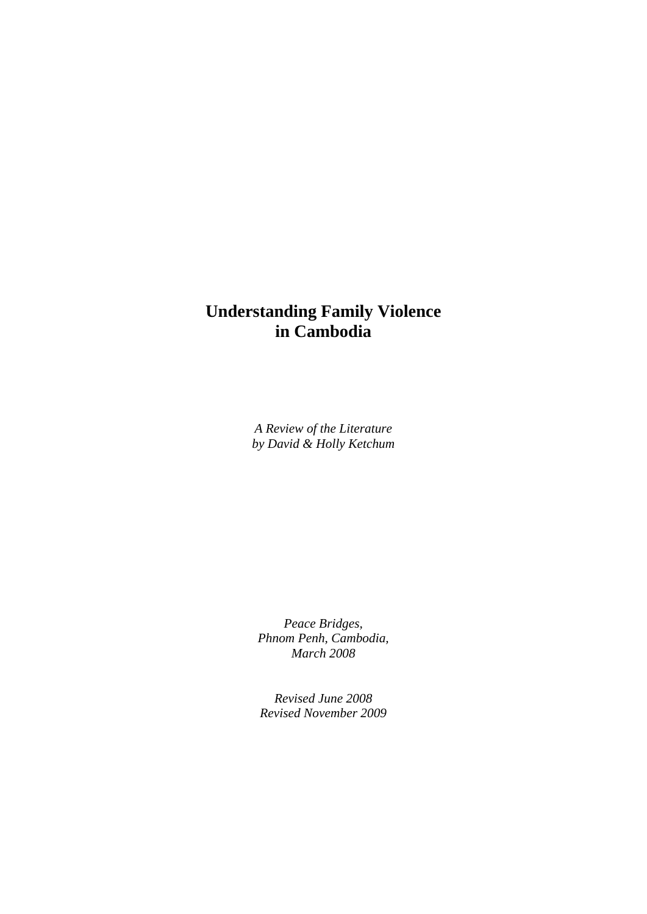# **Understanding Family Violence in Cambodia**

*A Review of the Literature by David & Holly Ketchum* 

*Peace Bridges, Phnom Penh, Cambodia, March 2008* 

*Revised June 2008 Revised November 2009*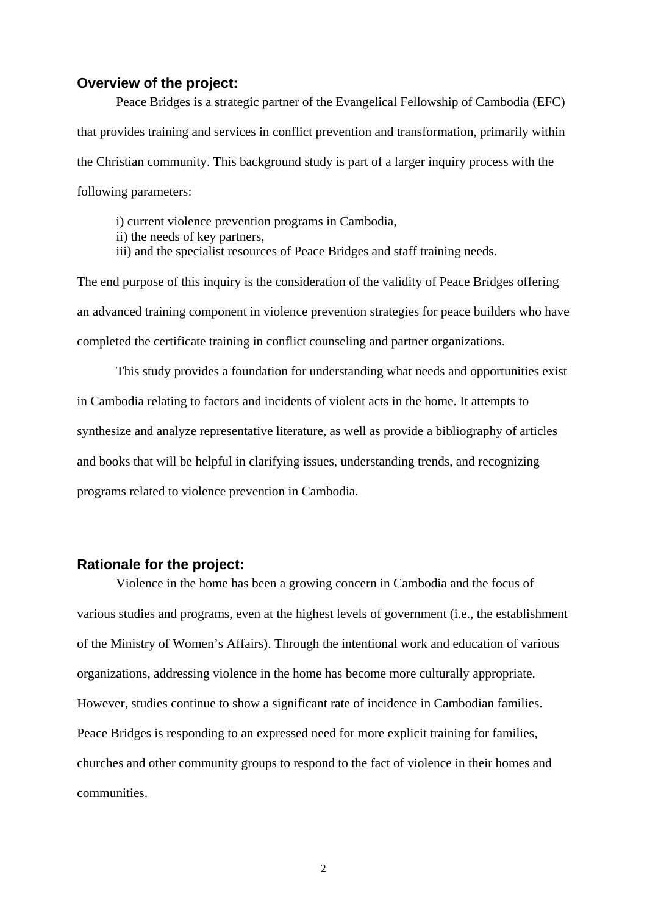#### **Overview of the project:**

Peace Bridges is a strategic partner of the Evangelical Fellowship of Cambodia (EFC) that provides training and services in conflict prevention and transformation, primarily within the Christian community. This background study is part of a larger inquiry process with the following parameters:

i) current violence prevention programs in Cambodia,

ii) the needs of key partners,

iii) and the specialist resources of Peace Bridges and staff training needs.

The end purpose of this inquiry is the consideration of the validity of Peace Bridges offering an advanced training component in violence prevention strategies for peace builders who have completed the certificate training in conflict counseling and partner organizations.

 This study provides a foundation for understanding what needs and opportunities exist in Cambodia relating to factors and incidents of violent acts in the home. It attempts to synthesize and analyze representative literature, as well as provide a bibliography of articles and books that will be helpful in clarifying issues, understanding trends, and recognizing programs related to violence prevention in Cambodia.

#### **Rationale for the project:**

Violence in the home has been a growing concern in Cambodia and the focus of various studies and programs, even at the highest levels of government (i.e., the establishment of the Ministry of Women's Affairs). Through the intentional work and education of various organizations, addressing violence in the home has become more culturally appropriate. However, studies continue to show a significant rate of incidence in Cambodian families. Peace Bridges is responding to an expressed need for more explicit training for families, churches and other community groups to respond to the fact of violence in their homes and communities.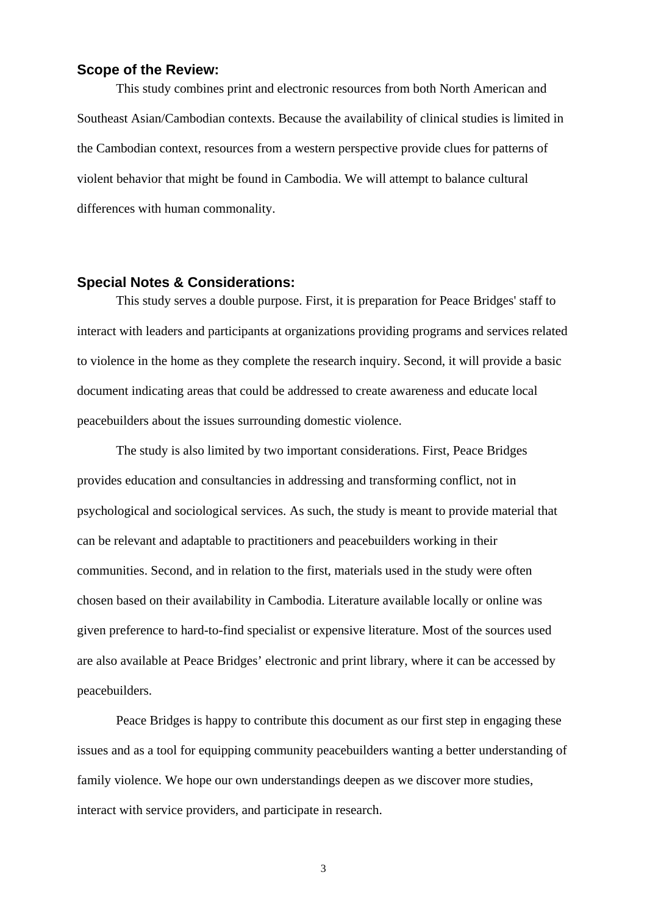#### **Scope of the Review:**

 This study combines print and electronic resources from both North American and Southeast Asian/Cambodian contexts. Because the availability of clinical studies is limited in the Cambodian context, resources from a western perspective provide clues for patterns of violent behavior that might be found in Cambodia. We will attempt to balance cultural differences with human commonality.

#### **Special Notes & Considerations:**

This study serves a double purpose. First, it is preparation for Peace Bridges' staff to interact with leaders and participants at organizations providing programs and services related to violence in the home as they complete the research inquiry. Second, it will provide a basic document indicating areas that could be addressed to create awareness and educate local peacebuilders about the issues surrounding domestic violence.

The study is also limited by two important considerations. First, Peace Bridges provides education and consultancies in addressing and transforming conflict, not in psychological and sociological services. As such, the study is meant to provide material that can be relevant and adaptable to practitioners and peacebuilders working in their communities. Second, and in relation to the first, materials used in the study were often chosen based on their availability in Cambodia. Literature available locally or online was given preference to hard-to-find specialist or expensive literature. Most of the sources used are also available at Peace Bridges' electronic and print library, where it can be accessed by peacebuilders.

Peace Bridges is happy to contribute this document as our first step in engaging these issues and as a tool for equipping community peacebuilders wanting a better understanding of family violence. We hope our own understandings deepen as we discover more studies, interact with service providers, and participate in research.

3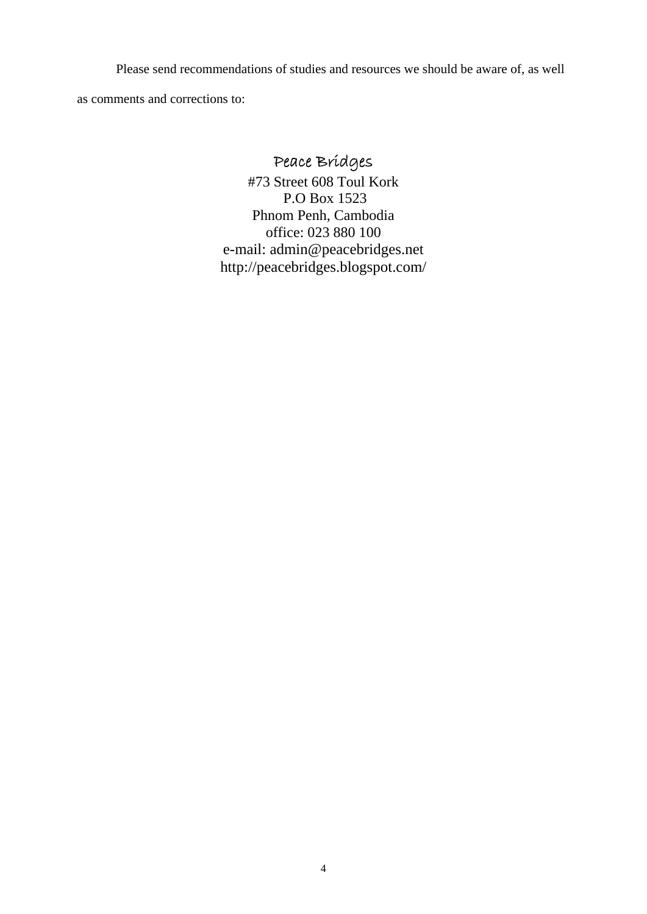Please send recommendations of studies and resources we should be aware of, as well

as comments and corrections to:

# Peace Bridges

#73 Street 608 Toul Kork P.O Box 1523 Phnom Penh, Cambodia office: 023 880 100 e-mail: admin@peacebridges.net http://peacebridges.blogspot.com/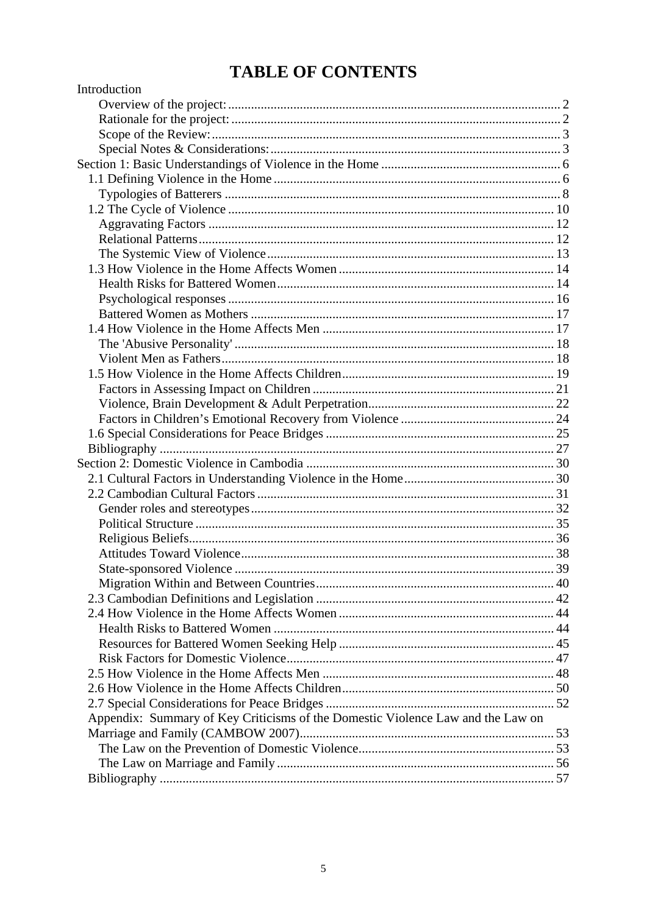# **TABLE OF CONTENTS**

| Introduction                                                                    |  |
|---------------------------------------------------------------------------------|--|
|                                                                                 |  |
|                                                                                 |  |
|                                                                                 |  |
|                                                                                 |  |
|                                                                                 |  |
|                                                                                 |  |
|                                                                                 |  |
|                                                                                 |  |
|                                                                                 |  |
|                                                                                 |  |
|                                                                                 |  |
|                                                                                 |  |
|                                                                                 |  |
|                                                                                 |  |
|                                                                                 |  |
|                                                                                 |  |
|                                                                                 |  |
|                                                                                 |  |
|                                                                                 |  |
|                                                                                 |  |
|                                                                                 |  |
|                                                                                 |  |
|                                                                                 |  |
|                                                                                 |  |
|                                                                                 |  |
|                                                                                 |  |
|                                                                                 |  |
|                                                                                 |  |
|                                                                                 |  |
|                                                                                 |  |
|                                                                                 |  |
|                                                                                 |  |
|                                                                                 |  |
|                                                                                 |  |
|                                                                                 |  |
|                                                                                 |  |
|                                                                                 |  |
|                                                                                 |  |
|                                                                                 |  |
|                                                                                 |  |
|                                                                                 |  |
| Appendix: Summary of Key Criticisms of the Domestic Violence Law and the Law on |  |
|                                                                                 |  |
|                                                                                 |  |
|                                                                                 |  |
|                                                                                 |  |
|                                                                                 |  |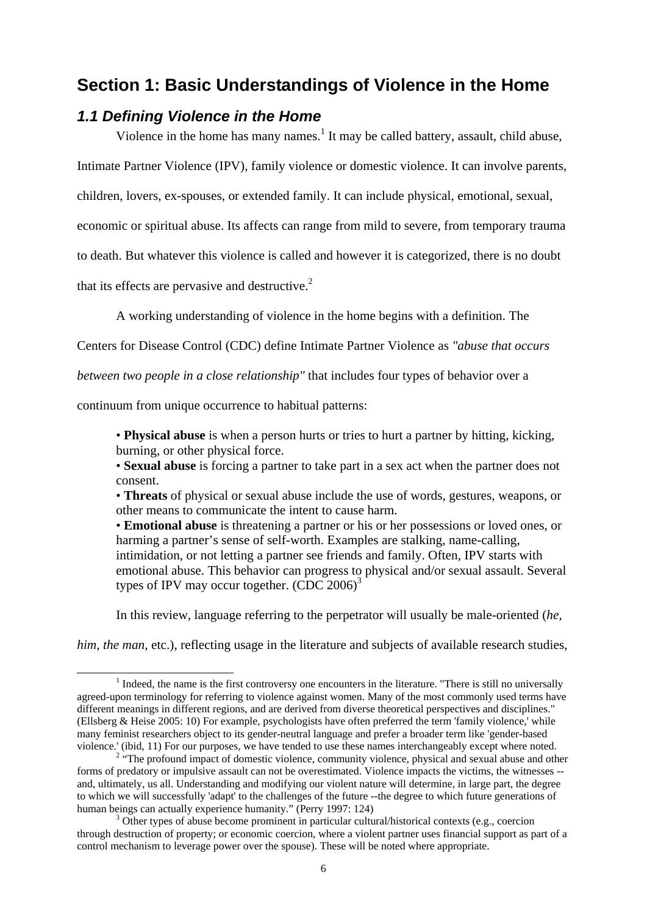# **Section 1: Basic Understandings of Violence in the Home**

# *1.1 Defining Violence in the Home*

Violence in the home has many names.<sup>1</sup> It may be called battery, assault, child abuse,

Intimate Partner Violence (IPV), family violence or domestic violence. It can involve parents,

children, lovers, ex-spouses, or extended family. It can include physical, emotional, sexual,

economic or spiritual abuse. Its affects can range from mild to severe, from temporary trauma

to death. But whatever this violence is called and however it is categorized, there is no doubt

that its effects are pervasive and destructive. $2$ 

A working understanding of violence in the home begins with a definition. The

Centers for Disease Control (CDC) define Intimate Partner Violence as *"abuse that occurs* 

*between two people in a close relationship"* that includes four types of behavior over a

continuum from unique occurrence to habitual patterns:

• **Physical abuse** is when a person hurts or tries to hurt a partner by hitting, kicking, burning, or other physical force.

• **Sexual abuse** is forcing a partner to take part in a sex act when the partner does not consent.

• **Threats** of physical or sexual abuse include the use of words, gestures, weapons, or other means to communicate the intent to cause harm.

• **Emotional abuse** is threatening a partner or his or her possessions or loved ones, or harming a partner's sense of self-worth. Examples are stalking, name-calling, intimidation, or not letting a partner see friends and family. Often, IPV starts with emotional abuse. This behavior can progress to physical and/or sexual assault. Several types of IPV may occur together.  $(CDC 2006)^3$ 

In this review, language referring to the perpetrator will usually be male-oriented (*he,* 

*him, the man, etc.), reflecting usage in the literature and subjects of available research studies,* 

<sup>&</sup>lt;u>1</u>  $<sup>1</sup>$  Indeed, the name is the first controversy one encounters in the literature. "There is still no universally</sup> agreed-upon terminology for referring to violence against women. Many of the most commonly used terms have different meanings in different regions, and are derived from diverse theoretical perspectives and disciplines." (Ellsberg & Heise 2005: 10) For example, psychologists have often preferred the term 'family violence,' while many feminist researchers object to its gender-neutral language and prefer a broader term like 'gender-based violence.' (ibid, 11) For our purposes, we have tended to use these names interchangeably except where noted. 2

<sup>&</sup>lt;sup>2</sup> "The profound impact of domestic violence, community violence, physical and sexual abuse and other forms of predatory or impulsive assault can not be overestimated. Violence impacts the victims, the witnesses - and, ultimately, us all. Understanding and modifying our violent nature will determine, in large part, the degree to which we will successfully 'adapt' to the challenges of the future --the degree to which future generations of human beings can actually experience humanity." (Perry 1997: 124)

 $3$  Other types of abuse become prominent in particular cultural/historical contexts (e.g., coercion through destruction of property; or economic coercion, where a violent partner uses financial support as part of a control mechanism to leverage power over the spouse). These will be noted where appropriate.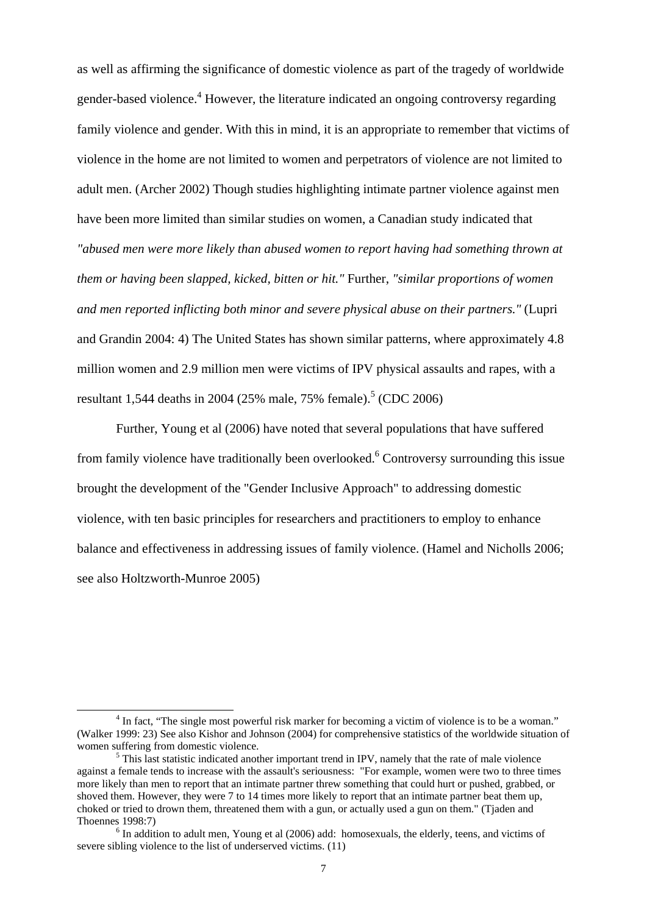as well as affirming the significance of domestic violence as part of the tragedy of worldwide gender-based violence.<sup>4</sup> However, the literature indicated an ongoing controversy regarding family violence and gender. With this in mind, it is an appropriate to remember that victims of violence in the home are not limited to women and perpetrators of violence are not limited to adult men. (Archer 2002) Though studies highlighting intimate partner violence against men have been more limited than similar studies on women, a Canadian study indicated that *"abused men were more likely than abused women to report having had something thrown at them or having been slapped, kicked, bitten or hit."* Further, *"similar proportions of women and men reported inflicting both minor and severe physical abuse on their partners."* (Lupri and Grandin 2004: 4) The United States has shown similar patterns, where approximately 4.8 million women and 2.9 million men were victims of IPV physical assaults and rapes, with a resultant 1,544 deaths in 2004 (25% male, 75% female).<sup>5</sup> (CDC 2006)

Further, Young et al (2006) have noted that several populations that have suffered from family violence have traditionally been overlooked.<sup>6</sup> Controversy surrounding this issue brought the development of the "Gender Inclusive Approach" to addressing domestic violence, with ten basic principles for researchers and practitioners to employ to enhance balance and effectiveness in addressing issues of family violence. (Hamel and Nicholls 2006; see also Holtzworth-Munroe 2005)

 $\overline{\phantom{a}}$ <sup>4</sup> In fact, "The single most powerful risk marker for becoming a victim of violence is to be a woman." (Walker 1999: 23) See also Kishor and Johnson (2004) for comprehensive statistics of the worldwide situation of women suffering from domestic violence.

 $<sup>5</sup>$  This last statistic indicated another important trend in IPV, namely that the rate of male violence</sup> against a female tends to increase with the assault's seriousness: "For example, women were two to three times more likely than men to report that an intimate partner threw something that could hurt or pushed, grabbed, or shoved them. However, they were 7 to 14 times more likely to report that an intimate partner beat them up, choked or tried to drown them, threatened them with a gun, or actually used a gun on them." (Tjaden and Thoennes 1998:7) 6

 $<sup>6</sup>$  In addition to adult men, Young et al (2006) add: homosexuals, the elderly, teens, and victims of</sup> severe sibling violence to the list of underserved victims. (11)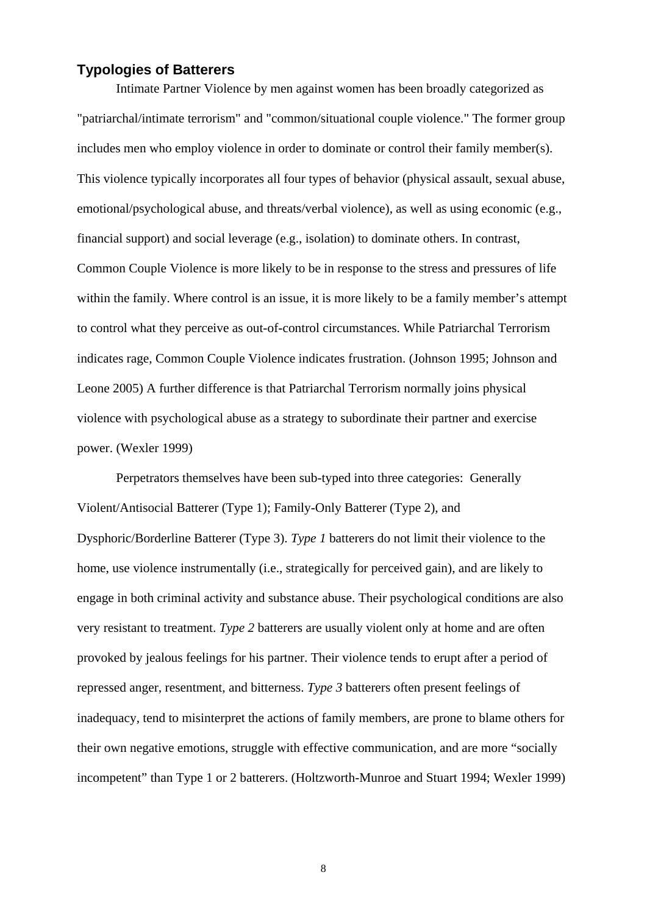## **Typologies of Batterers**

Intimate Partner Violence by men against women has been broadly categorized as "patriarchal/intimate terrorism" and "common/situational couple violence." The former group includes men who employ violence in order to dominate or control their family member(s). This violence typically incorporates all four types of behavior (physical assault, sexual abuse, emotional/psychological abuse, and threats/verbal violence), as well as using economic (e.g., financial support) and social leverage (e.g., isolation) to dominate others. In contrast, Common Couple Violence is more likely to be in response to the stress and pressures of life within the family. Where control is an issue, it is more likely to be a family member's attempt to control what they perceive as out-of-control circumstances. While Patriarchal Terrorism indicates rage, Common Couple Violence indicates frustration. (Johnson 1995; Johnson and Leone 2005) A further difference is that Patriarchal Terrorism normally joins physical violence with psychological abuse as a strategy to subordinate their partner and exercise power. (Wexler 1999)

Perpetrators themselves have been sub-typed into three categories: Generally Violent/Antisocial Batterer (Type 1); Family-Only Batterer (Type 2), and Dysphoric/Borderline Batterer (Type 3). *Type 1* batterers do not limit their violence to the home, use violence instrumentally (i.e., strategically for perceived gain), and are likely to engage in both criminal activity and substance abuse. Their psychological conditions are also very resistant to treatment. *Type 2* batterers are usually violent only at home and are often provoked by jealous feelings for his partner. Their violence tends to erupt after a period of repressed anger, resentment, and bitterness. *Type 3* batterers often present feelings of inadequacy, tend to misinterpret the actions of family members, are prone to blame others for their own negative emotions, struggle with effective communication, and are more "socially incompetent" than Type 1 or 2 batterers. (Holtzworth-Munroe and Stuart 1994; Wexler 1999)

8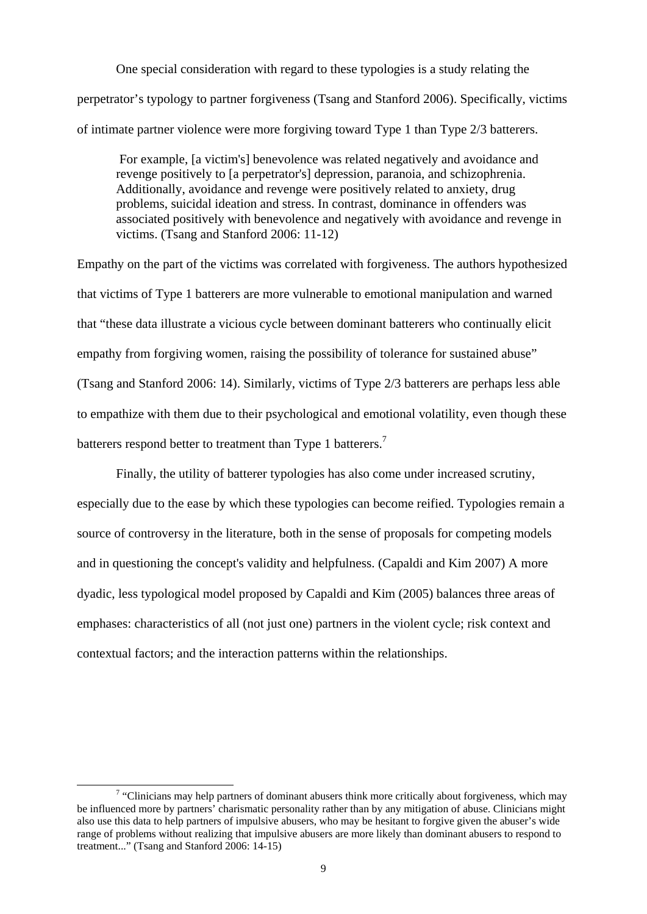One special consideration with regard to these typologies is a study relating the perpetrator's typology to partner forgiveness (Tsang and Stanford 2006). Specifically, victims of intimate partner violence were more forgiving toward Type 1 than Type 2/3 batterers.

 For example, [a victim's] benevolence was related negatively and avoidance and revenge positively to [a perpetrator's] depression, paranoia, and schizophrenia. Additionally, avoidance and revenge were positively related to anxiety, drug problems, suicidal ideation and stress. In contrast, dominance in offenders was associated positively with benevolence and negatively with avoidance and revenge in victims. (Tsang and Stanford 2006: 11-12)

Empathy on the part of the victims was correlated with forgiveness. The authors hypothesized that victims of Type 1 batterers are more vulnerable to emotional manipulation and warned that "these data illustrate a vicious cycle between dominant batterers who continually elicit empathy from forgiving women, raising the possibility of tolerance for sustained abuse" (Tsang and Stanford 2006: 14). Similarly, victims of Type 2/3 batterers are perhaps less able to empathize with them due to their psychological and emotional volatility, even though these batterers respond better to treatment than Type 1 batterers.<sup>7</sup>

 Finally, the utility of batterer typologies has also come under increased scrutiny, especially due to the ease by which these typologies can become reified. Typologies remain a source of controversy in the literature, both in the sense of proposals for competing models and in questioning the concept's validity and helpfulness. (Capaldi and Kim 2007) A more dyadic, less typological model proposed by Capaldi and Kim (2005) balances three areas of emphases: characteristics of all (not just one) partners in the violent cycle; risk context and contextual factors; and the interaction patterns within the relationships.

 $\frac{1}{7}$  $\frac{7}{1}$  "Clinicians may help partners of dominant abusers think more critically about forgiveness, which may be influenced more by partners' charismatic personality rather than by any mitigation of abuse. Clinicians might also use this data to help partners of impulsive abusers, who may be hesitant to forgive given the abuser's wide range of problems without realizing that impulsive abusers are more likely than dominant abusers to respond to treatment..." (Tsang and Stanford 2006: 14-15)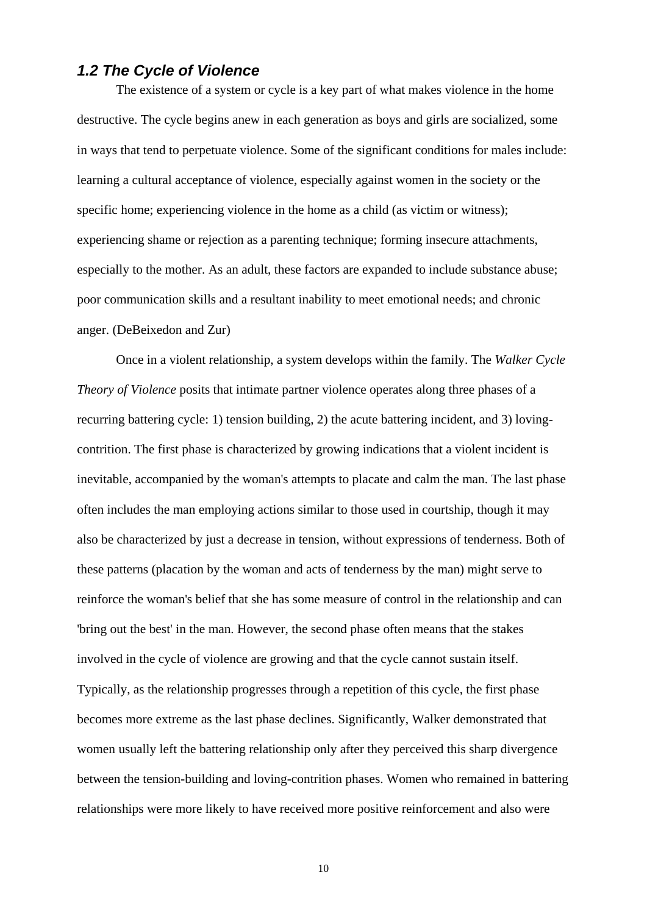# *1.2 The Cycle of Violence*

The existence of a system or cycle is a key part of what makes violence in the home destructive. The cycle begins anew in each generation as boys and girls are socialized, some in ways that tend to perpetuate violence. Some of the significant conditions for males include: learning a cultural acceptance of violence, especially against women in the society or the specific home; experiencing violence in the home as a child (as victim or witness); experiencing shame or rejection as a parenting technique; forming insecure attachments, especially to the mother. As an adult, these factors are expanded to include substance abuse; poor communication skills and a resultant inability to meet emotional needs; and chronic anger. (DeBeixedon and Zur)

Once in a violent relationship, a system develops within the family. The *Walker Cycle Theory of Violence* posits that intimate partner violence operates along three phases of a recurring battering cycle: 1) tension building, 2) the acute battering incident, and 3) lovingcontrition. The first phase is characterized by growing indications that a violent incident is inevitable, accompanied by the woman's attempts to placate and calm the man. The last phase often includes the man employing actions similar to those used in courtship, though it may also be characterized by just a decrease in tension, without expressions of tenderness. Both of these patterns (placation by the woman and acts of tenderness by the man) might serve to reinforce the woman's belief that she has some measure of control in the relationship and can 'bring out the best' in the man. However, the second phase often means that the stakes involved in the cycle of violence are growing and that the cycle cannot sustain itself. Typically, as the relationship progresses through a repetition of this cycle, the first phase becomes more extreme as the last phase declines. Significantly, Walker demonstrated that women usually left the battering relationship only after they perceived this sharp divergence between the tension-building and loving-contrition phases. Women who remained in battering relationships were more likely to have received more positive reinforcement and also were

10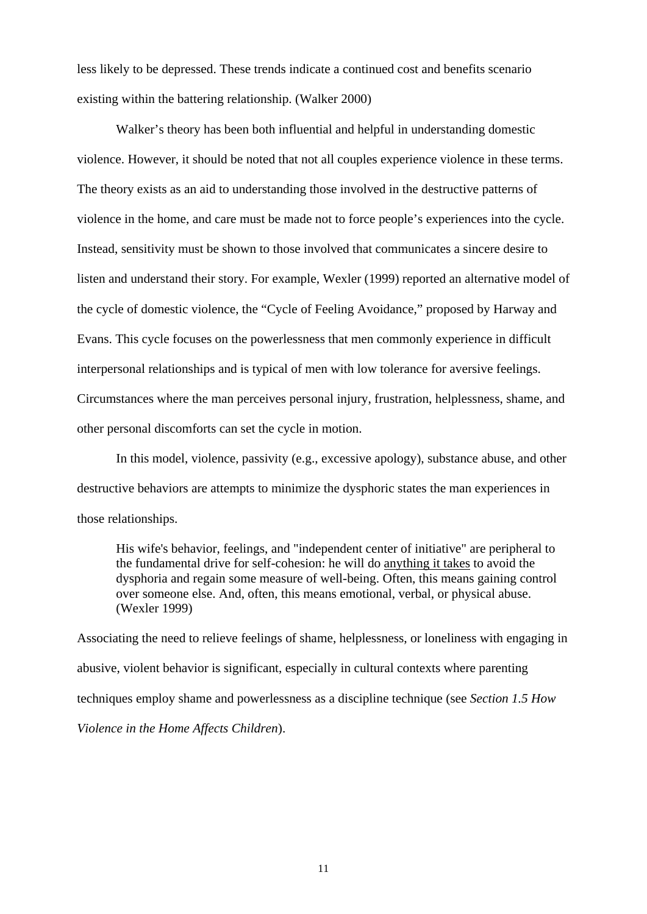less likely to be depressed. These trends indicate a continued cost and benefits scenario existing within the battering relationship. (Walker 2000)

Walker's theory has been both influential and helpful in understanding domestic violence. However, it should be noted that not all couples experience violence in these terms. The theory exists as an aid to understanding those involved in the destructive patterns of violence in the home, and care must be made not to force people's experiences into the cycle. Instead, sensitivity must be shown to those involved that communicates a sincere desire to listen and understand their story. For example, Wexler (1999) reported an alternative model of the cycle of domestic violence, the "Cycle of Feeling Avoidance," proposed by Harway and Evans. This cycle focuses on the powerlessness that men commonly experience in difficult interpersonal relationships and is typical of men with low tolerance for aversive feelings. Circumstances where the man perceives personal injury, frustration, helplessness, shame, and other personal discomforts can set the cycle in motion.

In this model, violence, passivity (e.g., excessive apology), substance abuse, and other destructive behaviors are attempts to minimize the dysphoric states the man experiences in those relationships.

His wife's behavior, feelings, and "independent center of initiative" are peripheral to the fundamental drive for self-cohesion: he will do anything it takes to avoid the dysphoria and regain some measure of well-being. Often, this means gaining control over someone else. And, often, this means emotional, verbal, or physical abuse. (Wexler 1999)

Associating the need to relieve feelings of shame, helplessness, or loneliness with engaging in abusive, violent behavior is significant, especially in cultural contexts where parenting techniques employ shame and powerlessness as a discipline technique (see *Section 1.5 How Violence in the Home Affects Children*).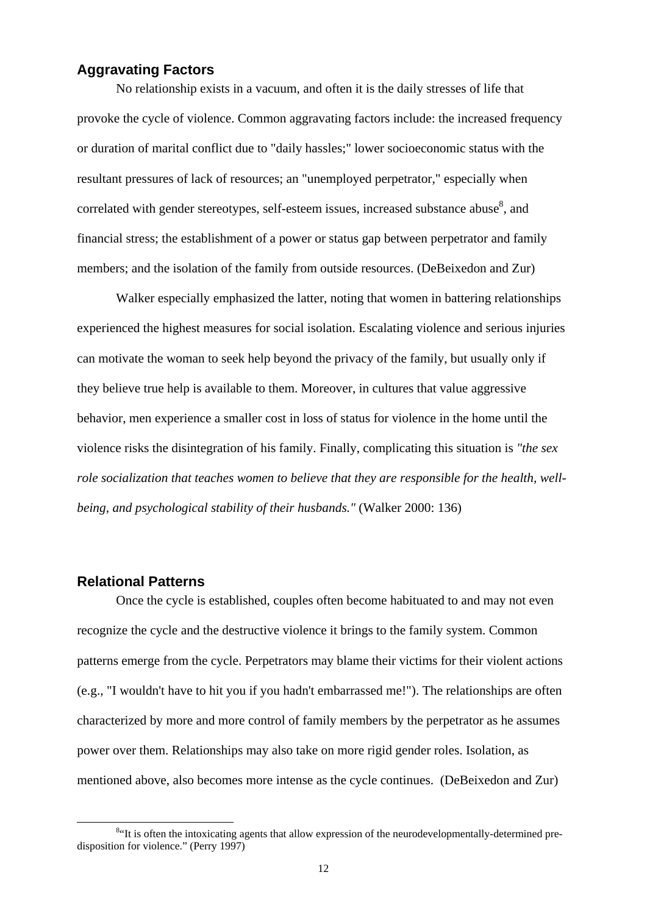## **Aggravating Factors**

No relationship exists in a vacuum, and often it is the daily stresses of life that provoke the cycle of violence. Common aggravating factors include: the increased frequency or duration of marital conflict due to "daily hassles;" lower socioeconomic status with the resultant pressures of lack of resources; an "unemployed perpetrator," especially when correlated with gender stereotypes, self-esteem issues, increased substance abuse $8$ , and financial stress; the establishment of a power or status gap between perpetrator and family members; and the isolation of the family from outside resources. (DeBeixedon and Zur)

Walker especially emphasized the latter, noting that women in battering relationships experienced the highest measures for social isolation. Escalating violence and serious injuries can motivate the woman to seek help beyond the privacy of the family, but usually only if they believe true help is available to them. Moreover, in cultures that value aggressive behavior, men experience a smaller cost in loss of status for violence in the home until the violence risks the disintegration of his family. Finally, complicating this situation is *"the sex role socialization that teaches women to believe that they are responsible for the health, wellbeing, and psychological stability of their husbands."* (Walker 2000: 136)

#### **Relational Patterns**

Once the cycle is established, couples often become habituated to and may not even recognize the cycle and the destructive violence it brings to the family system. Common patterns emerge from the cycle. Perpetrators may blame their victims for their violent actions (e.g., "I wouldn't have to hit you if you hadn't embarrassed me!"). The relationships are often characterized by more and more control of family members by the perpetrator as he assumes power over them. Relationships may also take on more rigid gender roles. Isolation, as mentioned above, also becomes more intense as the cycle continues. (DeBeixedon and Zur)

 $\overline{\qquad \qquad }$  8 <sup>8</sup>"It is often the intoxicating agents that allow expression of the neurodevelopmentally-determined predisposition for violence." (Perry 1997)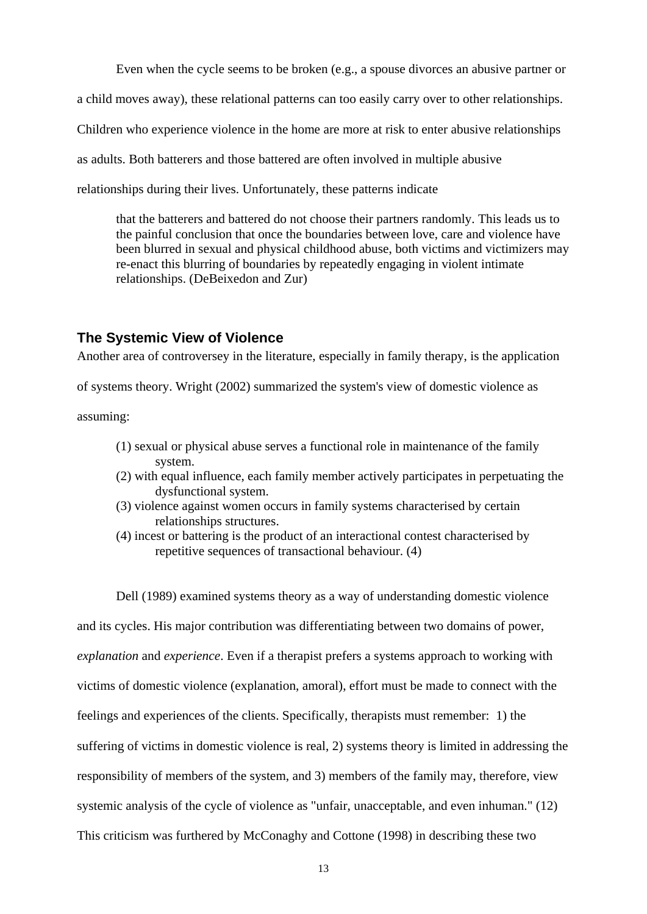Even when the cycle seems to be broken (e.g., a spouse divorces an abusive partner or

a child moves away), these relational patterns can too easily carry over to other relationships.

Children who experience violence in the home are more at risk to enter abusive relationships

as adults. Both batterers and those battered are often involved in multiple abusive

relationships during their lives. Unfortunately, these patterns indicate

that the batterers and battered do not choose their partners randomly. This leads us to the painful conclusion that once the boundaries between love, care and violence have been blurred in sexual and physical childhood abuse, both victims and victimizers may re-enact this blurring of boundaries by repeatedly engaging in violent intimate relationships. (DeBeixedon and Zur)

#### **The Systemic View of Violence**

Another area of controversey in the literature, especially in family therapy, is the application

of systems theory. Wright (2002) summarized the system's view of domestic violence as

assuming:

- (1) sexual or physical abuse serves a functional role in maintenance of the family system.
- (2) with equal influence, each family member actively participates in perpetuating the dysfunctional system.
- (3) violence against women occurs in family systems characterised by certain relationships structures.
- (4) incest or battering is the product of an interactional contest characterised by repetitive sequences of transactional behaviour. (4)

 Dell (1989) examined systems theory as a way of understanding domestic violence and its cycles. His major contribution was differentiating between two domains of power, *explanation* and *experience*. Even if a therapist prefers a systems approach to working with victims of domestic violence (explanation, amoral), effort must be made to connect with the feelings and experiences of the clients. Specifically, therapists must remember: 1) the suffering of victims in domestic violence is real, 2) systems theory is limited in addressing the responsibility of members of the system, and 3) members of the family may, therefore, view systemic analysis of the cycle of violence as "unfair, unacceptable, and even inhuman." (12) This criticism was furthered by McConaghy and Cottone (1998) in describing these two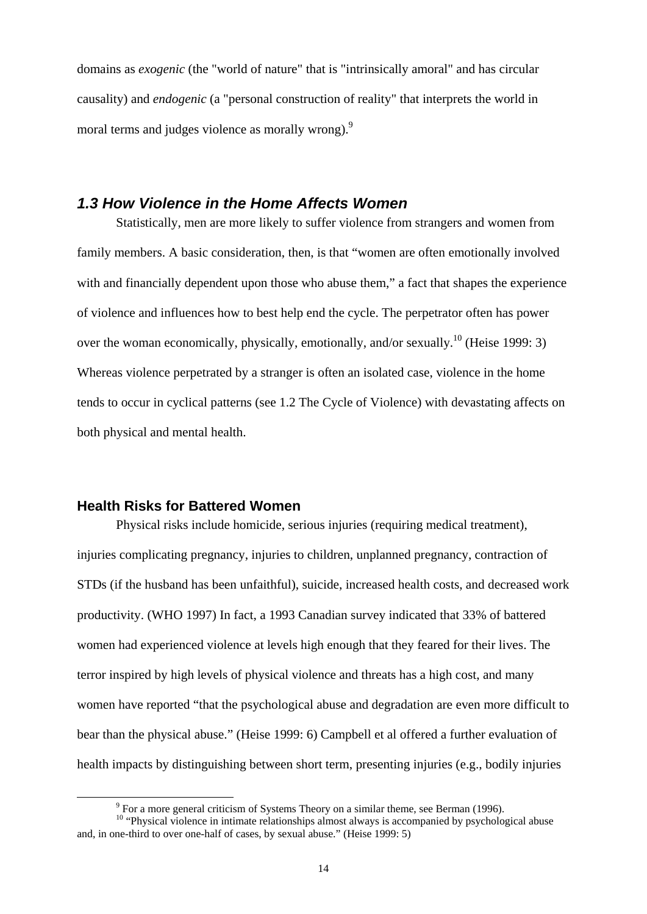domains as *exogenic* (the "world of nature" that is "intrinsically amoral" and has circular causality) and *endogenic* (a "personal construction of reality" that interprets the world in moral terms and judges violence as morally wrong).<sup>9</sup>

## *1.3 How Violence in the Home Affects Women*

Statistically, men are more likely to suffer violence from strangers and women from family members. A basic consideration, then, is that "women are often emotionally involved with and financially dependent upon those who abuse them," a fact that shapes the experience of violence and influences how to best help end the cycle. The perpetrator often has power over the woman economically, physically, emotionally, and/or sexually.<sup>10</sup> (Heise 1999: 3) Whereas violence perpetrated by a stranger is often an isolated case, violence in the home tends to occur in cyclical patterns (see 1.2 The Cycle of Violence) with devastating affects on both physical and mental health.

#### **Health Risks for Battered Women**

Physical risks include homicide, serious injuries (requiring medical treatment), injuries complicating pregnancy, injuries to children, unplanned pregnancy, contraction of STDs (if the husband has been unfaithful), suicide, increased health costs, and decreased work productivity. (WHO 1997) In fact, a 1993 Canadian survey indicated that 33% of battered women had experienced violence at levels high enough that they feared for their lives. The terror inspired by high levels of physical violence and threats has a high cost, and many women have reported "that the psychological abuse and degradation are even more difficult to bear than the physical abuse." (Heise 1999: 6) Campbell et al offered a further evaluation of health impacts by distinguishing between short term, presenting injuries (e.g., bodily injuries

 $\frac{1}{\sqrt{9}}$ <sup>9</sup> For a more general criticism of Systems Theory on a similar theme, see Berman (1996).

<sup>&</sup>lt;sup>10</sup> "Physical violence in intimate relationships almost always is accompanied by psychological abuse and, in one-third to over one-half of cases, by sexual abuse." (Heise 1999: 5)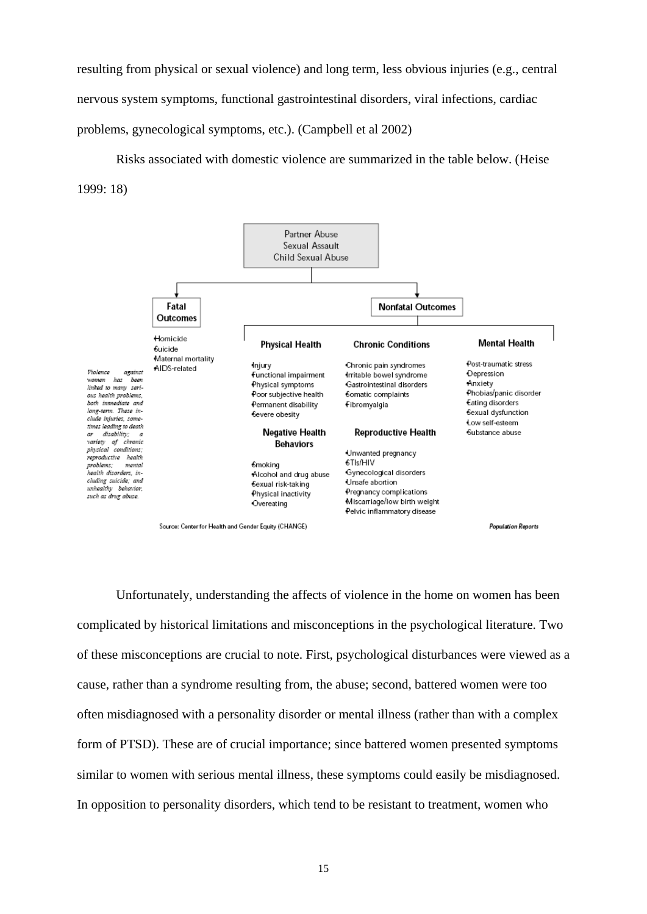resulting from physical or sexual violence) and long term, less obvious injuries (e.g., central nervous system symptoms, functional gastrointestinal disorders, viral infections, cardiac problems, gynecological symptoms, etc.). (Campbell et al 2002)

Risks associated with domestic violence are summarized in the table below. (Heise 1999: 18)



Unfortunately, understanding the affects of violence in the home on women has been complicated by historical limitations and misconceptions in the psychological literature. Two of these misconceptions are crucial to note. First, psychological disturbances were viewed as a cause, rather than a syndrome resulting from, the abuse; second, battered women were too often misdiagnosed with a personality disorder or mental illness (rather than with a complex form of PTSD). These are of crucial importance; since battered women presented symptoms similar to women with serious mental illness, these symptoms could easily be misdiagnosed. In opposition to personality disorders, which tend to be resistant to treatment, women who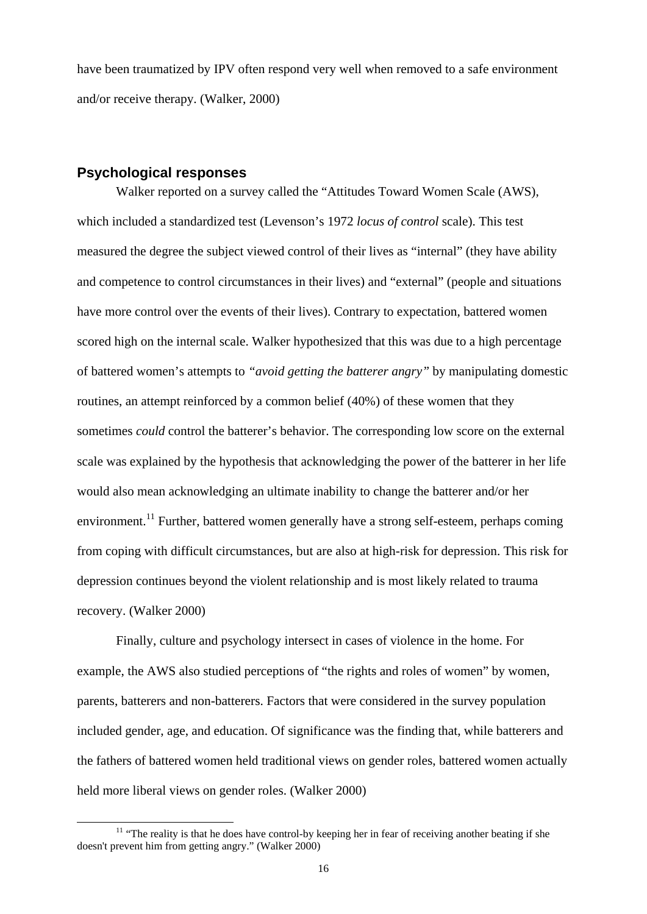have been traumatized by IPV often respond very well when removed to a safe environment and/or receive therapy. (Walker, 2000)

#### **Psychological responses**

Walker reported on a survey called the "Attitudes Toward Women Scale (AWS), which included a standardized test (Levenson's 1972 *locus of control* scale). This test measured the degree the subject viewed control of their lives as "internal" (they have ability and competence to control circumstances in their lives) and "external" (people and situations have more control over the events of their lives). Contrary to expectation, battered women scored high on the internal scale. Walker hypothesized that this was due to a high percentage of battered women's attempts to *"avoid getting the batterer angry"* by manipulating domestic routines, an attempt reinforced by a common belief (40%) of these women that they sometimes *could* control the batterer's behavior. The corresponding low score on the external scale was explained by the hypothesis that acknowledging the power of the batterer in her life would also mean acknowledging an ultimate inability to change the batterer and/or her environment.<sup>11</sup> Further, battered women generally have a strong self-esteem, perhaps coming from coping with difficult circumstances, but are also at high-risk for depression. This risk for depression continues beyond the violent relationship and is most likely related to trauma recovery. (Walker 2000)

Finally, culture and psychology intersect in cases of violence in the home. For example, the AWS also studied perceptions of "the rights and roles of women" by women, parents, batterers and non-batterers. Factors that were considered in the survey population included gender, age, and education. Of significance was the finding that, while batterers and the fathers of battered women held traditional views on gender roles, battered women actually held more liberal views on gender roles. (Walker 2000)

<sup>&</sup>lt;sup>11</sup> "The reality is that he does have control-by keeping her in fear of receiving another beating if she doesn't prevent him from getting angry." (Walker 2000)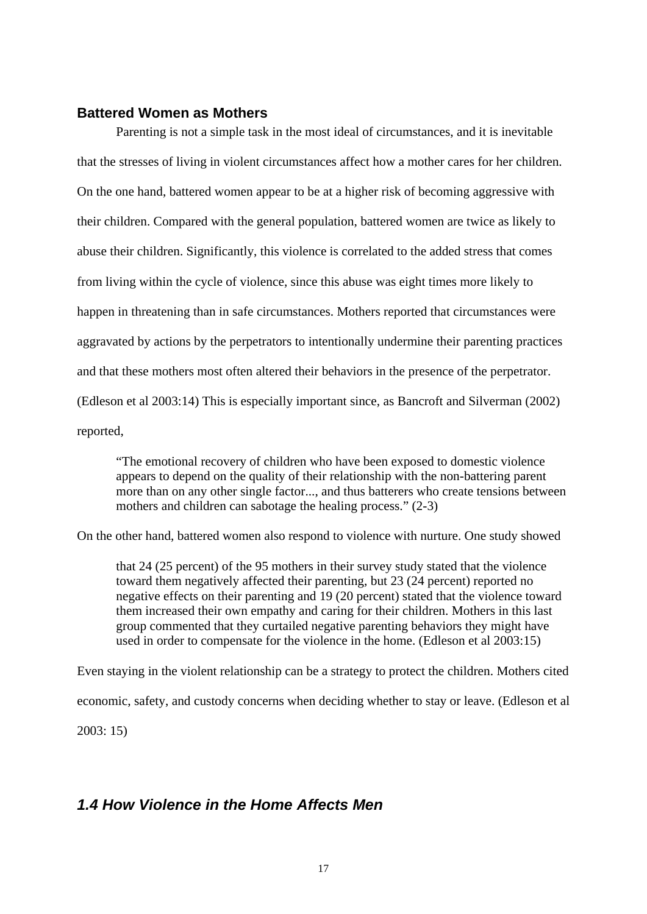#### **Battered Women as Mothers**

Parenting is not a simple task in the most ideal of circumstances, and it is inevitable that the stresses of living in violent circumstances affect how a mother cares for her children. On the one hand, battered women appear to be at a higher risk of becoming aggressive with their children. Compared with the general population, battered women are twice as likely to abuse their children. Significantly, this violence is correlated to the added stress that comes from living within the cycle of violence, since this abuse was eight times more likely to happen in threatening than in safe circumstances. Mothers reported that circumstances were aggravated by actions by the perpetrators to intentionally undermine their parenting practices and that these mothers most often altered their behaviors in the presence of the perpetrator. (Edleson et al 2003:14) This is especially important since, as Bancroft and Silverman (2002) reported,

"The emotional recovery of children who have been exposed to domestic violence appears to depend on the quality of their relationship with the non-battering parent more than on any other single factor..., and thus batterers who create tensions between mothers and children can sabotage the healing process." (2-3)

On the other hand, battered women also respond to violence with nurture. One study showed

that 24 (25 percent) of the 95 mothers in their survey study stated that the violence toward them negatively affected their parenting, but 23 (24 percent) reported no negative effects on their parenting and 19 (20 percent) stated that the violence toward them increased their own empathy and caring for their children. Mothers in this last group commented that they curtailed negative parenting behaviors they might have used in order to compensate for the violence in the home. (Edleson et al 2003:15)

Even staying in the violent relationship can be a strategy to protect the children. Mothers cited economic, safety, and custody concerns when deciding whether to stay or leave. (Edleson et al

2003: 15)

# *1.4 How Violence in the Home Affects Men*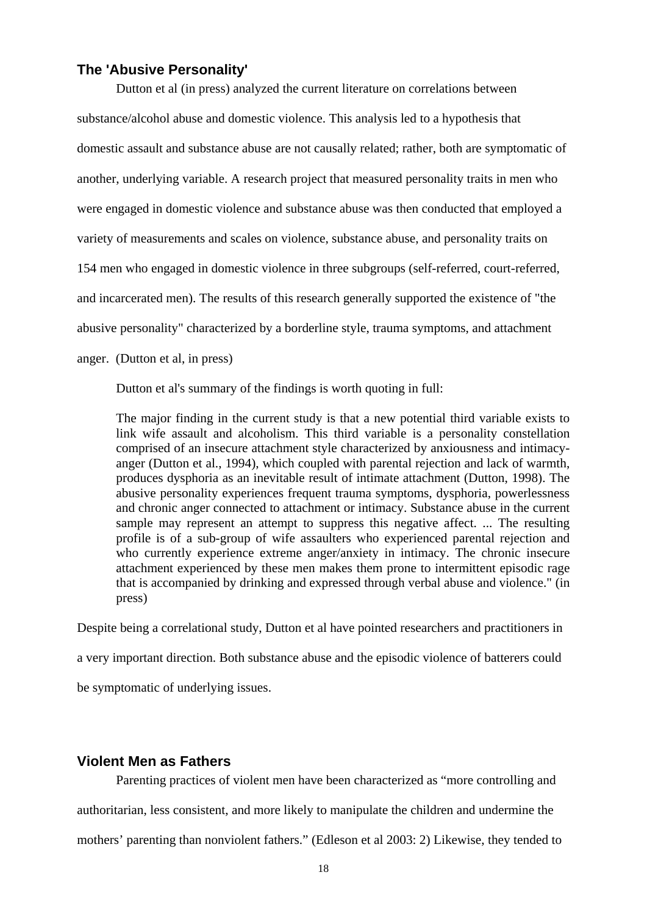#### **The 'Abusive Personality'**

Dutton et al (in press) analyzed the current literature on correlations between substance/alcohol abuse and domestic violence. This analysis led to a hypothesis that domestic assault and substance abuse are not causally related; rather, both are symptomatic of another, underlying variable. A research project that measured personality traits in men who were engaged in domestic violence and substance abuse was then conducted that employed a variety of measurements and scales on violence, substance abuse, and personality traits on 154 men who engaged in domestic violence in three subgroups (self-referred, court-referred, and incarcerated men). The results of this research generally supported the existence of "the abusive personality" characterized by a borderline style, trauma symptoms, and attachment anger. (Dutton et al, in press)

Dutton et al's summary of the findings is worth quoting in full:

The major finding in the current study is that a new potential third variable exists to link wife assault and alcoholism. This third variable is a personality constellation comprised of an insecure attachment style characterized by anxiousness and intimacyanger (Dutton et al., 1994), which coupled with parental rejection and lack of warmth, produces dysphoria as an inevitable result of intimate attachment (Dutton, 1998). The abusive personality experiences frequent trauma symptoms, dysphoria, powerlessness and chronic anger connected to attachment or intimacy. Substance abuse in the current sample may represent an attempt to suppress this negative affect. ... The resulting profile is of a sub-group of wife assaulters who experienced parental rejection and who currently experience extreme anger/anxiety in intimacy. The chronic insecure attachment experienced by these men makes them prone to intermittent episodic rage that is accompanied by drinking and expressed through verbal abuse and violence." (in press)

Despite being a correlational study, Dutton et al have pointed researchers and practitioners in a very important direction. Both substance abuse and the episodic violence of batterers could be symptomatic of underlying issues.

#### **Violent Men as Fathers**

Parenting practices of violent men have been characterized as "more controlling and authoritarian, less consistent, and more likely to manipulate the children and undermine the mothers' parenting than nonviolent fathers." (Edleson et al 2003: 2) Likewise, they tended to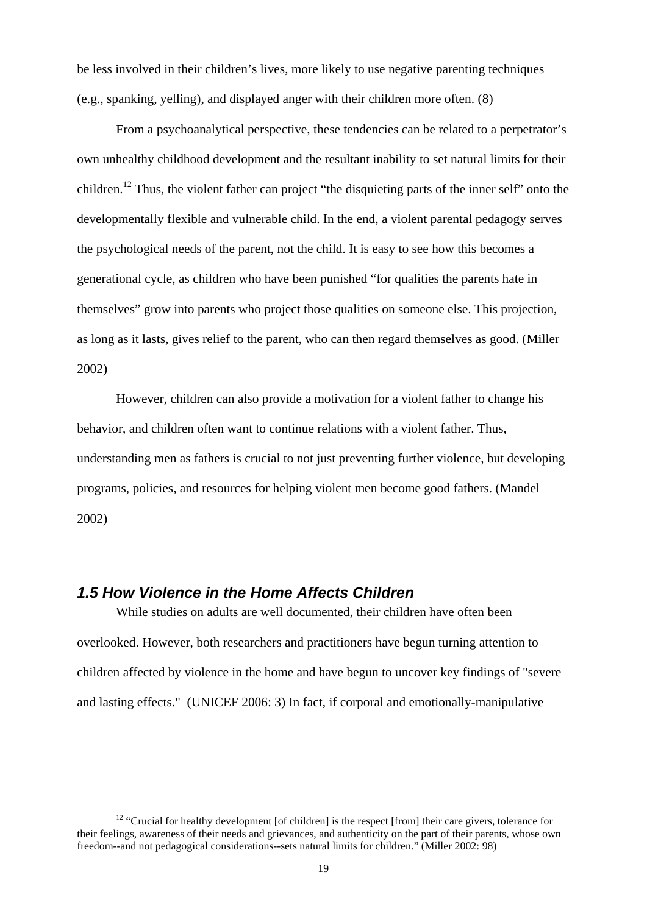be less involved in their children's lives, more likely to use negative parenting techniques (e.g., spanking, yelling), and displayed anger with their children more often. (8)

 From a psychoanalytical perspective, these tendencies can be related to a perpetrator's own unhealthy childhood development and the resultant inability to set natural limits for their children.12 Thus, the violent father can project "the disquieting parts of the inner self" onto the developmentally flexible and vulnerable child. In the end, a violent parental pedagogy serves the psychological needs of the parent, not the child. It is easy to see how this becomes a generational cycle, as children who have been punished "for qualities the parents hate in themselves" grow into parents who project those qualities on someone else. This projection, as long as it lasts, gives relief to the parent, who can then regard themselves as good. (Miller 2002)

 However, children can also provide a motivation for a violent father to change his behavior, and children often want to continue relations with a violent father. Thus, understanding men as fathers is crucial to not just preventing further violence, but developing programs, policies, and resources for helping violent men become good fathers. (Mandel 2002)

# *1.5 How Violence in the Home Affects Children*

While studies on adults are well documented, their children have often been overlooked. However, both researchers and practitioners have begun turning attention to children affected by violence in the home and have begun to uncover key findings of "severe and lasting effects." (UNICEF 2006: 3) In fact, if corporal and emotionally-manipulative

 $12$  "Crucial for healthy development [of children] is the respect [from] their care givers, tolerance for their feelings, awareness of their needs and grievances, and authenticity on the part of their parents, whose own freedom--and not pedagogical considerations--sets natural limits for children." (Miller 2002: 98)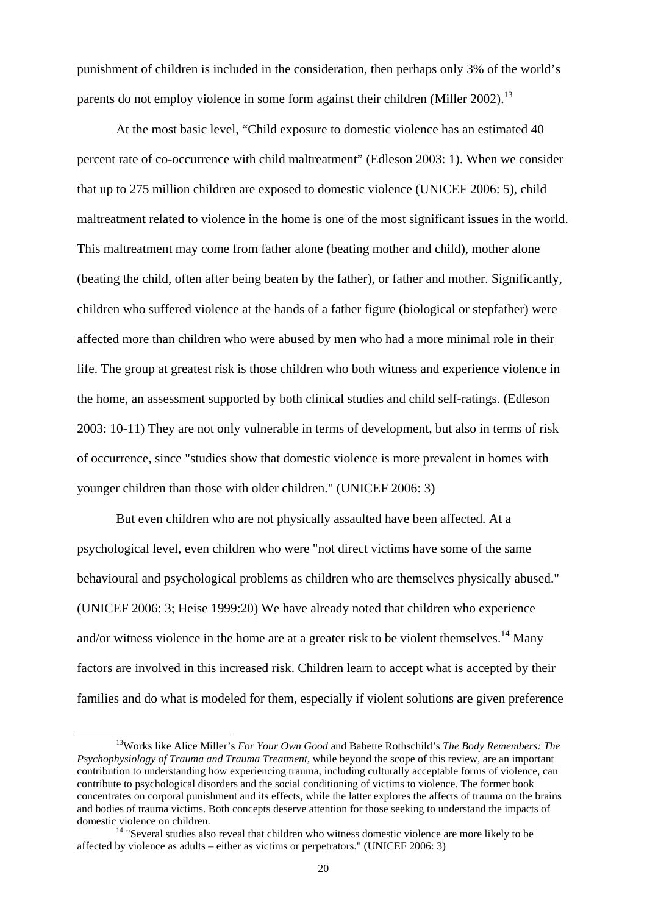punishment of children is included in the consideration, then perhaps only 3% of the world's parents do not employ violence in some form against their children (Miller 2002).<sup>13</sup>

 At the most basic level, "Child exposure to domestic violence has an estimated 40 percent rate of co-occurrence with child maltreatment" (Edleson 2003: 1). When we consider that up to 275 million children are exposed to domestic violence (UNICEF 2006: 5), child maltreatment related to violence in the home is one of the most significant issues in the world. This maltreatment may come from father alone (beating mother and child), mother alone (beating the child, often after being beaten by the father), or father and mother. Significantly, children who suffered violence at the hands of a father figure (biological or stepfather) were affected more than children who were abused by men who had a more minimal role in their life. The group at greatest risk is those children who both witness and experience violence in the home, an assessment supported by both clinical studies and child self-ratings. (Edleson 2003: 10-11) They are not only vulnerable in terms of development, but also in terms of risk of occurrence, since "studies show that domestic violence is more prevalent in homes with younger children than those with older children." (UNICEF 2006: 3)

But even children who are not physically assaulted have been affected. At a psychological level, even children who were "not direct victims have some of the same behavioural and psychological problems as children who are themselves physically abused." (UNICEF 2006: 3; Heise 1999:20) We have already noted that children who experience and/or witness violence in the home are at a greater risk to be violent themselves.<sup>14</sup> Many factors are involved in this increased risk. Children learn to accept what is accepted by their families and do what is modeled for them, especially if violent solutions are given preference

 <sup>13</sup>Works like Alice Miller's *For Your Own Good* and Babette Rothschild's *The Body Remembers: The Psychophysiology of Trauma and Trauma Treatment*, while beyond the scope of this review, are an important contribution to understanding how experiencing trauma, including culturally acceptable forms of violence, can contribute to psychological disorders and the social conditioning of victims to violence. The former book concentrates on corporal punishment and its effects, while the latter explores the affects of trauma on the brains and bodies of trauma victims. Both concepts deserve attention for those seeking to understand the impacts of domestic violence on children.<br><sup>14</sup> "Several studies also reveal that children who witness domestic violence are more likely to be

affected by violence as adults – either as victims or perpetrators." (UNICEF 2006: 3)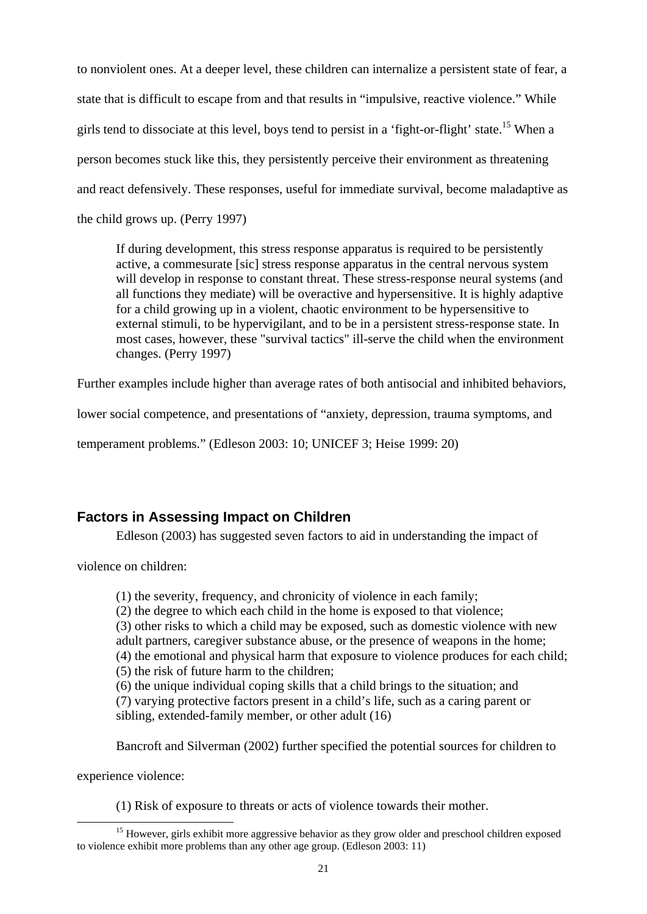to nonviolent ones. At a deeper level, these children can internalize a persistent state of fear, a state that is difficult to escape from and that results in "impulsive, reactive violence." While girls tend to dissociate at this level, boys tend to persist in a 'fight-or-flight' state.<sup>15</sup> When a person becomes stuck like this, they persistently perceive their environment as threatening and react defensively. These responses, useful for immediate survival, become maladaptive as the child grows up. (Perry 1997)

If during development, this stress response apparatus is required to be persistently active, a commesurate [sic] stress response apparatus in the central nervous system will develop in response to constant threat. These stress-response neural systems (and all functions they mediate) will be overactive and hypersensitive. It is highly adaptive for a child growing up in a violent, chaotic environment to be hypersensitive to external stimuli, to be hypervigilant, and to be in a persistent stress-response state. In most cases, however, these "survival tactics" ill-serve the child when the environment changes. (Perry 1997)

Further examples include higher than average rates of both antisocial and inhibited behaviors,

lower social competence, and presentations of "anxiety, depression, trauma symptoms, and

temperament problems." (Edleson 2003: 10; UNICEF 3; Heise 1999: 20)

# **Factors in Assessing Impact on Children**

Edleson (2003) has suggested seven factors to aid in understanding the impact of

violence on children:

(1) the severity, frequency, and chronicity of violence in each family;

(2) the degree to which each child in the home is exposed to that violence;

(3) other risks to which a child may be exposed, such as domestic violence with new adult partners, caregiver substance abuse, or the presence of weapons in the home; (4) the emotional and physical harm that exposure to violence produces for each child;

(5) the risk of future harm to the children;

(6) the unique individual coping skills that a child brings to the situation; and (7) varying protective factors present in a child's life, such as a caring parent or sibling, extended-family member, or other adult (16)

Bancroft and Silverman (2002) further specified the potential sources for children to

experience violence:

(1) Risk of exposure to threats or acts of violence towards their mother.

<sup>&</sup>lt;sup>15</sup> However, girls exhibit more aggressive behavior as they grow older and preschool children exposed to violence exhibit more problems than any other age group. (Edleson 2003: 11)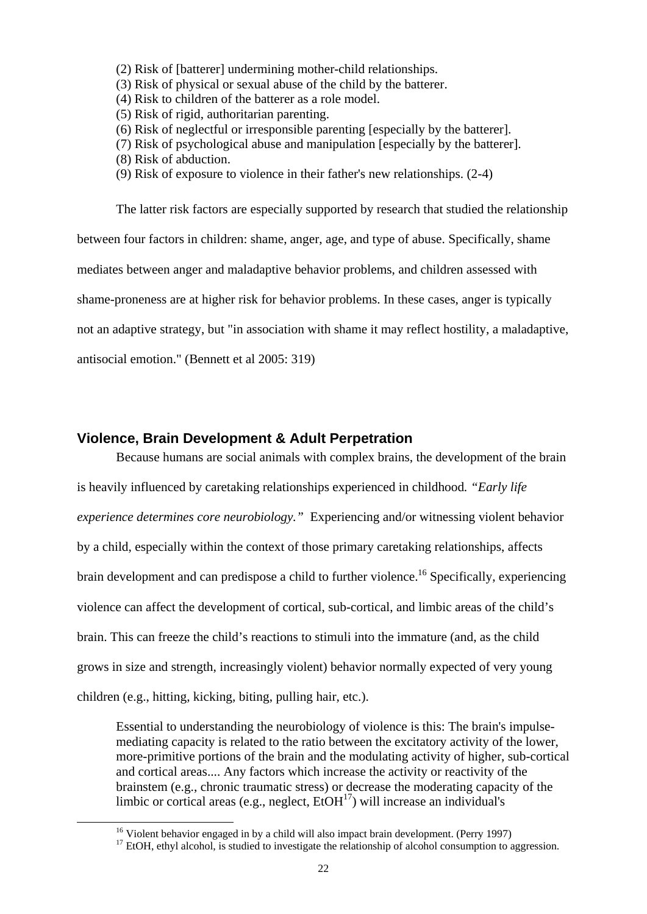- (2) Risk of [batterer] undermining mother-child relationships.
- (3) Risk of physical or sexual abuse of the child by the batterer.
- (4) Risk to children of the batterer as a role model.
- (5) Risk of rigid, authoritarian parenting.
- (6) Risk of neglectful or irresponsible parenting [especially by the batterer].
- (7) Risk of psychological abuse and manipulation [especially by the batterer].
- (8) Risk of abduction.
- (9) Risk of exposure to violence in their father's new relationships. (2-4)

 The latter risk factors are especially supported by research that studied the relationship between four factors in children: shame, anger, age, and type of abuse. Specifically, shame mediates between anger and maladaptive behavior problems, and children assessed with shame-proneness are at higher risk for behavior problems. In these cases, anger is typically not an adaptive strategy, but "in association with shame it may reflect hostility, a maladaptive, antisocial emotion." (Bennett et al 2005: 319)

#### **Violence, Brain Development & Adult Perpetration**

Because humans are social animals with complex brains, the development of the brain is heavily influenced by caretaking relationships experienced in childhood*. "Early life experience determines core neurobiology."* Experiencing and/or witnessing violent behavior by a child, especially within the context of those primary caretaking relationships, affects brain development and can predispose a child to further violence.<sup>16</sup> Specifically, experiencing violence can affect the development of cortical, sub-cortical, and limbic areas of the child's brain. This can freeze the child's reactions to stimuli into the immature (and, as the child grows in size and strength, increasingly violent) behavior normally expected of very young children (e.g., hitting, kicking, biting, pulling hair, etc.).

Essential to understanding the neurobiology of violence is this: The brain's impulsemediating capacity is related to the ratio between the excitatory activity of the lower, more-primitive portions of the brain and the modulating activity of higher, sub-cortical and cortical areas.... Any factors which increase the activity or reactivity of the brainstem (e.g., chronic traumatic stress) or decrease the moderating capacity of the limbic or cortical areas (e.g., neglect,  $E<sub>1</sub>OH<sup>17</sup>$ ) will increase an individual's

<sup>&</sup>lt;sup>16</sup> Violent behavior engaged in by a child will also impact brain development. (Perry 1997)

<sup>&</sup>lt;sup>17</sup> EtOH, ethyl alcohol, is studied to investigate the relationship of alcohol consumption to aggression.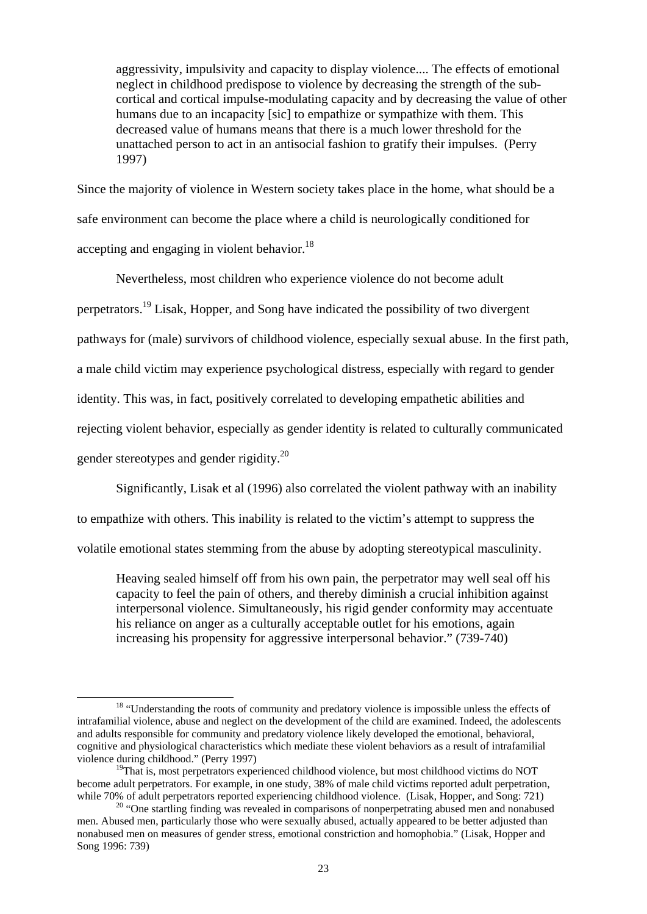aggressivity, impulsivity and capacity to display violence.... The effects of emotional neglect in childhood predispose to violence by decreasing the strength of the subcortical and cortical impulse-modulating capacity and by decreasing the value of other humans due to an incapacity [sic] to empathize or sympathize with them. This decreased value of humans means that there is a much lower threshold for the unattached person to act in an antisocial fashion to gratify their impulses. (Perry 1997)

Since the majority of violence in Western society takes place in the home, what should be a safe environment can become the place where a child is neurologically conditioned for accepting and engaging in violent behavior.<sup>18</sup>

 Nevertheless, most children who experience violence do not become adult perpetrators.19 Lisak, Hopper, and Song have indicated the possibility of two divergent pathways for (male) survivors of childhood violence, especially sexual abuse. In the first path, a male child victim may experience psychological distress, especially with regard to gender identity. This was, in fact, positively correlated to developing empathetic abilities and rejecting violent behavior, especially as gender identity is related to culturally communicated

gender stereotypes and gender rigidity.<sup>20</sup>

Significantly, Lisak et al (1996) also correlated the violent pathway with an inability

to empathize with others. This inability is related to the victim's attempt to suppress the

volatile emotional states stemming from the abuse by adopting stereotypical masculinity.

Heaving sealed himself off from his own pain, the perpetrator may well seal off his capacity to feel the pain of others, and thereby diminish a crucial inhibition against interpersonal violence. Simultaneously, his rigid gender conformity may accentuate his reliance on anger as a culturally acceptable outlet for his emotions, again increasing his propensity for aggressive interpersonal behavior." (739-740)

<sup>&</sup>lt;sup>18</sup> "Understanding the roots of community and predatory violence is impossible unless the effects of intrafamilial violence, abuse and neglect on the development of the child are examined. Indeed, the adolescents and adults responsible for community and predatory violence likely developed the emotional, behavioral, cognitive and physiological characteristics which mediate these violent behaviors as a result of intrafamilial violence during childhood." (Perry 1997)

 $19$ That is, most perpetrators experienced childhood violence, but most childhood victims do NOT become adult perpetrators. For example, in one study, 38% of male child victims reported adult perpetration, while 70% of adult perpetrators reported experiencing childhood violence. (Lisak, Hopper, and Song: 721)<br><sup>20</sup> "One startling finding was revealed in comparisons of nonperpetrating abused men and nonabused

men. Abused men, particularly those who were sexually abused, actually appeared to be better adjusted than nonabused men on measures of gender stress, emotional constriction and homophobia." (Lisak, Hopper and Song 1996: 739)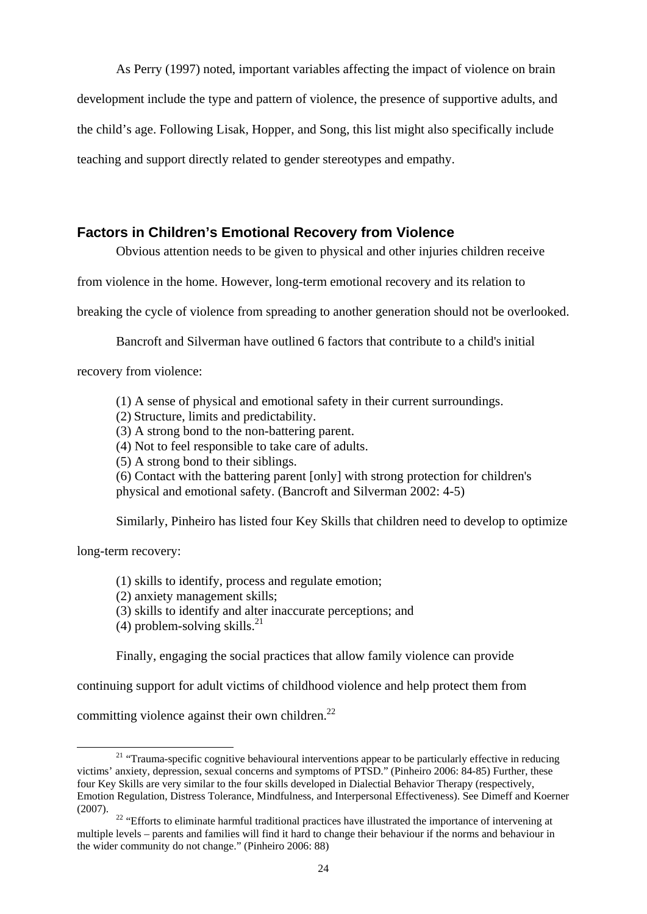As Perry (1997) noted, important variables affecting the impact of violence on brain development include the type and pattern of violence, the presence of supportive adults, and the child's age. Following Lisak, Hopper, and Song, this list might also specifically include teaching and support directly related to gender stereotypes and empathy.

# **Factors in Children's Emotional Recovery from Violence**

Obvious attention needs to be given to physical and other injuries children receive

from violence in the home. However, long-term emotional recovery and its relation to

breaking the cycle of violence from spreading to another generation should not be overlooked.

Bancroft and Silverman have outlined 6 factors that contribute to a child's initial

recovery from violence:

(1) A sense of physical and emotional safety in their current surroundings.

- (2) Structure, limits and predictability.
- (3) A strong bond to the non-battering parent.

(4) Not to feel responsible to take care of adults.

(5) A strong bond to their siblings.

(6) Contact with the battering parent [only] with strong protection for children's physical and emotional safety. (Bancroft and Silverman 2002: 4-5)

Similarly, Pinheiro has listed four Key Skills that children need to develop to optimize

long-term recovery:

(1) skills to identify, process and regulate emotion;

(2) anxiety management skills;

(3) skills to identify and alter inaccurate perceptions; and

(4) problem-solving skills. $^{21}$ 

Finally, engaging the social practices that allow family violence can provide

continuing support for adult victims of childhood violence and help protect them from

committing violence against their own children.<sup>22</sup>

<sup>&</sup>lt;sup>21</sup> "Trauma-specific cognitive behavioural interventions appear to be particularly effective in reducing victims' anxiety, depression, sexual concerns and symptoms of PTSD." (Pinheiro 2006: 84-85) Further, these four Key Skills are very similar to the four skills developed in Dialectial Behavior Therapy (respectively, Emotion Regulation, Distress Tolerance, Mindfulness, and Interpersonal Effectiveness). See Dimeff and Koerner

<sup>&</sup>lt;sup>22</sup> "Efforts to eliminate harmful traditional practices have illustrated the importance of intervening at multiple levels – parents and families will find it hard to change their behaviour if the norms and behaviour in the wider community do not change." (Pinheiro 2006: 88)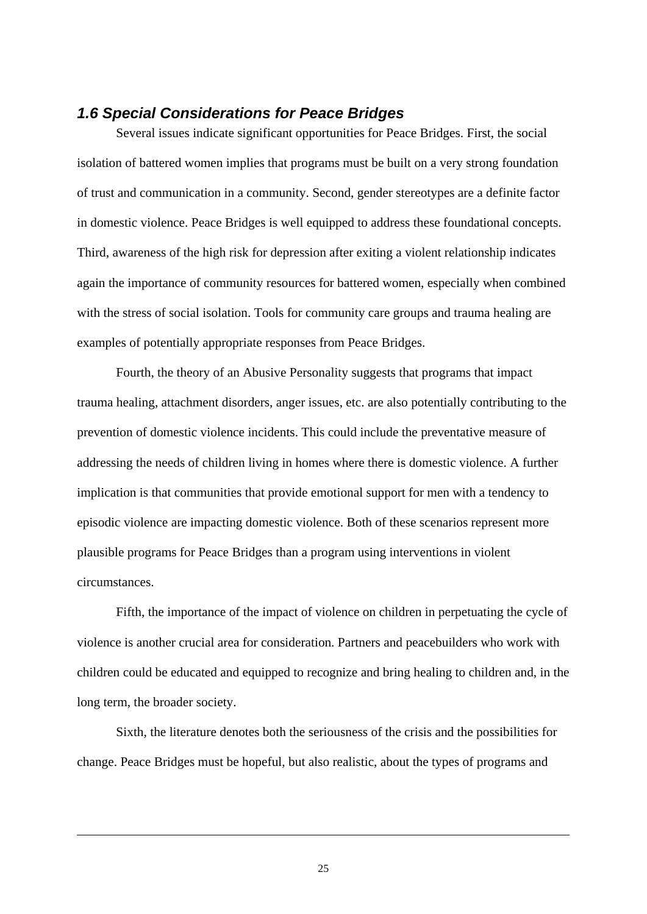# *1.6 Special Considerations for Peace Bridges*

Several issues indicate significant opportunities for Peace Bridges. First, the social isolation of battered women implies that programs must be built on a very strong foundation of trust and communication in a community. Second, gender stereotypes are a definite factor in domestic violence. Peace Bridges is well equipped to address these foundational concepts. Third, awareness of the high risk for depression after exiting a violent relationship indicates again the importance of community resources for battered women, especially when combined with the stress of social isolation. Tools for community care groups and trauma healing are examples of potentially appropriate responses from Peace Bridges.

 Fourth, the theory of an Abusive Personality suggests that programs that impact trauma healing, attachment disorders, anger issues, etc. are also potentially contributing to the prevention of domestic violence incidents. This could include the preventative measure of addressing the needs of children living in homes where there is domestic violence. A further implication is that communities that provide emotional support for men with a tendency to episodic violence are impacting domestic violence. Both of these scenarios represent more plausible programs for Peace Bridges than a program using interventions in violent circumstances.

Fifth, the importance of the impact of violence on children in perpetuating the cycle of violence is another crucial area for consideration. Partners and peacebuilders who work with children could be educated and equipped to recognize and bring healing to children and, in the long term, the broader society.

Sixth, the literature denotes both the seriousness of the crisis and the possibilities for change. Peace Bridges must be hopeful, but also realistic, about the types of programs and

25

-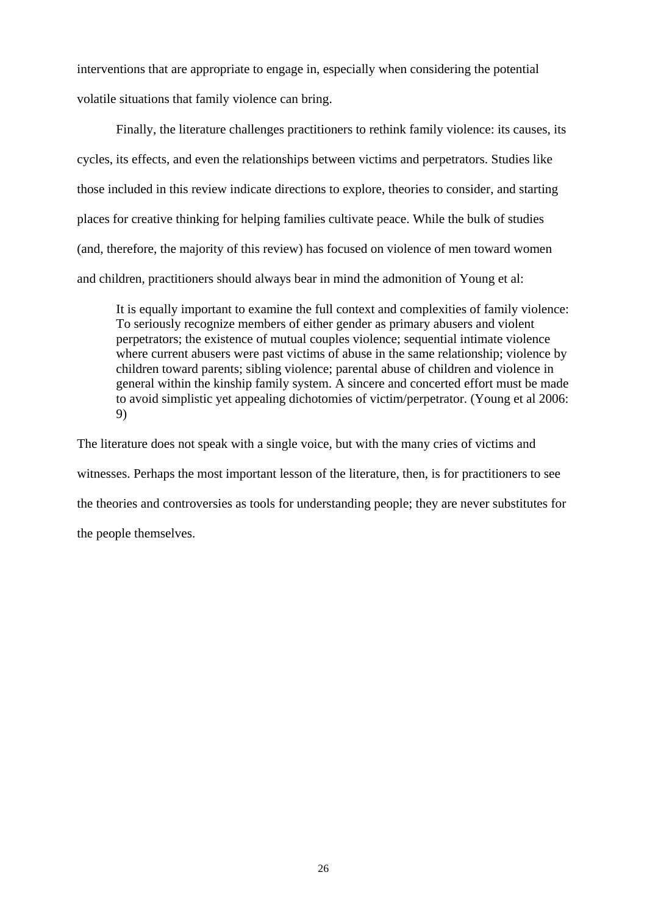interventions that are appropriate to engage in, especially when considering the potential volatile situations that family violence can bring.

Finally, the literature challenges practitioners to rethink family violence: its causes, its cycles, its effects, and even the relationships between victims and perpetrators. Studies like those included in this review indicate directions to explore, theories to consider, and starting places for creative thinking for helping families cultivate peace. While the bulk of studies (and, therefore, the majority of this review) has focused on violence of men toward women and children, practitioners should always bear in mind the admonition of Young et al:

It is equally important to examine the full context and complexities of family violence: To seriously recognize members of either gender as primary abusers and violent perpetrators; the existence of mutual couples violence; sequential intimate violence where current abusers were past victims of abuse in the same relationship; violence by children toward parents; sibling violence; parental abuse of children and violence in general within the kinship family system. A sincere and concerted effort must be made to avoid simplistic yet appealing dichotomies of victim/perpetrator. (Young et al 2006: 9)

The literature does not speak with a single voice, but with the many cries of victims and witnesses. Perhaps the most important lesson of the literature, then, is for practitioners to see the theories and controversies as tools for understanding people; they are never substitutes for the people themselves.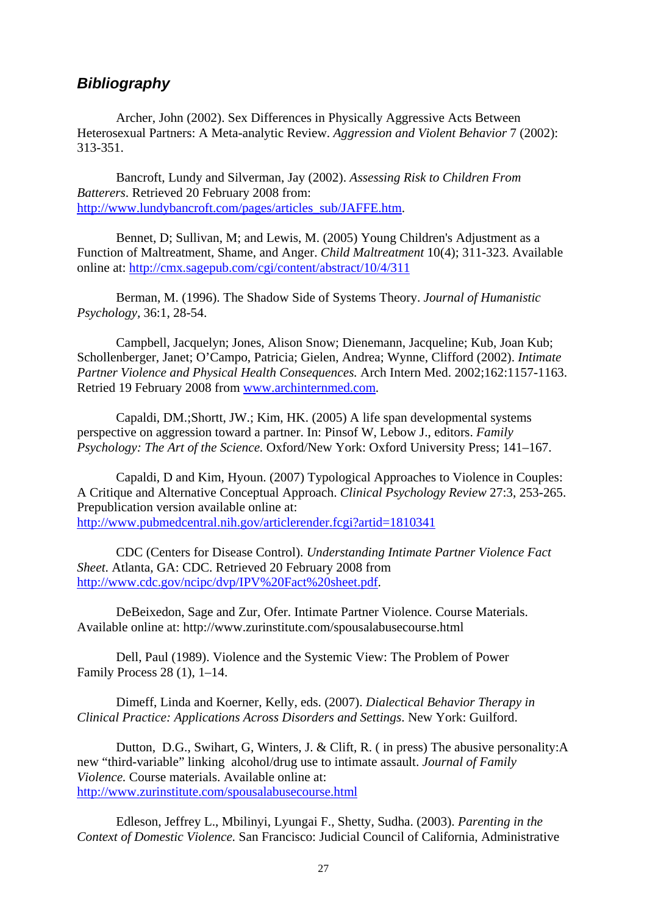# *Bibliography*

 Archer, John (2002). Sex Differences in Physically Aggressive Acts Between Heterosexual Partners: A Meta-analytic Review. *Aggression and Violent Behavior* 7 (2002): 313-351.

Bancroft, Lundy and Silverman, Jay (2002). *Assessing Risk to Children From Batterers*. Retrieved 20 February 2008 from: http://www.lundybancroft.com/pages/articles\_sub/JAFFE.htm.

 Bennet, D; Sullivan, M; and Lewis, M. (2005) Young Children's Adjustment as a Function of Maltreatment, Shame, and Anger. *Child Maltreatment* 10(4); 311-323. Available online at: http://cmx.sagepub.com/cgi/content/abstract/10/4/311

 Berman, M. (1996). The Shadow Side of Systems Theory. *Journal of Humanistic Psychology,* 36:1, 28-54.

Campbell, Jacquelyn; Jones, Alison Snow; Dienemann, Jacqueline; Kub, Joan Kub; Schollenberger, Janet; O'Campo, Patricia; Gielen, Andrea; Wynne, Clifford (2002). *Intimate Partner Violence and Physical Health Consequences.* Arch Intern Med. 2002;162:1157-1163. Retried 19 February 2008 from www.archinternmed.com.

Capaldi, DM.;Shortt, JW.; Kim, HK. (2005) A life span developmental systems perspective on aggression toward a partner. In: Pinsof W, Lebow J., editors. *Family Psychology: The Art of the Science.* Oxford/New York: Oxford University Press; 141–167.

Capaldi, D and Kim, Hyoun. (2007) Typological Approaches to Violence in Couples: A Critique and Alternative Conceptual Approach. *Clinical Psychology Review* 27:3, 253-265. Prepublication version available online at: http://www.pubmedcentral.nih.gov/articlerender.fcgi?artid=1810341

CDC (Centers for Disease Control). *Understanding Intimate Partner Violence Fact Sheet*. Atlanta, GA: CDC. Retrieved 20 February 2008 from http://www.cdc.gov/ncipc/dvp/IPV%20Fact%20sheet.pdf.

DeBeixedon, Sage and Zur, Ofer. Intimate Partner Violence. Course Materials. Available online at: http://www.zurinstitute.com/spousalabusecourse.html

Dell, Paul (1989). Violence and the Systemic View: The Problem of Power Family Process 28 (1), 1–14.

Dimeff, Linda and Koerner, Kelly, eds. (2007). *Dialectical Behavior Therapy in Clinical Practice: Applications Across Disorders and Settings*. New York: Guilford.

Dutton, D.G., Swihart, G, Winters, J. & Clift, R. ( in press) The abusive personality:A new "third-variable" linking alcohol/drug use to intimate assault. *Journal of Family Violence.* Course materials. Available online at: http://www.zurinstitute.com/spousalabusecourse.html

Edleson, Jeffrey L., Mbilinyi, Lyungai F., Shetty, Sudha. (2003). *Parenting in the Context of Domestic Violence.* San Francisco: Judicial Council of California, Administrative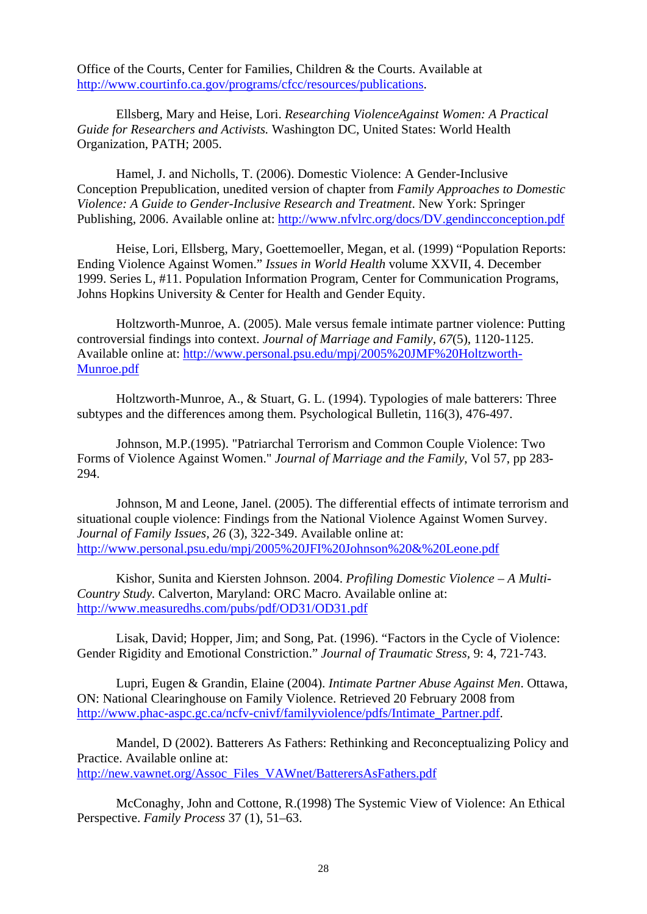Office of the Courts, Center for Families, Children & the Courts. Available at http://www.courtinfo.ca.gov/programs/cfcc/resources/publications.

 Ellsberg, Mary and Heise, Lori. *Researching ViolenceAgainst Women: A Practical Guide for Researchers and Activists.* Washington DC, United States: World Health Organization, PATH; 2005.

Hamel, J. and Nicholls, T. (2006). Domestic Violence: A Gender-Inclusive Conception Prepublication, unedited version of chapter from *Family Approaches to Domestic Violence: A Guide to Gender-Inclusive Research and Treatment*. New York: Springer Publishing, 2006. Available online at: http://www.nfvlrc.org/docs/DV.gendincconception.pdf

Heise, Lori, Ellsberg, Mary, Goettemoeller, Megan, et al. (1999) "Population Reports: Ending Violence Against Women." *Issues in World Health* volume XXVII, 4. December 1999. Series L, #11. Population Information Program, Center for Communication Programs, Johns Hopkins University & Center for Health and Gender Equity.

Holtzworth-Munroe, A. (2005). Male versus female intimate partner violence: Putting controversial findings into context. *Journal of Marriage and Family, 67*(5), 1120-1125. Available online at: http://www.personal.psu.edu/mpj/2005%20JMF%20Holtzworth-Munroe.pdf

Holtzworth-Munroe, A., & Stuart, G. L. (1994). Typologies of male batterers: Three subtypes and the differences among them. Psychological Bulletin, 116(3), 476-497.

Johnson, M.P.(1995). "Patriarchal Terrorism and Common Couple Violence: Two Forms of Violence Against Women." *Journal of Marriage and the Family*, Vol 57, pp 283- 294.

 Johnson, M and Leone, Janel. (2005). The differential effects of intimate terrorism and situational couple violence: Findings from the National Violence Against Women Survey. *Journal of Family Issues, 26* (3), 322-349. Available online at: http://www.personal.psu.edu/mpj/2005%20JFI%20Johnson%20&%20Leone.pdf

 Kishor, Sunita and Kiersten Johnson. 2004. *Profiling Domestic Violence – A Multi-Country Study.* Calverton, Maryland: ORC Macro. Available online at: http://www.measuredhs.com/pubs/pdf/OD31/OD31.pdf

Lisak, David; Hopper, Jim; and Song, Pat. (1996). "Factors in the Cycle of Violence: Gender Rigidity and Emotional Constriction." *Journal of Traumatic Stress,* 9: 4, 721-743.

Lupri, Eugen & Grandin, Elaine (2004). *Intimate Partner Abuse Against Men*. Ottawa, ON: National Clearinghouse on Family Violence. Retrieved 20 February 2008 from http://www.phac-aspc.gc.ca/ncfv-cnivf/familyviolence/pdfs/Intimate\_Partner.pdf.

 Mandel, D (2002). Batterers As Fathers: Rethinking and Reconceptualizing Policy and Practice. Available online at: http://new.vawnet.org/Assoc\_Files\_VAWnet/BatterersAsFathers.pdf

 McConaghy, John and Cottone, R.(1998) The Systemic View of Violence: An Ethical Perspective. *Family Process* 37 (1), 51–63.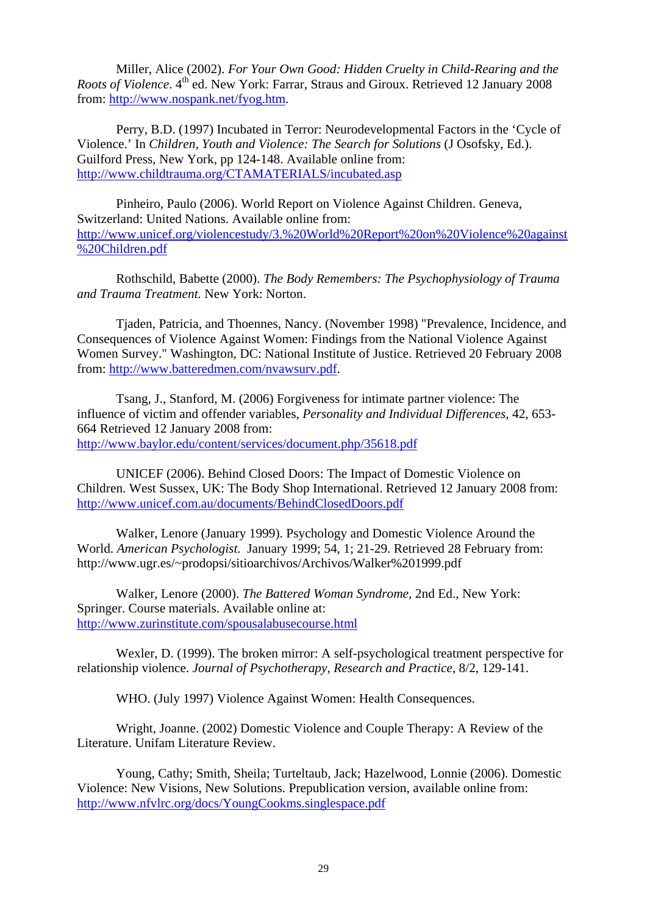Miller, Alice (2002). *For Your Own Good: Hidden Cruelty in Child-Rearing and the Roots of Violence*. 4<sup>th</sup> ed. New York: Farrar, Straus and Giroux. Retrieved 12 January 2008 from: http://www.nospank.net/fyog.htm.

Perry, B.D. (1997) Incubated in Terror: Neurodevelopmental Factors in the 'Cycle of Violence.' In *Children, Youth and Violence: The Search for Solutions* (J Osofsky, Ed.). Guilford Press, New York, pp 124-148. Available online from: http://www.childtrauma.org/CTAMATERIALS/incubated.asp

Pinheiro, Paulo (2006). World Report on Violence Against Children. Geneva, Switzerland: United Nations. Available online from: http://www.unicef.org/violencestudy/3.%20World%20Report%20on%20Violence%20against %20Children.pdf

Rothschild, Babette (2000). *The Body Remembers: The Psychophysiology of Trauma and Trauma Treatment.* New York: Norton.

Tjaden, Patricia, and Thoennes, Nancy. (November 1998) "Prevalence, Incidence, and Consequences of Violence Against Women: Findings from the National Violence Against Women Survey." Washington, DC: National Institute of Justice. Retrieved 20 February 2008 from: http://www.batteredmen.com/nvawsurv.pdf.

Tsang, J., Stanford, M. (2006) Forgiveness for intimate partner violence: The influence of victim and offender variables, *Personality and Individual Differences*, 42, 653- 664 Retrieved 12 January 2008 from: http://www.baylor.edu/content/services/document.php/35618.pdf

UNICEF (2006). Behind Closed Doors: The Impact of Domestic Violence on Children. West Sussex, UK: The Body Shop International. Retrieved 12 January 2008 from: http://www.unicef.com.au/documents/BehindClosedDoors.pdf

Walker, Lenore (January 1999). Psychology and Domestic Violence Around the World. *American Psychologist.* January 1999; 54, 1; 21-29. Retrieved 28 February from: http://www.ugr.es/~prodopsi/sitioarchivos/Archivos/Walker%201999.pdf

Walker, Lenore (2000). *The Battered Woman Syndrome,* 2nd Ed., New York: Springer. Course materials. Available online at: http://www.zurinstitute.com/spousalabusecourse.html

Wexler, D. (1999). The broken mirror: A self-psychological treatment perspective for relationship violence. *Journal of Psychotherapy, Research and Practice*, 8/2, 129-141.

WHO. (July 1997) Violence Against Women: Health Consequences.

Wright, Joanne. (2002) Domestic Violence and Couple Therapy: A Review of the Literature. Unifam Literature Review.

Young, Cathy; Smith, Sheila; Turteltaub, Jack; Hazelwood, Lonnie (2006). Domestic Violence: New Visions, New Solutions. Prepublication version, available online from: http://www.nfvlrc.org/docs/YoungCookms.singlespace.pdf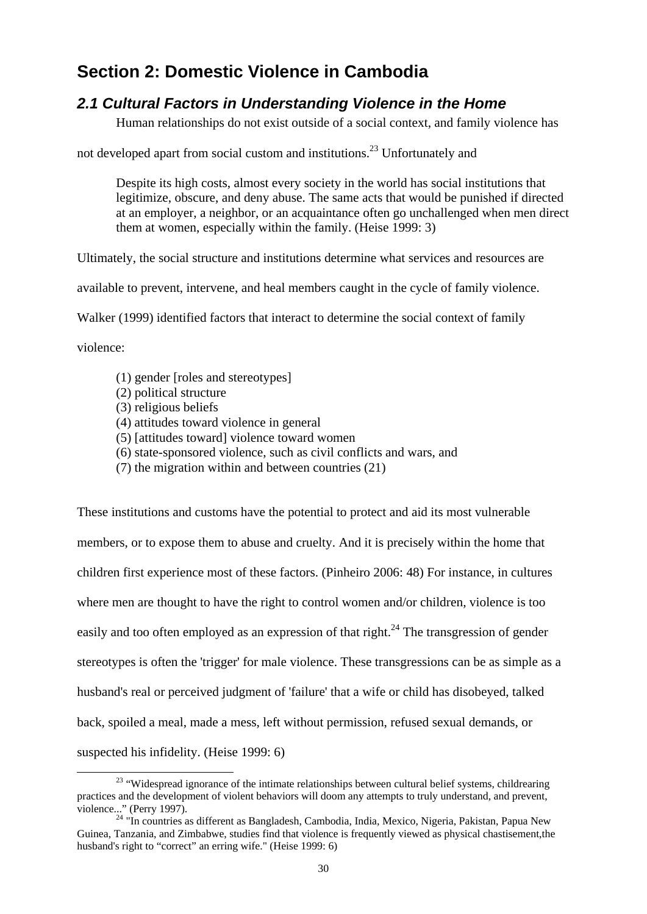# **Section 2: Domestic Violence in Cambodia**

# *2.1 Cultural Factors in Understanding Violence in the Home*

Human relationships do not exist outside of a social context, and family violence has

not developed apart from social custom and institutions.<sup>23</sup> Unfortunately and

Despite its high costs, almost every society in the world has social institutions that legitimize, obscure, and deny abuse. The same acts that would be punished if directed at an employer, a neighbor, or an acquaintance often go unchallenged when men direct them at women, especially within the family. (Heise 1999: 3)

Ultimately, the social structure and institutions determine what services and resources are

available to prevent, intervene, and heal members caught in the cycle of family violence.

Walker (1999) identified factors that interact to determine the social context of family

violence:

- (1) gender [roles and stereotypes]
- (2) political structure
- (3) religious beliefs
- (4) attitudes toward violence in general
- (5) [attitudes toward] violence toward women
- (6) state-sponsored violence, such as civil conflicts and wars, and
- (7) the migration within and between countries (21)

These institutions and customs have the potential to protect and aid its most vulnerable members, or to expose them to abuse and cruelty. And it is precisely within the home that children first experience most of these factors. (Pinheiro 2006: 48) For instance, in cultures where men are thought to have the right to control women and/or children, violence is too easily and too often employed as an expression of that right.<sup>24</sup> The transgression of gender stereotypes is often the 'trigger' for male violence. These transgressions can be as simple as a husband's real or perceived judgment of 'failure' that a wife or child has disobeyed, talked back, spoiled a meal, made a mess, left without permission, refused sexual demands, or suspected his infidelity. (Heise 1999: 6)

<sup>&</sup>lt;sup>23</sup> "Widespread ignorance of the intimate relationships between cultural belief systems, childrearing practices and the development of violent behaviors will doom any attempts to truly understand, and prevent,

violence..." (Perry 1997). 24 "In countries as different as Bangladesh, Cambodia, India, Mexico, Nigeria, Pakistan, Papua New Guinea, Tanzania, and Zimbabwe, studies find that violence is frequently viewed as physical chastisement,the husband's right to "correct" an erring wife." (Heise 1999: 6)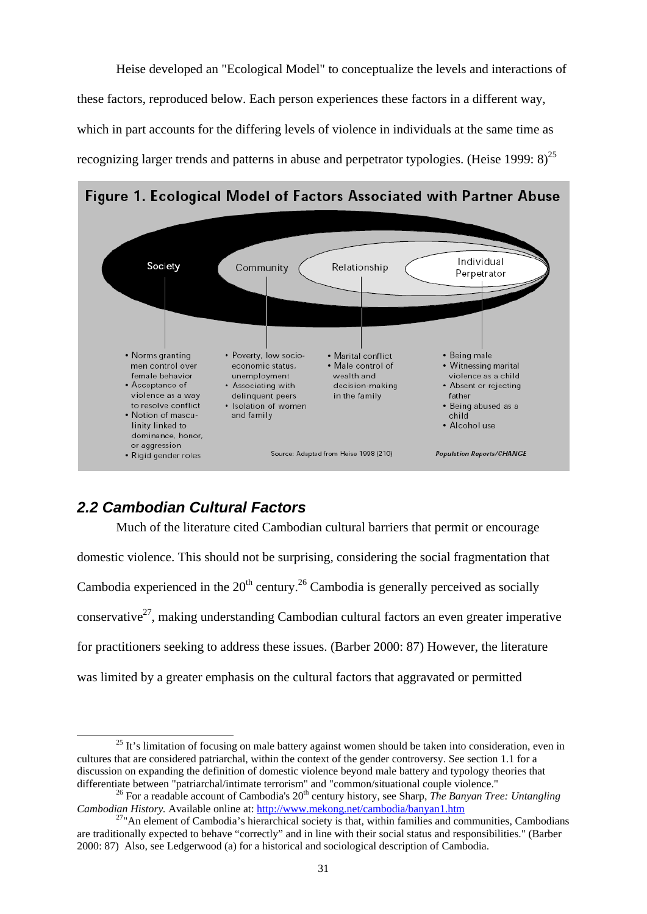Heise developed an "Ecological Model" to conceptualize the levels and interactions of these factors, reproduced below. Each person experiences these factors in a different way, which in part accounts for the differing levels of violence in individuals at the same time as recognizing larger trends and patterns in abuse and perpetrator typologies. (Heise 1999:  $8)^{25}$ 

Figure 1. Ecological Model of Factors Associated with Partner Abuse



# *2.2 Cambodian Cultural Factors*

 Much of the literature cited Cambodian cultural barriers that permit or encourage domestic violence. This should not be surprising, considering the social fragmentation that

Cambodia experienced in the  $20<sup>th</sup>$  century.<sup>26</sup> Cambodia is generally perceived as socially conservative<sup>27</sup>, making understanding Cambodian cultural factors an even greater imperative for practitioners seeking to address these issues. (Barber 2000: 87) However, the literature was limited by a greater emphasis on the cultural factors that aggravated or permitted

 $25$  It's limitation of focusing on male battery against women should be taken into consideration, even in cultures that are considered patriarchal, within the context of the gender controversy. See section 1.1 for a discussion on expanding the definition of domestic violence beyond male battery and typology theories that differentiate between "patriarchal/intimate terrorism" and "common/situational couple violence."<br><sup>26</sup> For a readable account of Cambodia's 20<sup>th</sup> century history, see Sharp, *The Banyan Tree: Untangling* 

*Cambodian History.* Available online at: http://www.mekong.net/cambodia/banyan1.htm <sup>27</sup>"An element of Cambodia's hierarchical society is that, within families and communities, Cambodians

are traditionally expected to behave "correctly" and in line with their social status and responsibilities." (Barber 2000: 87) Also, see Ledgerwood (a) for a historical and sociological description of Cambodia.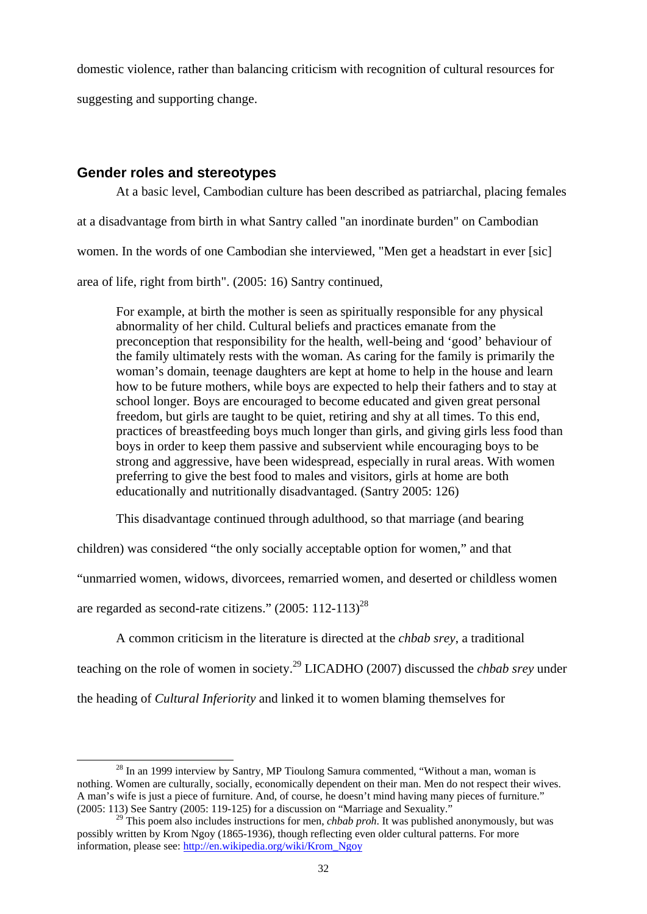domestic violence, rather than balancing criticism with recognition of cultural resources for

suggesting and supporting change.

## **Gender roles and stereotypes**

 At a basic level, Cambodian culture has been described as patriarchal, placing females at a disadvantage from birth in what Santry called "an inordinate burden" on Cambodian women. In the words of one Cambodian she interviewed, "Men get a headstart in ever [sic] area of life, right from birth". (2005: 16) Santry continued,

For example, at birth the mother is seen as spiritually responsible for any physical abnormality of her child. Cultural beliefs and practices emanate from the preconception that responsibility for the health, well-being and 'good' behaviour of the family ultimately rests with the woman. As caring for the family is primarily the woman's domain, teenage daughters are kept at home to help in the house and learn how to be future mothers, while boys are expected to help their fathers and to stay at school longer. Boys are encouraged to become educated and given great personal freedom, but girls are taught to be quiet, retiring and shy at all times. To this end, practices of breastfeeding boys much longer than girls, and giving girls less food than boys in order to keep them passive and subservient while encouraging boys to be strong and aggressive, have been widespread, especially in rural areas. With women preferring to give the best food to males and visitors, girls at home are both educationally and nutritionally disadvantaged. (Santry 2005: 126)

This disadvantage continued through adulthood, so that marriage (and bearing

children) was considered "the only socially acceptable option for women," and that

"unmarried women, widows, divorcees, remarried women, and deserted or childless women

are regarded as second-rate citizens."  $(2005: 112-113)^{28}$ 

A common criticism in the literature is directed at the *chbab srey*, a traditional

teaching on the role of women in society.29 LICADHO (2007) discussed the *chbab srey* under

the heading of *Cultural Inferiority* and linked it to women blaming themselves for

 $28$  In an 1999 interview by Santry, MP Tioulong Samura commented, "Without a man, woman is nothing. Women are culturally, socially, economically dependent on their man. Men do not respect their wives. A man's wife is just a piece of furniture. And, of course, he doesn't mind having many pieces of furniture." (2005: 113) See Santry (2005: 119-125) for a discussion on "Marriage and Sexuality."

<sup>&</sup>lt;sup>29</sup> This poem also includes instructions for men, *chbab proh*. It was published anonymously, but was possibly written by Krom Ngoy (1865-1936), though reflecting even older cultural patterns. For more information, please see: http://en.wikipedia.org/wiki/Krom\_Ngoy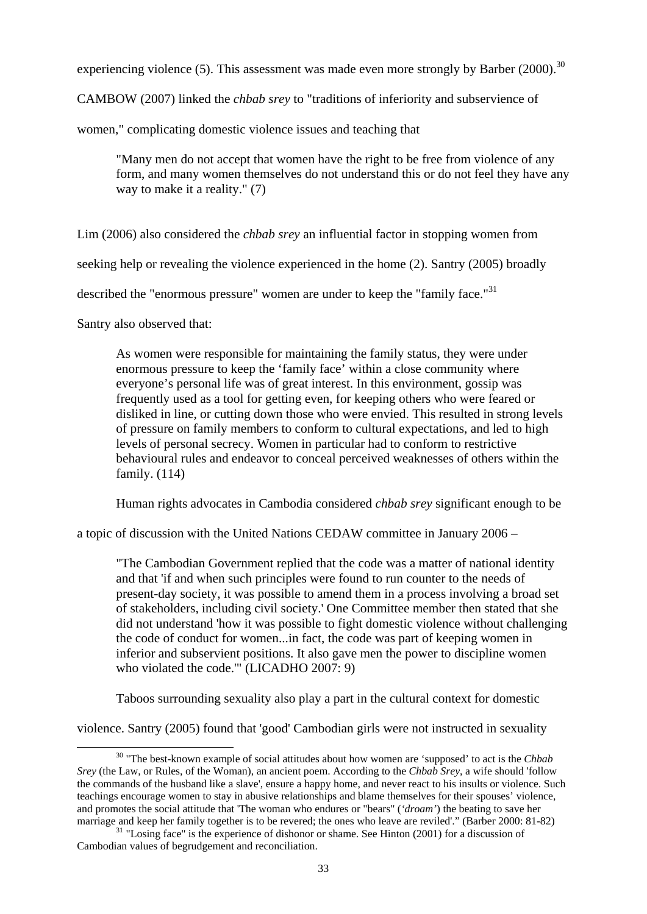experiencing violence (5). This assessment was made even more strongly by Barber (2000).<sup>30</sup>

CAMBOW (2007) linked the *chbab srey* to "traditions of inferiority and subservience of

women," complicating domestic violence issues and teaching that

"Many men do not accept that women have the right to be free from violence of any form, and many women themselves do not understand this or do not feel they have any way to make it a reality." (7)

Lim (2006) also considered the *chbab srey* an influential factor in stopping women from

seeking help or revealing the violence experienced in the home (2). Santry (2005) broadly

described the "enormous pressure" women are under to keep the "family face."<sup>31</sup>

Santry also observed that:

As women were responsible for maintaining the family status, they were under enormous pressure to keep the 'family face' within a close community where everyone's personal life was of great interest. In this environment, gossip was frequently used as a tool for getting even, for keeping others who were feared or disliked in line, or cutting down those who were envied. This resulted in strong levels of pressure on family members to conform to cultural expectations, and led to high levels of personal secrecy. Women in particular had to conform to restrictive behavioural rules and endeavor to conceal perceived weaknesses of others within the family. (114)

Human rights advocates in Cambodia considered *chbab srey* significant enough to be

a topic of discussion with the United Nations CEDAW committee in January 2006 –

"The Cambodian Government replied that the code was a matter of national identity and that 'if and when such principles were found to run counter to the needs of present-day society, it was possible to amend them in a process involving a broad set of stakeholders, including civil society.' One Committee member then stated that she did not understand 'how it was possible to fight domestic violence without challenging the code of conduct for women...in fact, the code was part of keeping women in inferior and subservient positions. It also gave men the power to discipline women who violated the code.'" (LICADHO 2007: 9)

Taboos surrounding sexuality also play a part in the cultural context for domestic

violence. Santry (2005) found that 'good' Cambodian girls were not instructed in sexuality

 <sup>30 &</sup>quot;The best-known example of social attitudes about how women are 'supposed' to act is the *Chbab Srey* (the Law, or Rules, of the Woman), an ancient poem. According to the *Chbab Srey*, a wife should 'follow the commands of the husband like a slave', ensure a happy home, and never react to his insults or violence. Such teachings encourage women to stay in abusive relationships and blame themselves for their spouses' violence, and promotes the social attitude that 'The woman who endures or "bears" (*'droam'*) the beating to save her

marriage and keep her family together is to be revered; the ones who leave are reviled'." (Barber 2000: 81-82) <sup>31</sup> "Losing face" is the experience of dishonor or shame. See Hinton (2001) for a discussion of Cambodian values of begrudgement and reconciliation.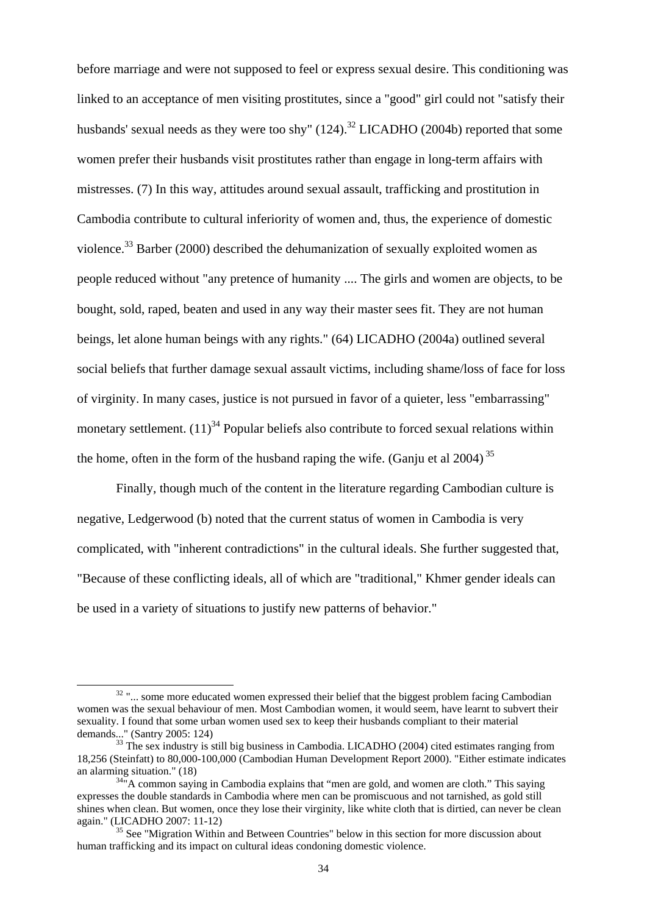before marriage and were not supposed to feel or express sexual desire. This conditioning was linked to an acceptance of men visiting prostitutes, since a "good" girl could not "satisfy their husbands' sexual needs as they were too shy"  $(124)$ .<sup>32</sup> LICADHO (2004b) reported that some women prefer their husbands visit prostitutes rather than engage in long-term affairs with mistresses. (7) In this way, attitudes around sexual assault, trafficking and prostitution in Cambodia contribute to cultural inferiority of women and, thus, the experience of domestic violence.<sup>33</sup> Barber (2000) described the dehumanization of sexually exploited women as people reduced without "any pretence of humanity .... The girls and women are objects, to be bought, sold, raped, beaten and used in any way their master sees fit. They are not human beings, let alone human beings with any rights." (64) LICADHO (2004a) outlined several social beliefs that further damage sexual assault victims, including shame/loss of face for loss of virginity. In many cases, justice is not pursued in favor of a quieter, less "embarrassing" monetary settlement.  $(11)^{34}$  Popular beliefs also contribute to forced sexual relations within the home, often in the form of the husband raping the wife. (Ganju et al 2004)<sup>35</sup>

Finally, though much of the content in the literature regarding Cambodian culture is negative, Ledgerwood (b) noted that the current status of women in Cambodia is very complicated, with "inherent contradictions" in the cultural ideals. She further suggested that, "Because of these conflicting ideals, all of which are "traditional," Khmer gender ideals can be used in a variety of situations to justify new patterns of behavior."

<sup>&</sup>lt;sup>32</sup> "... some more educated women expressed their belief that the biggest problem facing Cambodian women was the sexual behaviour of men. Most Cambodian women, it would seem, have learnt to subvert their sexuality. I found that some urban women used sex to keep their husbands compliant to their material demands..." (Santry 2005: 124)<br><sup>33</sup> The sex industry is still big business in Cambodia. LICADHO (2004) cited estimates ranging from

<sup>18,256 (</sup>Steinfatt) to 80,000-100,000 (Cambodian Human Development Report 2000). "Either estimate indicates

 $34<sup>34</sup>$ "A common saying in Cambodia explains that "men are gold, and women are cloth." This saying expresses the double standards in Cambodia where men can be promiscuous and not tarnished, as gold still shines when clean. But women, once they lose their virginity, like white cloth that is dirtied, can never be clean again." (LICADHO 2007: 11-12)<br><sup>35</sup> See "Migration Within and Between Countries" below in this section for more discussion about

human trafficking and its impact on cultural ideas condoning domestic violence.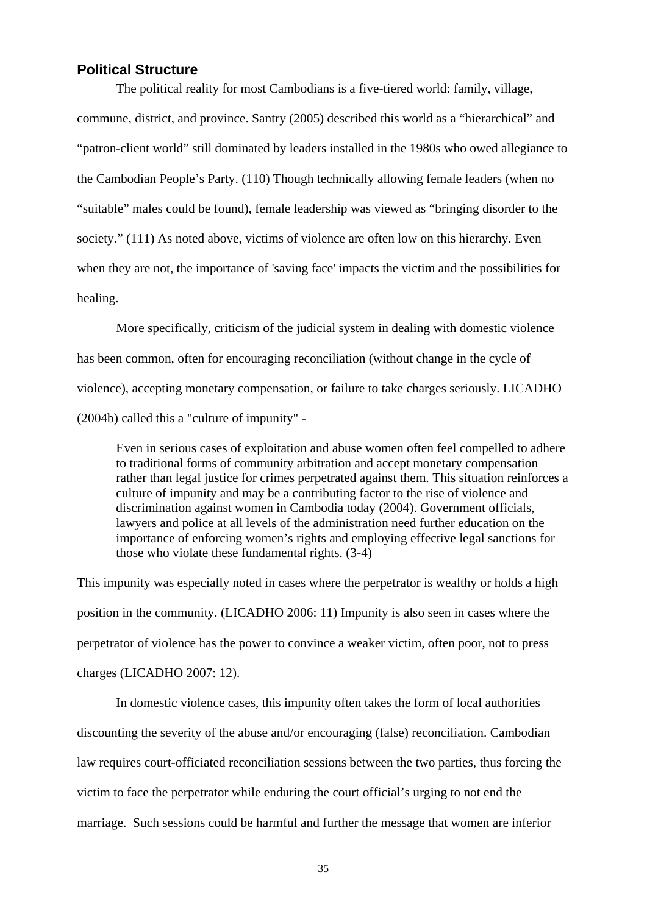## **Political Structure**

 The political reality for most Cambodians is a five-tiered world: family, village, commune, district, and province. Santry (2005) described this world as a "hierarchical" and "patron-client world" still dominated by leaders installed in the 1980s who owed allegiance to the Cambodian People's Party. (110) Though technically allowing female leaders (when no "suitable" males could be found), female leadership was viewed as "bringing disorder to the society." (111) As noted above, victims of violence are often low on this hierarchy. Even when they are not, the importance of 'saving face' impacts the victim and the possibilities for healing.

 More specifically, criticism of the judicial system in dealing with domestic violence has been common, often for encouraging reconciliation (without change in the cycle of violence), accepting monetary compensation, or failure to take charges seriously. LICADHO (2004b) called this a "culture of impunity" -

Even in serious cases of exploitation and abuse women often feel compelled to adhere to traditional forms of community arbitration and accept monetary compensation rather than legal justice for crimes perpetrated against them. This situation reinforces a culture of impunity and may be a contributing factor to the rise of violence and discrimination against women in Cambodia today (2004). Government officials, lawyers and police at all levels of the administration need further education on the importance of enforcing women's rights and employing effective legal sanctions for those who violate these fundamental rights. (3-4)

This impunity was especially noted in cases where the perpetrator is wealthy or holds a high position in the community. (LICADHO 2006: 11) Impunity is also seen in cases where the perpetrator of violence has the power to convince a weaker victim, often poor, not to press charges (LICADHO 2007: 12).

In domestic violence cases, this impunity often takes the form of local authorities discounting the severity of the abuse and/or encouraging (false) reconciliation. Cambodian law requires court-officiated reconciliation sessions between the two parties, thus forcing the victim to face the perpetrator while enduring the court official's urging to not end the marriage. Such sessions could be harmful and further the message that women are inferior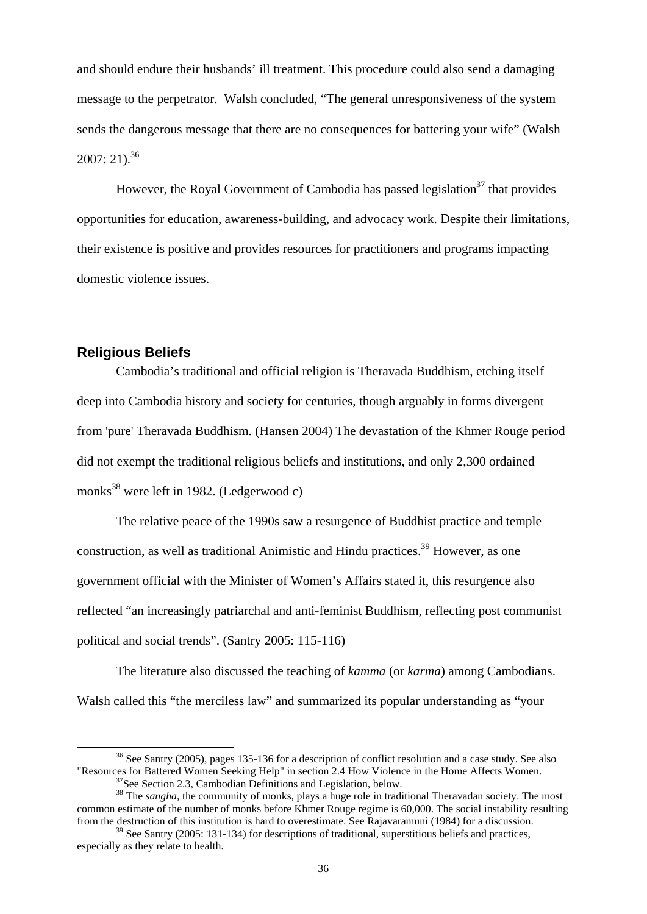and should endure their husbands' ill treatment. This procedure could also send a damaging message to the perpetrator. Walsh concluded, "The general unresponsiveness of the system sends the dangerous message that there are no consequences for battering your wife" (Walsh  $2007: 21.$ <sup>36</sup>

However, the Royal Government of Cambodia has passed legislation<sup>37</sup> that provides opportunities for education, awareness-building, and advocacy work. Despite their limitations, their existence is positive and provides resources for practitioners and programs impacting domestic violence issues.

#### **Religious Beliefs**

 Cambodia's traditional and official religion is Theravada Buddhism, etching itself deep into Cambodia history and society for centuries, though arguably in forms divergent from 'pure' Theravada Buddhism. (Hansen 2004) The devastation of the Khmer Rouge period did not exempt the traditional religious beliefs and institutions, and only 2,300 ordained monks<sup>38</sup> were left in 1982. (Ledgerwood c)

The relative peace of the 1990s saw a resurgence of Buddhist practice and temple construction, as well as traditional Animistic and Hindu practices.<sup>39</sup> However, as one government official with the Minister of Women's Affairs stated it, this resurgence also reflected "an increasingly patriarchal and anti-feminist Buddhism, reflecting post communist political and social trends". (Santry 2005: 115-116)

 The literature also discussed the teaching of *kamma* (or *karma*) among Cambodians. Walsh called this "the merciless law" and summarized its popular understanding as "your

<sup>&</sup>lt;sup>36</sup> See Santry (2005), pages 135-136 for a description of conflict resolution and a case study. See also "Resources for Battered Women Seeking Help" in section 2.4 How Violence in the Home Affects Women.<br><sup>37</sup>See Section 2.3, Cambodian Definitions and Legislation, below.

<sup>&</sup>lt;sup>38</sup> The *sangha*, the community of monks, plays a huge role in traditional Theravadan society. The most common estimate of the number of monks before Khmer Rouge regime is 60,000. The social instability resulting from the destruction of this institution is hard to overestimate. See Rajavaramuni (1984) for a discussion.

<sup>&</sup>lt;sup>39</sup> See Santry (2005: 131-134) for descriptions of traditional, superstitious beliefs and practices, especially as they relate to health.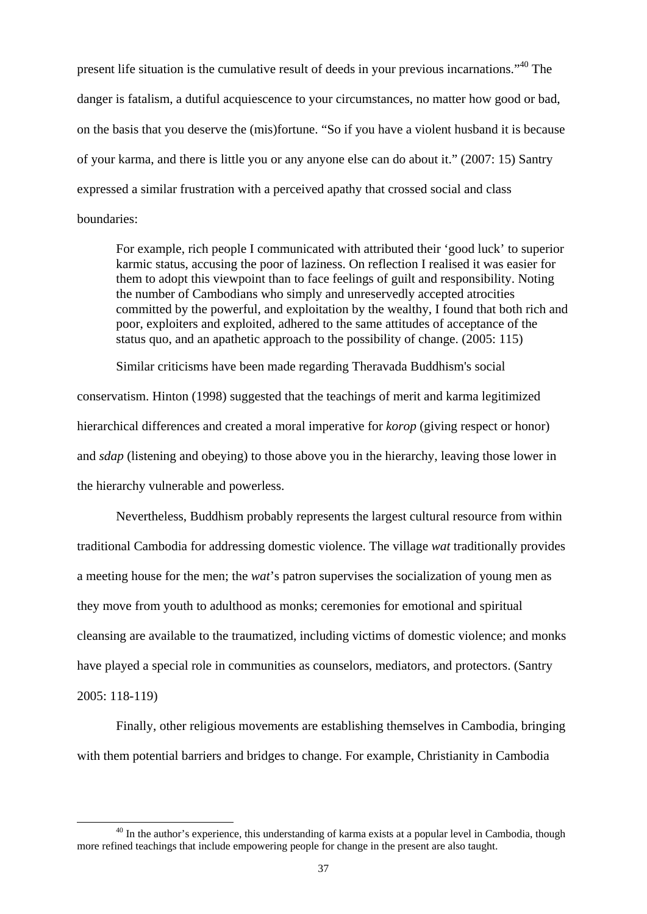present life situation is the cumulative result of deeds in your previous incarnations."40 The danger is fatalism, a dutiful acquiescence to your circumstances, no matter how good or bad, on the basis that you deserve the (mis)fortune. "So if you have a violent husband it is because of your karma, and there is little you or any anyone else can do about it." (2007: 15) Santry expressed a similar frustration with a perceived apathy that crossed social and class boundaries:

For example, rich people I communicated with attributed their 'good luck' to superior karmic status, accusing the poor of laziness. On reflection I realised it was easier for them to adopt this viewpoint than to face feelings of guilt and responsibility. Noting the number of Cambodians who simply and unreservedly accepted atrocities committed by the powerful, and exploitation by the wealthy, I found that both rich and poor, exploiters and exploited, adhered to the same attitudes of acceptance of the status quo, and an apathetic approach to the possibility of change. (2005: 115)

Similar criticisms have been made regarding Theravada Buddhism's social

conservatism. Hinton (1998) suggested that the teachings of merit and karma legitimized hierarchical differences and created a moral imperative for *korop* (giving respect or honor) and *sdap* (listening and obeying) to those above you in the hierarchy, leaving those lower in the hierarchy vulnerable and powerless.

 Nevertheless, Buddhism probably represents the largest cultural resource from within traditional Cambodia for addressing domestic violence. The village *wat* traditionally provides a meeting house for the men; the *wat*'s patron supervises the socialization of young men as they move from youth to adulthood as monks; ceremonies for emotional and spiritual cleansing are available to the traumatized, including victims of domestic violence; and monks have played a special role in communities as counselors, mediators, and protectors. (Santry 2005: 118-119)

 Finally, other religious movements are establishing themselves in Cambodia, bringing with them potential barriers and bridges to change. For example, Christianity in Cambodia

<sup>&</sup>lt;sup>40</sup> In the author's experience, this understanding of karma exists at a popular level in Cambodia, though more refined teachings that include empowering people for change in the present are also taught.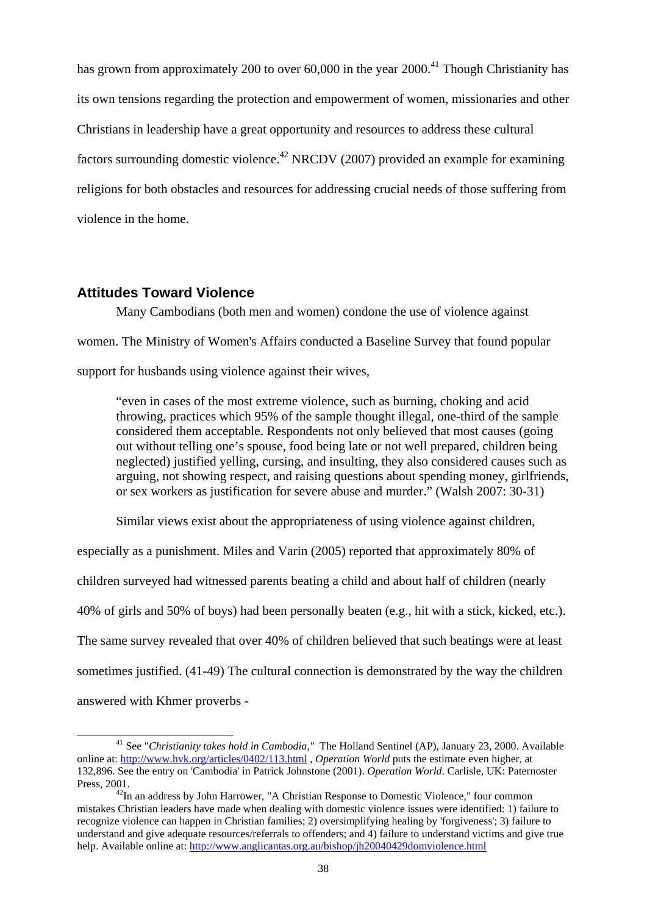has grown from approximately 200 to over  $60,000$  in the year  $2000<sup>41</sup>$  Though Christianity has its own tensions regarding the protection and empowerment of women, missionaries and other Christians in leadership have a great opportunity and resources to address these cultural factors surrounding domestic violence.<sup>42</sup> NRCDV (2007) provided an example for examining religions for both obstacles and resources for addressing crucial needs of those suffering from violence in the home.

#### **Attitudes Toward Violence**

Many Cambodians (both men and women) condone the use of violence against women. The Ministry of Women's Affairs conducted a Baseline Survey that found popular support for husbands using violence against their wives,

"even in cases of the most extreme violence, such as burning, choking and acid throwing, practices which 95% of the sample thought illegal, one-third of the sample considered them acceptable. Respondents not only believed that most causes (going out without telling one's spouse, food being late or not well prepared, children being neglected) justified yelling, cursing, and insulting, they also considered causes such as arguing, not showing respect, and raising questions about spending money, girlfriends, or sex workers as justification for severe abuse and murder." (Walsh 2007: 30-31)

Similar views exist about the appropriateness of using violence against children,

especially as a punishment. Miles and Varin (2005) reported that approximately 80% of children surveyed had witnessed parents beating a child and about half of children (nearly 40% of girls and 50% of boys) had been personally beaten (e.g., hit with a stick, kicked, etc.). The same survey revealed that over 40% of children believed that such beatings were at least sometimes justified. (41-49) The cultural connection is demonstrated by the way the children answered with Khmer proverbs -

 <sup>41</sup> See "*Christianity takes hold in Cambodia,"* The Holland Sentinel (AP), January 23, 2000. Available online at: http://www.hvk.org/articles/0402/113.html , *Operation World* puts the estimate even higher, at 132,896. See the entry on 'Cambodia' in Patrick Johnstone (2001). *Operation World*. Carlisle, UK: Paternoster Press, 2001.<br><sup>42</sup>In an address by John Harrower, "A Christian Response to Domestic Violence," four common

mistakes Christian leaders have made when dealing with domestic violence issues were identified: 1) failure to recognize violence can happen in Christian families; 2) oversimplifying healing by 'forgiveness'; 3) failure to understand and give adequate resources/referrals to offenders; and 4) failure to understand victims and give true help. Available online at: http://www.anglicantas.org.au/bishop/jh20040429domviolence.html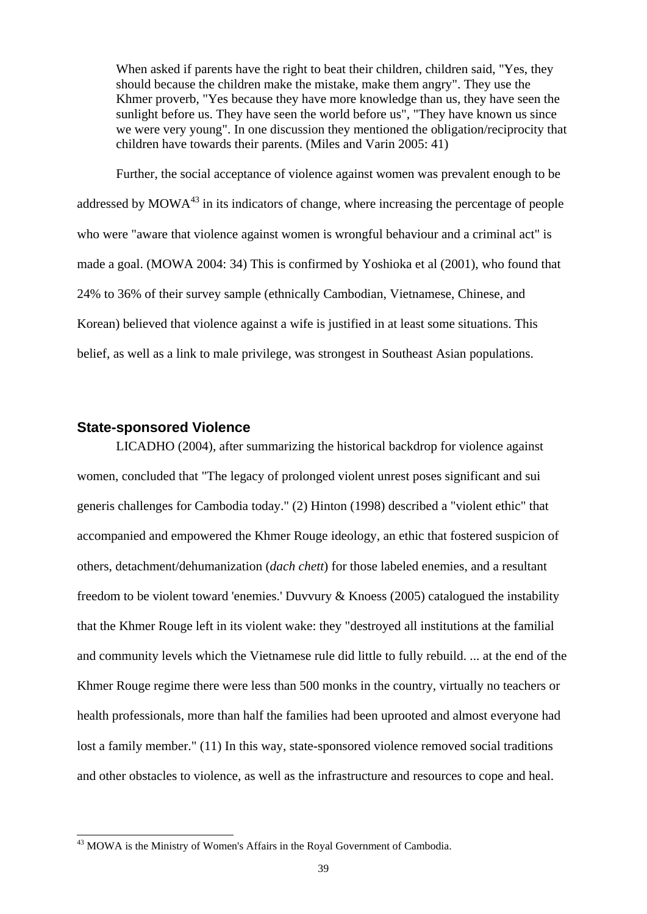When asked if parents have the right to beat their children, children said, "Yes, they should because the children make the mistake, make them angry". They use the Khmer proverb, "Yes because they have more knowledge than us, they have seen the sunlight before us. They have seen the world before us", "They have known us since we were very young". In one discussion they mentioned the obligation/reciprocity that children have towards their parents. (Miles and Varin 2005: 41)

 Further, the social acceptance of violence against women was prevalent enough to be addressed by  $MOWA<sup>43</sup>$  in its indicators of change, where increasing the percentage of people who were "aware that violence against women is wrongful behaviour and a criminal act" is made a goal. (MOWA 2004: 34) This is confirmed by Yoshioka et al (2001), who found that 24% to 36% of their survey sample (ethnically Cambodian, Vietnamese, Chinese, and Korean) believed that violence against a wife is justified in at least some situations. This belief, as well as a link to male privilege, was strongest in Southeast Asian populations.

#### **State-sponsored Violence**

-

LICADHO (2004), after summarizing the historical backdrop for violence against women, concluded that "The legacy of prolonged violent unrest poses significant and sui generis challenges for Cambodia today." (2) Hinton (1998) described a "violent ethic" that accompanied and empowered the Khmer Rouge ideology, an ethic that fostered suspicion of others, detachment/dehumanization (*dach chett*) for those labeled enemies, and a resultant freedom to be violent toward 'enemies.' Duvvury & Knoess (2005) catalogued the instability that the Khmer Rouge left in its violent wake: they "destroyed all institutions at the familial and community levels which the Vietnamese rule did little to fully rebuild. ... at the end of the Khmer Rouge regime there were less than 500 monks in the country, virtually no teachers or health professionals, more than half the families had been uprooted and almost everyone had lost a family member." (11) In this way, state-sponsored violence removed social traditions and other obstacles to violence, as well as the infrastructure and resources to cope and heal.

 $43$  MOWA is the Ministry of Women's Affairs in the Royal Government of Cambodia.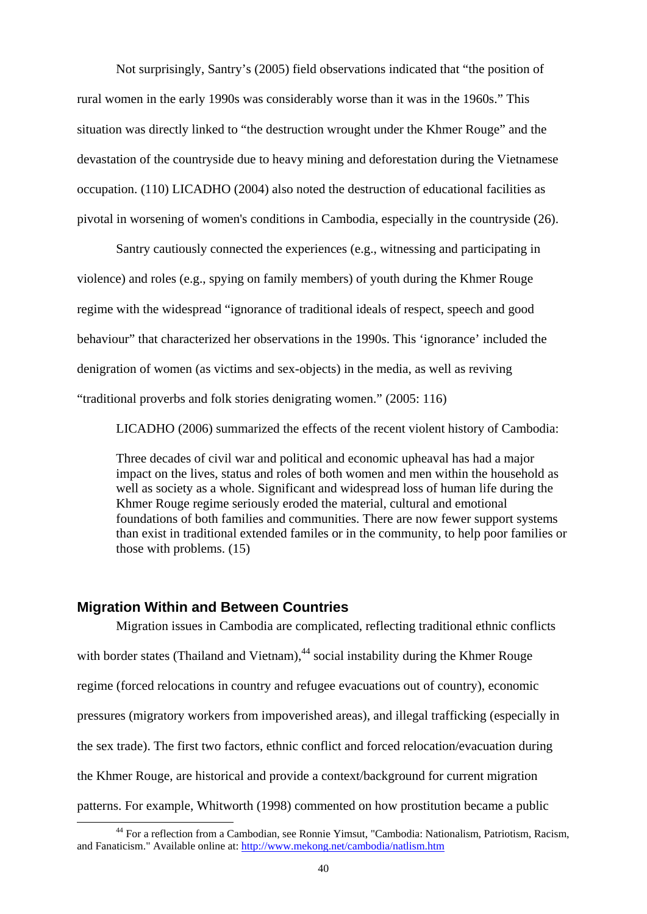Not surprisingly, Santry's (2005) field observations indicated that "the position of rural women in the early 1990s was considerably worse than it was in the 1960s." This situation was directly linked to "the destruction wrought under the Khmer Rouge" and the devastation of the countryside due to heavy mining and deforestation during the Vietnamese occupation. (110) LICADHO (2004) also noted the destruction of educational facilities as pivotal in worsening of women's conditions in Cambodia, especially in the countryside (26).

Santry cautiously connected the experiences (e.g., witnessing and participating in violence) and roles (e.g., spying on family members) of youth during the Khmer Rouge regime with the widespread "ignorance of traditional ideals of respect, speech and good behaviour" that characterized her observations in the 1990s. This 'ignorance' included the denigration of women (as victims and sex-objects) in the media, as well as reviving "traditional proverbs and folk stories denigrating women." (2005: 116)

LICADHO (2006) summarized the effects of the recent violent history of Cambodia:

Three decades of civil war and political and economic upheaval has had a major impact on the lives, status and roles of both women and men within the household as well as society as a whole. Significant and widespread loss of human life during the Khmer Rouge regime seriously eroded the material, cultural and emotional foundations of both families and communities. There are now fewer support systems than exist in traditional extended familes or in the community, to help poor families or those with problems. (15)

#### **Migration Within and Between Countries**

Migration issues in Cambodia are complicated, reflecting traditional ethnic conflicts with border states (Thailand and Vietnam),  $44$  social instability during the Khmer Rouge regime (forced relocations in country and refugee evacuations out of country), economic pressures (migratory workers from impoverished areas), and illegal trafficking (especially in the sex trade). The first two factors, ethnic conflict and forced relocation/evacuation during the Khmer Rouge, are historical and provide a context/background for current migration patterns. For example, Whitworth (1998) commented on how prostitution became a public

 <sup>44</sup> For a reflection from a Cambodian, see Ronnie Yimsut, "Cambodia: Nationalism, Patriotism, Racism, and Fanaticism." Available online at: http://www.mekong.net/cambodia/natlism.htm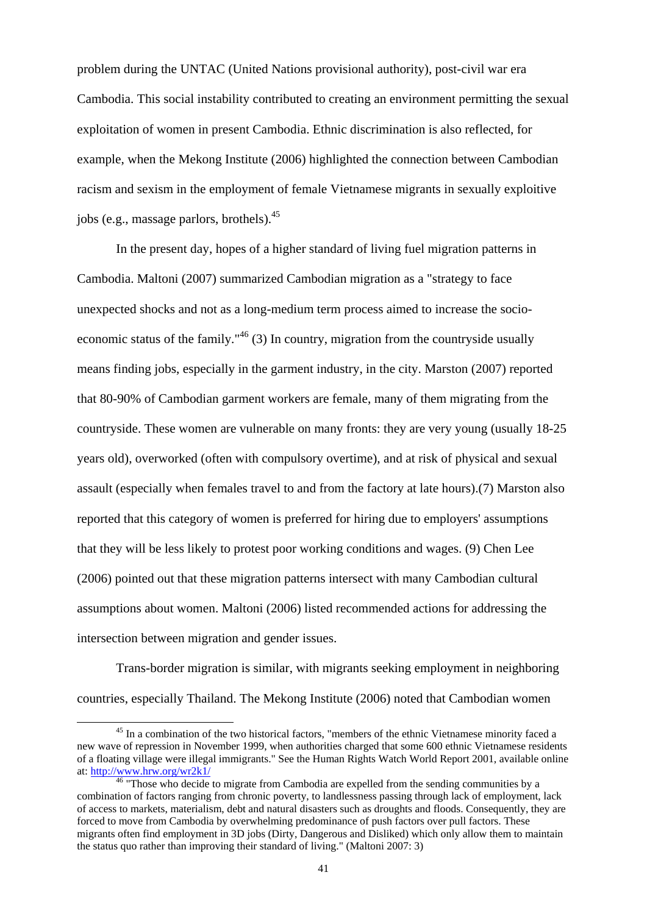problem during the UNTAC (United Nations provisional authority), post-civil war era Cambodia. This social instability contributed to creating an environment permitting the sexual exploitation of women in present Cambodia. Ethnic discrimination is also reflected, for example, when the Mekong Institute (2006) highlighted the connection between Cambodian racism and sexism in the employment of female Vietnamese migrants in sexually exploitive jobs (e.g., massage parlors, brothels). $45$ 

 In the present day, hopes of a higher standard of living fuel migration patterns in Cambodia. Maltoni (2007) summarized Cambodian migration as a "strategy to face unexpected shocks and not as a long-medium term process aimed to increase the socioeconomic status of the family."<sup>46</sup> (3) In country, migration from the countryside usually means finding jobs, especially in the garment industry, in the city. Marston (2007) reported that 80-90% of Cambodian garment workers are female, many of them migrating from the countryside. These women are vulnerable on many fronts: they are very young (usually 18-25 years old), overworked (often with compulsory overtime), and at risk of physical and sexual assault (especially when females travel to and from the factory at late hours).(7) Marston also reported that this category of women is preferred for hiring due to employers' assumptions that they will be less likely to protest poor working conditions and wages. (9) Chen Lee (2006) pointed out that these migration patterns intersect with many Cambodian cultural assumptions about women. Maltoni (2006) listed recommended actions for addressing the intersection between migration and gender issues.

Trans-border migration is similar, with migrants seeking employment in neighboring countries, especially Thailand. The Mekong Institute (2006) noted that Cambodian women

<sup>&</sup>lt;sup>45</sup> In a combination of the two historical factors, "members of the ethnic Vietnamese minority faced a new wave of repression in November 1999, when authorities charged that some 600 ethnic Vietnamese residents of a floating village were illegal immigrants." See the Human Rights Watch World Report 2001, available online at:  $\frac{http://www.hrw.org/wr2k1}{46}$  "Those who decide to migrate from Cambodia are expelled from the sending communities by a

combination of factors ranging from chronic poverty, to landlessness passing through lack of employment, lack of access to markets, materialism, debt and natural disasters such as droughts and floods. Consequently, they are forced to move from Cambodia by overwhelming predominance of push factors over pull factors. These migrants often find employment in 3D jobs (Dirty, Dangerous and Disliked) which only allow them to maintain the status quo rather than improving their standard of living." (Maltoni 2007: 3)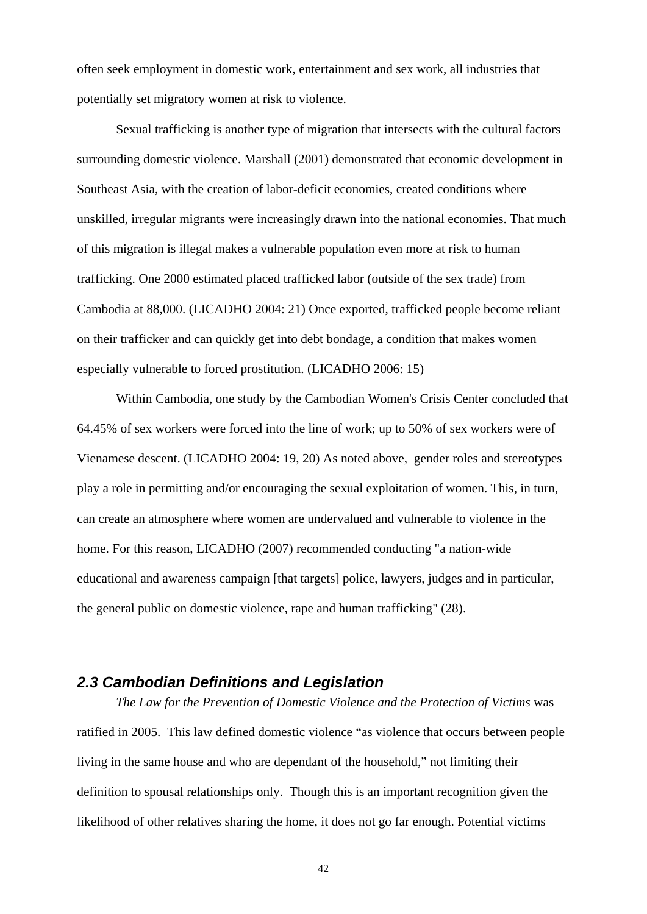often seek employment in domestic work, entertainment and sex work, all industries that potentially set migratory women at risk to violence.

 Sexual trafficking is another type of migration that intersects with the cultural factors surrounding domestic violence. Marshall (2001) demonstrated that economic development in Southeast Asia, with the creation of labor-deficit economies, created conditions where unskilled, irregular migrants were increasingly drawn into the national economies. That much of this migration is illegal makes a vulnerable population even more at risk to human trafficking. One 2000 estimated placed trafficked labor (outside of the sex trade) from Cambodia at 88,000. (LICADHO 2004: 21) Once exported, trafficked people become reliant on their trafficker and can quickly get into debt bondage, a condition that makes women especially vulnerable to forced prostitution. (LICADHO 2006: 15)

Within Cambodia, one study by the Cambodian Women's Crisis Center concluded that 64.45% of sex workers were forced into the line of work; up to 50% of sex workers were of Vienamese descent. (LICADHO 2004: 19, 20) As noted above, gender roles and stereotypes play a role in permitting and/or encouraging the sexual exploitation of women. This, in turn, can create an atmosphere where women are undervalued and vulnerable to violence in the home. For this reason, LICADHO (2007) recommended conducting "a nation-wide educational and awareness campaign [that targets] police, lawyers, judges and in particular, the general public on domestic violence, rape and human trafficking" (28).

# *2.3 Cambodian Definitions and Legislation*

*The Law for the Prevention of Domestic Violence and the Protection of Victims* was ratified in 2005. This law defined domestic violence "as violence that occurs between people living in the same house and who are dependant of the household," not limiting their definition to spousal relationships only. Though this is an important recognition given the likelihood of other relatives sharing the home, it does not go far enough. Potential victims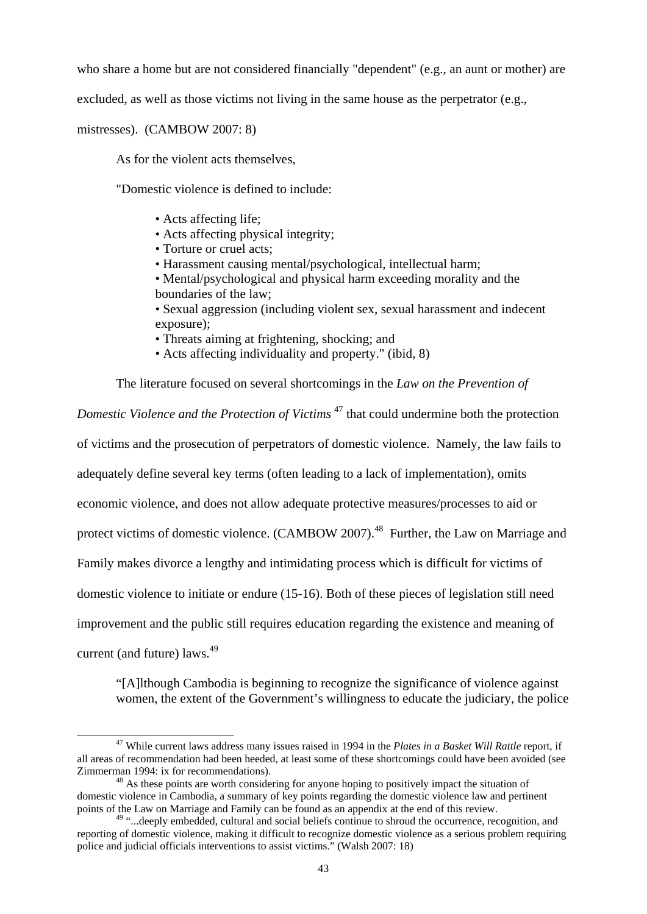who share a home but are not considered financially "dependent" (e.g., an aunt or mother) are

excluded, as well as those victims not living in the same house as the perpetrator (e.g.,

mistresses). (CAMBOW 2007: 8)

As for the violent acts themselves,

"Domestic violence is defined to include:

- Acts affecting life;
- Acts affecting physical integrity;
- Torture or cruel acts;
- Harassment causing mental/psychological, intellectual harm;
- Mental/psychological and physical harm exceeding morality and the boundaries of the law;
- Sexual aggression (including violent sex, sexual harassment and indecent exposure);
- Threats aiming at frightening, shocking; and
- Acts affecting individuality and property." (ibid, 8)

The literature focused on several shortcomings in the *Law on the Prevention of* 

*Domestic Violence and the Protection of Victims* 47 that could undermine both the protection

of victims and the prosecution of perpetrators of domestic violence. Namely, the law fails to

adequately define several key terms (often leading to a lack of implementation), omits

economic violence, and does not allow adequate protective measures/processes to aid or

protect victims of domestic violence. (CAMBOW 2007).<sup>48</sup> Further, the Law on Marriage and

Family makes divorce a lengthy and intimidating process which is difficult for victims of

domestic violence to initiate or endure (15-16). Both of these pieces of legislation still need

improvement and the public still requires education regarding the existence and meaning of

current (and future) laws.<sup>49</sup>

"[A]lthough Cambodia is beginning to recognize the significance of violence against women, the extent of the Government's willingness to educate the judiciary, the police

 <sup>47</sup> While current laws address many issues raised in 1994 in the *Plates in a Basket Will Rattle* report, if all areas of recommendation had been heeded, at least some of these shortcomings could have been avoided (see Zimmerman 1994: ix for recommendations). 48 As these points are worth considering for anyone hoping to positively impact the situation of

domestic violence in Cambodia, a summary of key points regarding the domestic violence law and pertinent points of the Law on Marriage and Family can be found as an appendix at the end of this review.

<sup>49 &</sup>quot;...deeply embedded, cultural and social beliefs continue to shroud the occurrence, recognition, and reporting of domestic violence, making it difficult to recognize domestic violence as a serious problem requiring police and judicial officials interventions to assist victims." (Walsh 2007: 18)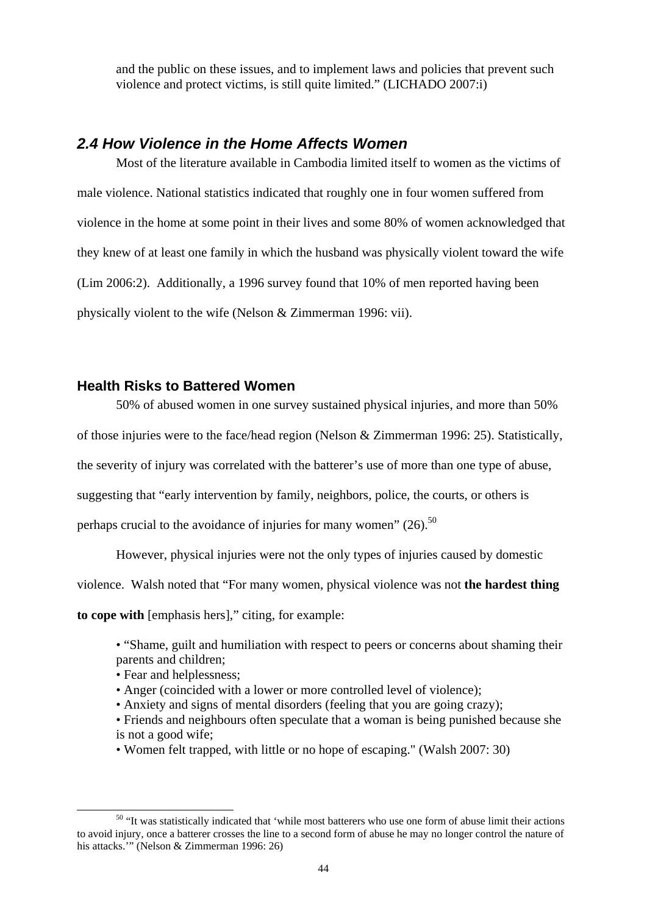and the public on these issues, and to implement laws and policies that prevent such violence and protect victims, is still quite limited." (LICHADO 2007:i)

# *2.4 How Violence in the Home Affects Women*

 Most of the literature available in Cambodia limited itself to women as the victims of male violence. National statistics indicated that roughly one in four women suffered from violence in the home at some point in their lives and some 80% of women acknowledged that they knew of at least one family in which the husband was physically violent toward the wife (Lim 2006:2). Additionally, a 1996 survey found that 10% of men reported having been physically violent to the wife (Nelson & Zimmerman 1996: vii).

#### **Health Risks to Battered Women**

50% of abused women in one survey sustained physical injuries, and more than 50%

of those injuries were to the face/head region (Nelson & Zimmerman 1996: 25). Statistically,

the severity of injury was correlated with the batterer's use of more than one type of abuse,

suggesting that "early intervention by family, neighbors, police, the courts, or others is

perhaps crucial to the avoidance of injuries for many women"  $(26)$ <sup>50</sup>

However, physical injuries were not the only types of injuries caused by domestic

violence. Walsh noted that "For many women, physical violence was not **the hardest thing** 

**to cope with** [emphasis hers]," citing, for example:

- "Shame, guilt and humiliation with respect to peers or concerns about shaming their parents and children;
- Fear and helplessness:
- Anger (coincided with a lower or more controlled level of violence);
- Anxiety and signs of mental disorders (feeling that you are going crazy);
- Friends and neighbours often speculate that a woman is being punished because she is not a good wife;
- Women felt trapped, with little or no hope of escaping." (Walsh 2007: 30)

<sup>&</sup>lt;sup>50</sup> "It was statistically indicated that 'while most batterers who use one form of abuse limit their actions to avoid injury, once a batterer crosses the line to a second form of abuse he may no longer control the nature of his attacks.'" (Nelson & Zimmerman 1996: 26)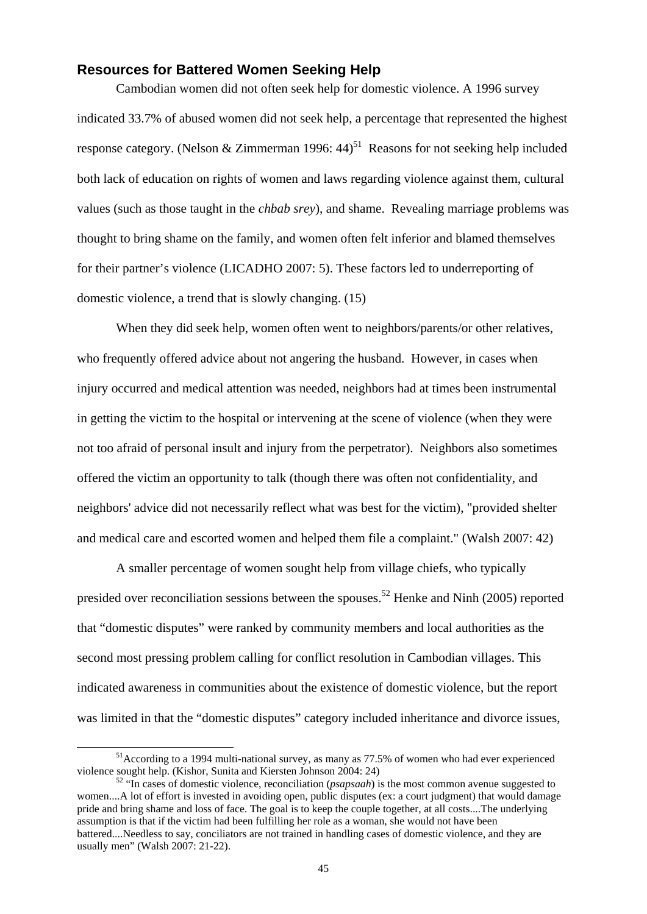## **Resources for Battered Women Seeking Help**

Cambodian women did not often seek help for domestic violence. A 1996 survey indicated 33.7% of abused women did not seek help, a percentage that represented the highest response category. (Nelson & Zimmerman 1996:  $44$ )<sup>51</sup> Reasons for not seeking help included both lack of education on rights of women and laws regarding violence against them, cultural values (such as those taught in the *chbab srey*), and shame. Revealing marriage problems was thought to bring shame on the family, and women often felt inferior and blamed themselves for their partner's violence (LICADHO 2007: 5). These factors led to underreporting of domestic violence, a trend that is slowly changing. (15)

When they did seek help, women often went to neighbors/parents/or other relatives, who frequently offered advice about not angering the husband. However, in cases when injury occurred and medical attention was needed, neighbors had at times been instrumental in getting the victim to the hospital or intervening at the scene of violence (when they were not too afraid of personal insult and injury from the perpetrator). Neighbors also sometimes offered the victim an opportunity to talk (though there was often not confidentiality, and neighbors' advice did not necessarily reflect what was best for the victim), "provided shelter and medical care and escorted women and helped them file a complaint." (Walsh 2007: 42)

A smaller percentage of women sought help from village chiefs, who typically presided over reconciliation sessions between the spouses.<sup>52</sup> Henke and Ninh (2005) reported that "domestic disputes" were ranked by community members and local authorities as the second most pressing problem calling for conflict resolution in Cambodian villages. This indicated awareness in communities about the existence of domestic violence, but the report was limited in that the "domestic disputes" category included inheritance and divorce issues,

 <sup>51</sup>According to a 1994 multi-national survey, as many as 77.5% of women who had ever experienced violence sought help. (Kishor, Sunita and Kiersten Johnson 2004: 24) 52 "In cases of domestic violence, reconciliation (*psapsaah*) is the most common avenue suggested to

women....A lot of effort is invested in avoiding open, public disputes (ex: a court judgment) that would damage pride and bring shame and loss of face. The goal is to keep the couple together, at all costs....The underlying assumption is that if the victim had been fulfilling her role as a woman, she would not have been battered....Needless to say, conciliators are not trained in handling cases of domestic violence, and they are usually men" (Walsh 2007: 21-22).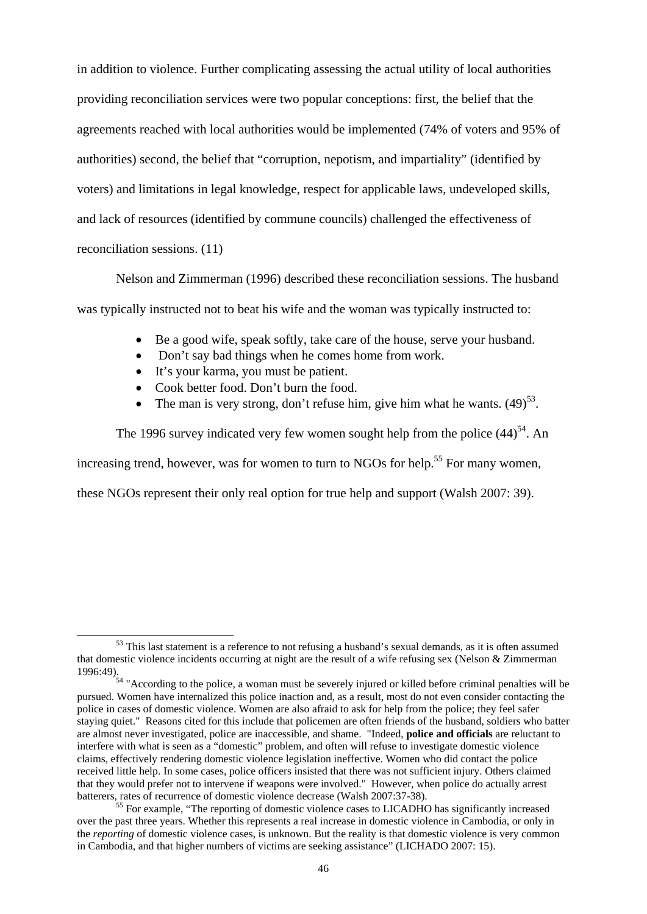in addition to violence. Further complicating assessing the actual utility of local authorities providing reconciliation services were two popular conceptions: first, the belief that the agreements reached with local authorities would be implemented (74% of voters and 95% of authorities) second, the belief that "corruption, nepotism, and impartiality" (identified by voters) and limitations in legal knowledge, respect for applicable laws, undeveloped skills, and lack of resources (identified by commune councils) challenged the effectiveness of reconciliation sessions. (11)

Nelson and Zimmerman (1996) described these reconciliation sessions. The husband was typically instructed not to beat his wife and the woman was typically instructed to:

- Be a good wife, speak softly, take care of the house, serve your husband.
- Don't say bad things when he comes home from work.
- It's your karma, you must be patient.
- Cook better food. Don't burn the food.
- The man is very strong, don't refuse him, give him what he wants.  $(49)^{53}$ .

The 1996 survey indicated very few women sought help from the police  $(44)^{54}$ . An increasing trend, however, was for women to turn to NGOs for help.<sup>55</sup> For many women, these NGOs represent their only real option for true help and support (Walsh 2007: 39).

<sup>&</sup>lt;sup>53</sup> This last statement is a reference to not refusing a husband's sexual demands, as it is often assumed that domestic violence incidents occurring at night are the result of a wife refusing sex (Nelson & Zimmerman 1996:49). 54 "According to the police, a woman must be severely injured or killed before criminal penalties will be

pursued. Women have internalized this police inaction and, as a result, most do not even consider contacting the police in cases of domestic violence. Women are also afraid to ask for help from the police; they feel safer staying quiet." Reasons cited for this include that policemen are often friends of the husband, soldiers who batter are almost never investigated, police are inaccessible, and shame. "Indeed, **police and officials** are reluctant to interfere with what is seen as a "domestic" problem, and often will refuse to investigate domestic violence claims, effectively rendering domestic violence legislation ineffective. Women who did contact the police received little help. In some cases, police officers insisted that there was not sufficient injury. Others claimed that they would prefer not to intervene if weapons were involved." However, when police do actually arrest batterers, rates of recurrence of domestic violence decrease (Walsh 2007:37-38).<br><sup>55</sup> For example, "The reporting of domestic violence cases to LICADHO has significantly increased

over the past three years. Whether this represents a real increase in domestic violence in Cambodia, or only in the *reporting* of domestic violence cases, is unknown. But the reality is that domestic violence is very common in Cambodia, and that higher numbers of victims are seeking assistance" (LICHADO 2007: 15).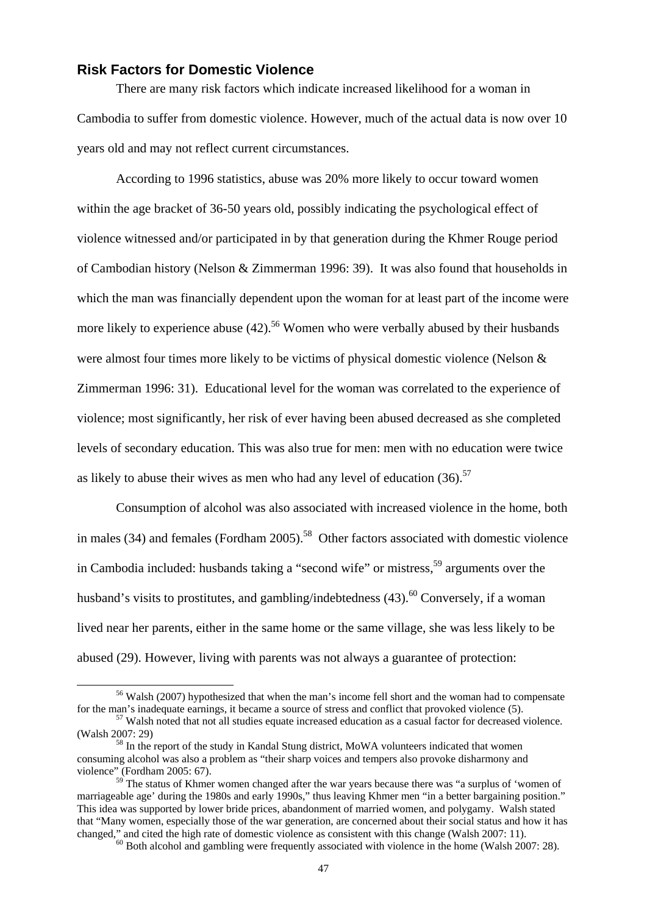#### **Risk Factors for Domestic Violence**

There are many risk factors which indicate increased likelihood for a woman in Cambodia to suffer from domestic violence. However, much of the actual data is now over 10 years old and may not reflect current circumstances.

According to 1996 statistics, abuse was 20% more likely to occur toward women within the age bracket of 36-50 years old, possibly indicating the psychological effect of violence witnessed and/or participated in by that generation during the Khmer Rouge period of Cambodian history (Nelson & Zimmerman 1996: 39). It was also found that households in which the man was financially dependent upon the woman for at least part of the income were more likely to experience abuse  $(42)$ <sup>56</sup> Women who were verbally abused by their husbands were almost four times more likely to be victims of physical domestic violence (Nelson & Zimmerman 1996: 31). Educational level for the woman was correlated to the experience of violence; most significantly, her risk of ever having been abused decreased as she completed levels of secondary education. This was also true for men: men with no education were twice as likely to abuse their wives as men who had any level of education  $(36)$ <sup>57</sup>

Consumption of alcohol was also associated with increased violence in the home, both in males (34) and females (Fordham 2005).<sup>58</sup> Other factors associated with domestic violence in Cambodia included: husbands taking a "second wife" or mistress,  $59$  arguments over the husband's visits to prostitutes, and gambling/indebtedness  $(43)$ .<sup>60</sup> Conversely, if a woman lived near her parents, either in the same home or the same village, she was less likely to be abused (29). However, living with parents was not always a guarantee of protection:

<sup>&</sup>lt;sup>56</sup> Walsh (2007) hypothesized that when the man's income fell short and the woman had to compensate for the man's inadequate earnings, it became a source of stress and conflict that provoked violence (5). 57 Walsh noted that not all studies equate increased education as a casual factor for decreased violence.

<sup>(</sup>Walsh 2007: 29)<br><sup>58</sup> In the report of the study in Kandal Stung district, MoWA volunteers indicated that women

consuming alcohol was also a problem as "their sharp voices and tempers also provoke disharmony and violence" (Fordham 2005: 67).

<sup>&</sup>lt;sup>59</sup> The status of Khmer women changed after the war years because there was "a surplus of 'women of marriageable age' during the 1980s and early 1990s," thus leaving Khmer men "in a better bargaining position." This idea was supported by lower bride prices, abandonment of married women, and polygamy. Walsh stated that "Many women, especially those of the war generation, are concerned about their social status and how it has changed," and cited the high rate of domestic violence as consistent with this change (Walsh 2007: 11).<br><sup>60</sup> Both alcohol and gambling were frequently associated with violence in the home (Walsh 2007: 28).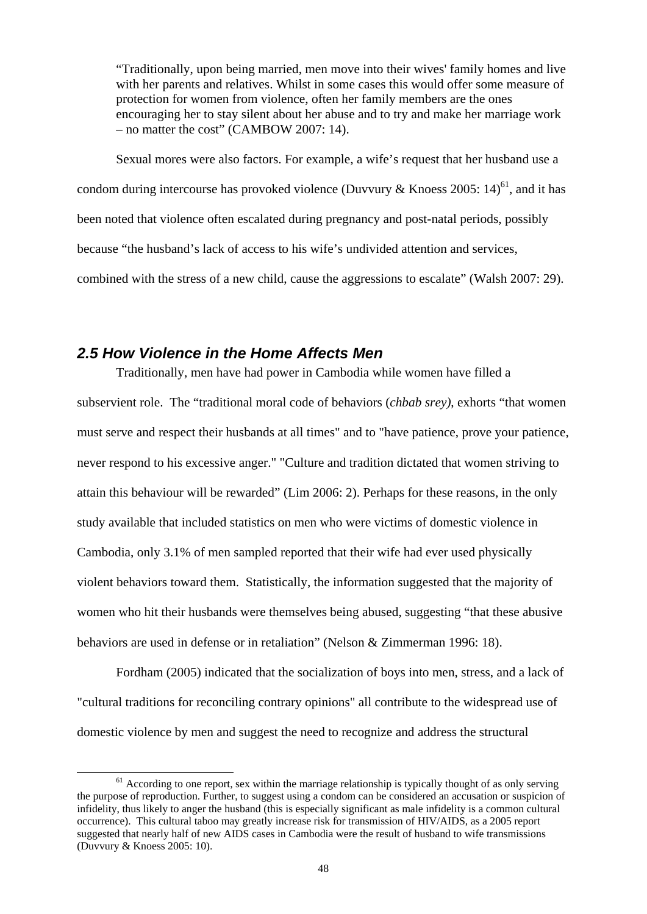"Traditionally, upon being married, men move into their wives' family homes and live with her parents and relatives. Whilst in some cases this would offer some measure of protection for women from violence, often her family members are the ones encouraging her to stay silent about her abuse and to try and make her marriage work – no matter the cost" (CAMBOW 2007: 14).

Sexual mores were also factors. For example, a wife's request that her husband use a condom during intercourse has provoked violence (Duvvury & Knoess 2005: 14)<sup>61</sup>, and it has been noted that violence often escalated during pregnancy and post-natal periods, possibly because "the husband's lack of access to his wife's undivided attention and services, combined with the stress of a new child, cause the aggressions to escalate" (Walsh 2007: 29).

# *2.5 How Violence in the Home Affects Men*

Traditionally, men have had power in Cambodia while women have filled a subservient role. The "traditional moral code of behaviors (*chbab srey)*, exhorts "that women must serve and respect their husbands at all times" and to "have patience, prove your patience, never respond to his excessive anger." "Culture and tradition dictated that women striving to attain this behaviour will be rewarded" (Lim 2006: 2). Perhaps for these reasons, in the only study available that included statistics on men who were victims of domestic violence in Cambodia, only 3.1% of men sampled reported that their wife had ever used physically violent behaviors toward them. Statistically, the information suggested that the majority of women who hit their husbands were themselves being abused, suggesting "that these abusive behaviors are used in defense or in retaliation" (Nelson & Zimmerman 1996: 18).

Fordham (2005) indicated that the socialization of boys into men, stress, and a lack of "cultural traditions for reconciling contrary opinions" all contribute to the widespread use of domestic violence by men and suggest the need to recognize and address the structural

 $<sup>61</sup>$  According to one report, sex within the marriage relationship is typically thought of as only serving</sup> the purpose of reproduction. Further, to suggest using a condom can be considered an accusation or suspicion of infidelity, thus likely to anger the husband (this is especially significant as male infidelity is a common cultural occurrence). This cultural taboo may greatly increase risk for transmission of HIV/AIDS, as a 2005 report suggested that nearly half of new AIDS cases in Cambodia were the result of husband to wife transmissions (Duvvury & Knoess 2005: 10).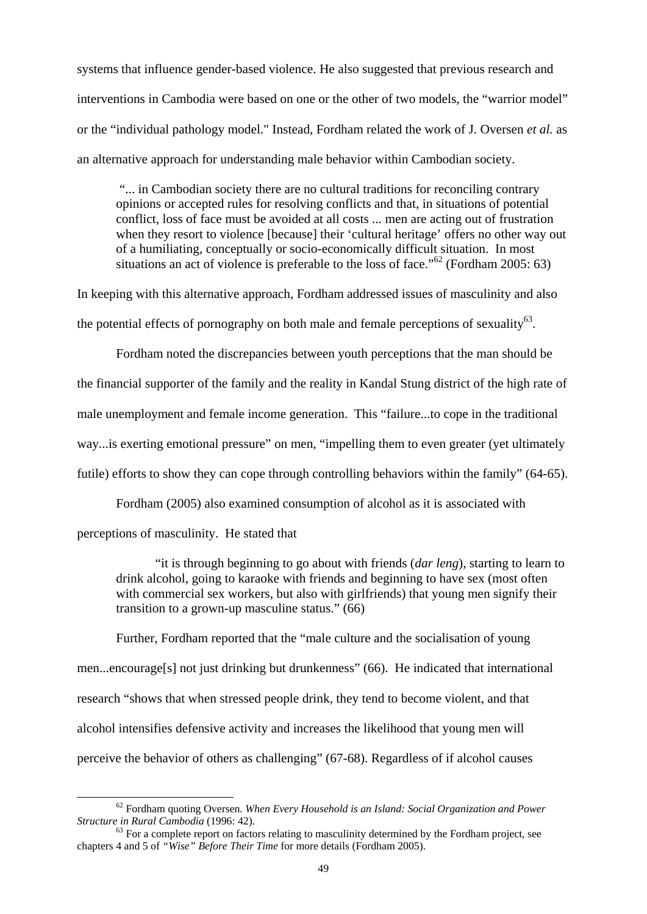systems that influence gender-based violence. He also suggested that previous research and interventions in Cambodia were based on one or the other of two models, the "warrior model" or the "individual pathology model." Instead, Fordham related the work of J. Oversen *et al.* as an alternative approach for understanding male behavior within Cambodian society.

 "... in Cambodian society there are no cultural traditions for reconciling contrary opinions or accepted rules for resolving conflicts and that, in situations of potential conflict, loss of face must be avoided at all costs ... men are acting out of frustration when they resort to violence [because] their 'cultural heritage' offers no other way out of a humiliating, conceptually or socio-economically difficult situation. In most situations an act of violence is preferable to the loss of face."<sup>62</sup> (Fordham 2005: 63)

In keeping with this alternative approach, Fordham addressed issues of masculinity and also the potential effects of pornography on both male and female perceptions of sexuality $^{63}$ .

Fordham noted the discrepancies between youth perceptions that the man should be the financial supporter of the family and the reality in Kandal Stung district of the high rate of male unemployment and female income generation. This "failure...to cope in the traditional way...is exerting emotional pressure" on men, "impelling them to even greater (yet ultimately futile) efforts to show they can cope through controlling behaviors within the family" (64-65).

Fordham (2005) also examined consumption of alcohol as it is associated with perceptions of masculinity. He stated that

"it is through beginning to go about with friends (*dar leng*), starting to learn to drink alcohol, going to karaoke with friends and beginning to have sex (most often with commercial sex workers, but also with girlfriends) that young men signify their transition to a grown-up masculine status." (66)

Further, Fordham reported that the "male culture and the socialisation of young men...encourage[s] not just drinking but drunkenness" (66). He indicated that international research "shows that when stressed people drink, they tend to become violent, and that alcohol intensifies defensive activity and increases the likelihood that young men will perceive the behavior of others as challenging" (67-68). Regardless of if alcohol causes

<sup>&</sup>lt;sup>62</sup> Fordham quoting Oversen. When Every Household is an Island: Social Organization and Power Structure in Rural Cambodia (1996: 42).

<sup>&</sup>lt;sup>63</sup> For a complete report on factors relating to masculinity determined by the Fordham project, see chapters 4 and 5 of *"Wise" Before Their Time* for more details (Fordham 2005).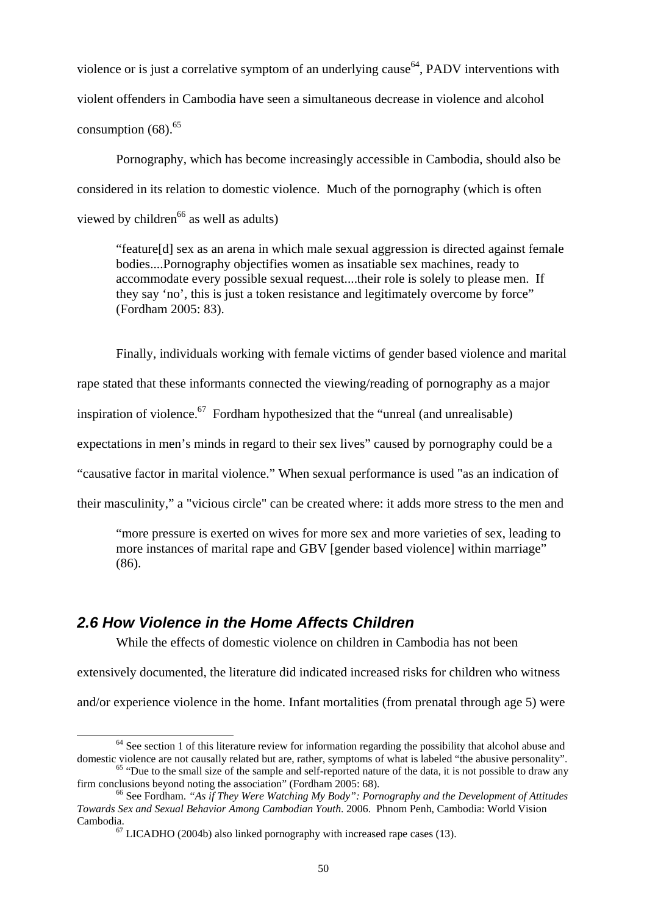violence or is just a correlative symptom of an underlying cause  $64$ , PADV interventions with violent offenders in Cambodia have seen a simultaneous decrease in violence and alcohol consumption  $(68)$ <sup>65</sup>

Pornography, which has become increasingly accessible in Cambodia, should also be considered in its relation to domestic violence. Much of the pornography (which is often viewed by children<sup>66</sup> as well as adults)

"feature[d] sex as an arena in which male sexual aggression is directed against female bodies....Pornography objectifies women as insatiable sex machines, ready to accommodate every possible sexual request....their role is solely to please men. If they say 'no', this is just a token resistance and legitimately overcome by force" (Fordham 2005: 83).

Finally, individuals working with female victims of gender based violence and marital

rape stated that these informants connected the viewing/reading of pornography as a major

inspiration of violence.<sup>67</sup> Fordham hypothesized that the "unreal (and unrealisable)

expectations in men's minds in regard to their sex lives" caused by pornography could be a

"causative factor in marital violence." When sexual performance is used "as an indication of

their masculinity," a "vicious circle" can be created where: it adds more stress to the men and

"more pressure is exerted on wives for more sex and more varieties of sex, leading to more instances of marital rape and GBV [gender based violence] within marriage" (86).

# *2.6 How Violence in the Home Affects Children*

While the effects of domestic violence on children in Cambodia has not been

extensively documented, the literature did indicated increased risks for children who witness

and/or experience violence in the home. Infant mortalities (from prenatal through age 5) were

 $64$  See section 1 of this literature review for information regarding the possibility that alcohol abuse and domestic violence are not causally related but are, rather, symptoms of what is labeled "the abusive personalit

 $\frac{65}{100}$  "Due to the small size of the sample and self-reported nature of the data, it is not possible to draw any firm conclusions beyond noting the association" (Fordham 2005: 68).

<sup>&</sup>lt;sup>66</sup> See Fordham. "As if They Were Watching My Body": Pornography and the Development of Attitudes *Towards Sex and Sexual Behavior Among Cambodian Youth*. 2006. Phnom Penh, Cambodia: World Vision Cambodia.<br><sup>67</sup> LICADHO (2004b) also linked pornography with increased rape cases (13).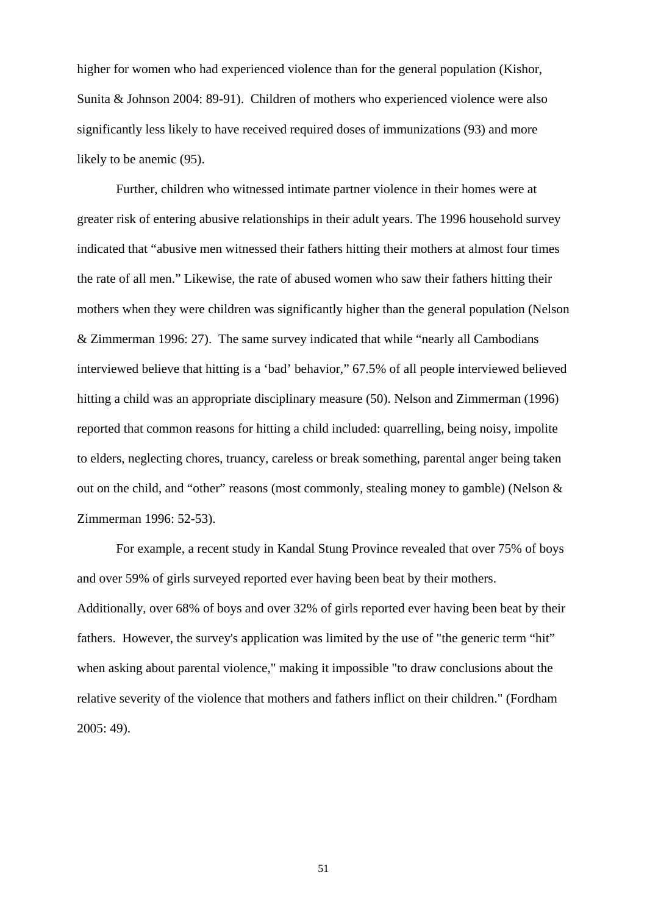higher for women who had experienced violence than for the general population (Kishor, Sunita & Johnson 2004: 89-91). Children of mothers who experienced violence were also significantly less likely to have received required doses of immunizations (93) and more likely to be anemic (95).

Further, children who witnessed intimate partner violence in their homes were at greater risk of entering abusive relationships in their adult years. The 1996 household survey indicated that "abusive men witnessed their fathers hitting their mothers at almost four times the rate of all men." Likewise, the rate of abused women who saw their fathers hitting their mothers when they were children was significantly higher than the general population (Nelson & Zimmerman 1996: 27). The same survey indicated that while "nearly all Cambodians interviewed believe that hitting is a 'bad' behavior," 67.5% of all people interviewed believed hitting a child was an appropriate disciplinary measure (50). Nelson and Zimmerman (1996) reported that common reasons for hitting a child included: quarrelling, being noisy, impolite to elders, neglecting chores, truancy, careless or break something, parental anger being taken out on the child, and "other" reasons (most commonly, stealing money to gamble) (Nelson & Zimmerman 1996: 52-53).

For example, a recent study in Kandal Stung Province revealed that over 75% of boys and over 59% of girls surveyed reported ever having been beat by their mothers. Additionally, over 68% of boys and over 32% of girls reported ever having been beat by their fathers. However, the survey's application was limited by the use of "the generic term "hit" when asking about parental violence," making it impossible "to draw conclusions about the relative severity of the violence that mothers and fathers inflict on their children." (Fordham 2005: 49).

51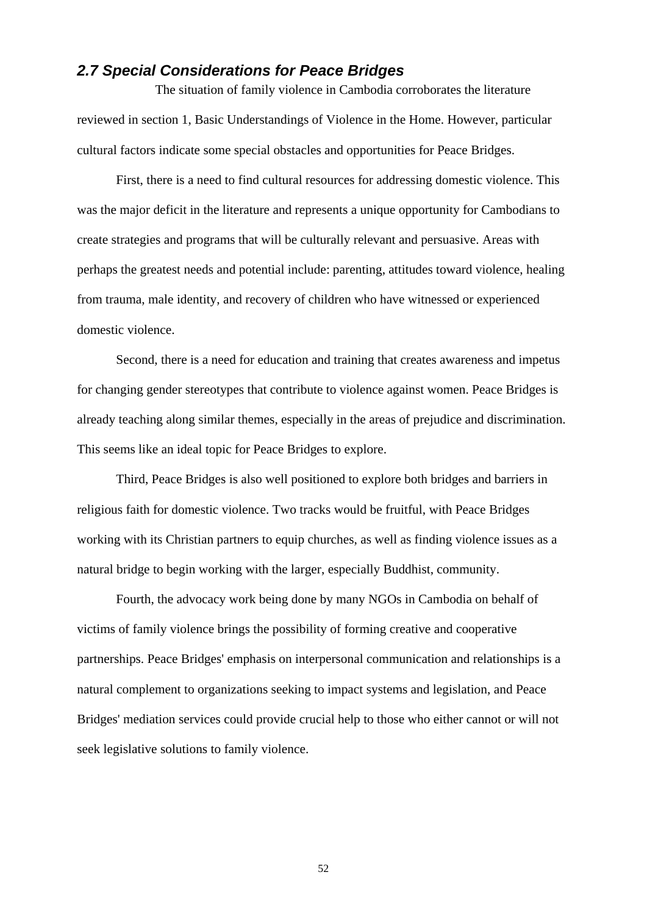# *2.7 Special Considerations for Peace Bridges*

 The situation of family violence in Cambodia corroborates the literature reviewed in section 1, Basic Understandings of Violence in the Home. However, particular cultural factors indicate some special obstacles and opportunities for Peace Bridges.

 First, there is a need to find cultural resources for addressing domestic violence. This was the major deficit in the literature and represents a unique opportunity for Cambodians to create strategies and programs that will be culturally relevant and persuasive. Areas with perhaps the greatest needs and potential include: parenting, attitudes toward violence, healing from trauma, male identity, and recovery of children who have witnessed or experienced domestic violence.

 Second, there is a need for education and training that creates awareness and impetus for changing gender stereotypes that contribute to violence against women. Peace Bridges is already teaching along similar themes, especially in the areas of prejudice and discrimination. This seems like an ideal topic for Peace Bridges to explore.

 Third, Peace Bridges is also well positioned to explore both bridges and barriers in religious faith for domestic violence. Two tracks would be fruitful, with Peace Bridges working with its Christian partners to equip churches, as well as finding violence issues as a natural bridge to begin working with the larger, especially Buddhist, community.

 Fourth, the advocacy work being done by many NGOs in Cambodia on behalf of victims of family violence brings the possibility of forming creative and cooperative partnerships. Peace Bridges' emphasis on interpersonal communication and relationships is a natural complement to organizations seeking to impact systems and legislation, and Peace Bridges' mediation services could provide crucial help to those who either cannot or will not seek legislative solutions to family violence.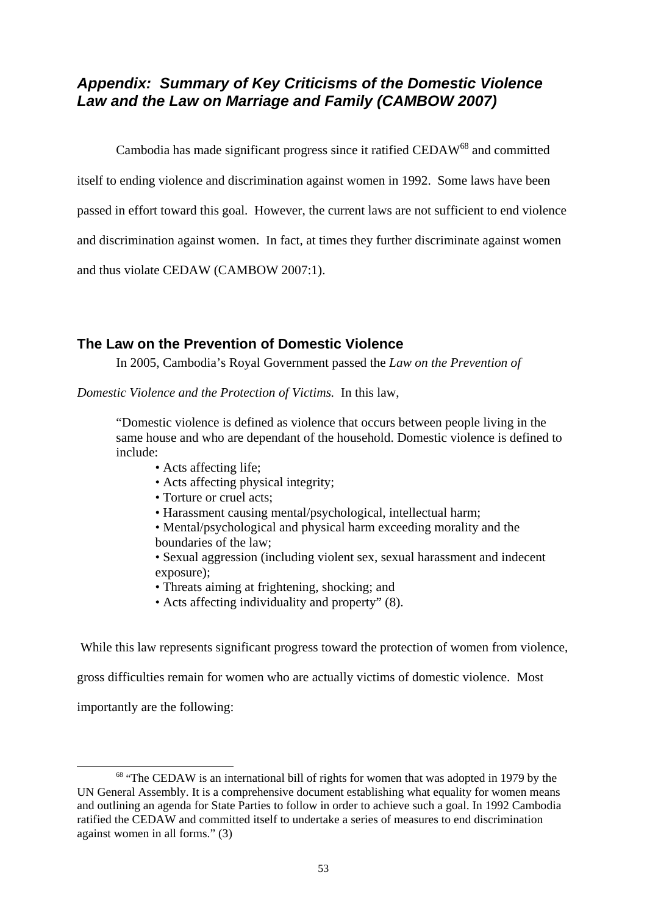# *Appendix: Summary of Key Criticisms of the Domestic Violence Law and the Law on Marriage and Family (CAMBOW 2007)*

Cambodia has made significant progress since it ratified CEDAW<sup>68</sup> and committed

itself to ending violence and discrimination against women in 1992. Some laws have been

passed in effort toward this goal. However, the current laws are not sufficient to end violence

and discrimination against women. In fact, at times they further discriminate against women

and thus violate CEDAW (CAMBOW 2007:1).

# **The Law on the Prevention of Domestic Violence**

In 2005, Cambodia's Royal Government passed the *Law on the Prevention of* 

*Domestic Violence and the Protection of Victims.* In this law,

"Domestic violence is defined as violence that occurs between people living in the same house and who are dependant of the household. Domestic violence is defined to include:

- Acts affecting life;
- Acts affecting physical integrity;
- Torture or cruel acts;
- Harassment causing mental/psychological, intellectual harm;
- Mental/psychological and physical harm exceeding morality and the boundaries of the law;

• Sexual aggression (including violent sex, sexual harassment and indecent exposure);

- Threats aiming at frightening, shocking; and
- Acts affecting individuality and property" (8).

While this law represents significant progress toward the protection of women from violence,

gross difficulties remain for women who are actually victims of domestic violence. Most

importantly are the following:

<sup>&</sup>lt;sup>68</sup> "The CEDAW is an international bill of rights for women that was adopted in 1979 by the UN General Assembly. It is a comprehensive document establishing what equality for women means and outlining an agenda for State Parties to follow in order to achieve such a goal. In 1992 Cambodia ratified the CEDAW and committed itself to undertake a series of measures to end discrimination against women in all forms." (3)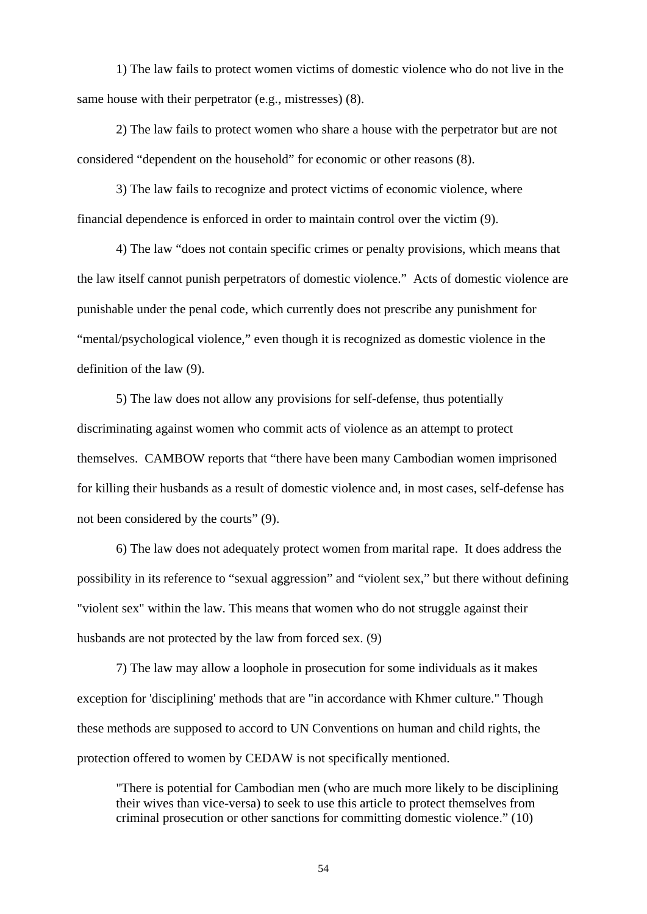1) The law fails to protect women victims of domestic violence who do not live in the same house with their perpetrator (e.g., mistresses) (8).

2) The law fails to protect women who share a house with the perpetrator but are not considered "dependent on the household" for economic or other reasons (8).

3) The law fails to recognize and protect victims of economic violence, where financial dependence is enforced in order to maintain control over the victim (9).

4) The law "does not contain specific crimes or penalty provisions, which means that the law itself cannot punish perpetrators of domestic violence." Acts of domestic violence are punishable under the penal code, which currently does not prescribe any punishment for "mental/psychological violence," even though it is recognized as domestic violence in the definition of the law (9).

5) The law does not allow any provisions for self-defense, thus potentially discriminating against women who commit acts of violence as an attempt to protect themselves. CAMBOW reports that "there have been many Cambodian women imprisoned for killing their husbands as a result of domestic violence and, in most cases, self-defense has not been considered by the courts" (9).

6) The law does not adequately protect women from marital rape. It does address the possibility in its reference to "sexual aggression" and "violent sex," but there without defining "violent sex" within the law. This means that women who do not struggle against their husbands are not protected by the law from forced sex. (9)

7) The law may allow a loophole in prosecution for some individuals as it makes exception for 'disciplining' methods that are "in accordance with Khmer culture." Though these methods are supposed to accord to UN Conventions on human and child rights, the protection offered to women by CEDAW is not specifically mentioned.

"There is potential for Cambodian men (who are much more likely to be disciplining their wives than vice-versa) to seek to use this article to protect themselves from criminal prosecution or other sanctions for committing domestic violence." (10)

54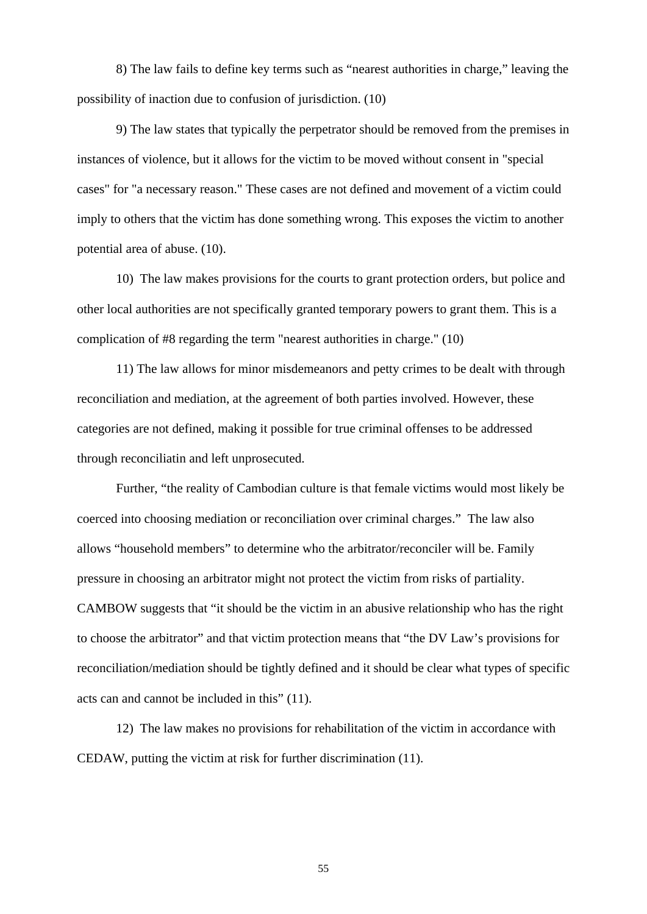8) The law fails to define key terms such as "nearest authorities in charge," leaving the possibility of inaction due to confusion of jurisdiction. (10)

9) The law states that typically the perpetrator should be removed from the premises in instances of violence, but it allows for the victim to be moved without consent in "special cases" for "a necessary reason." These cases are not defined and movement of a victim could imply to others that the victim has done something wrong. This exposes the victim to another potential area of abuse. (10).

10) The law makes provisions for the courts to grant protection orders, but police and other local authorities are not specifically granted temporary powers to grant them. This is a complication of #8 regarding the term "nearest authorities in charge." (10)

11) The law allows for minor misdemeanors and petty crimes to be dealt with through reconciliation and mediation, at the agreement of both parties involved. However, these categories are not defined, making it possible for true criminal offenses to be addressed through reconciliatin and left unprosecuted.

Further, "the reality of Cambodian culture is that female victims would most likely be coerced into choosing mediation or reconciliation over criminal charges." The law also allows "household members" to determine who the arbitrator/reconciler will be. Family pressure in choosing an arbitrator might not protect the victim from risks of partiality. CAMBOW suggests that "it should be the victim in an abusive relationship who has the right to choose the arbitrator" and that victim protection means that "the DV Law's provisions for reconciliation/mediation should be tightly defined and it should be clear what types of specific acts can and cannot be included in this" (11).

12) The law makes no provisions for rehabilitation of the victim in accordance with CEDAW, putting the victim at risk for further discrimination (11).

55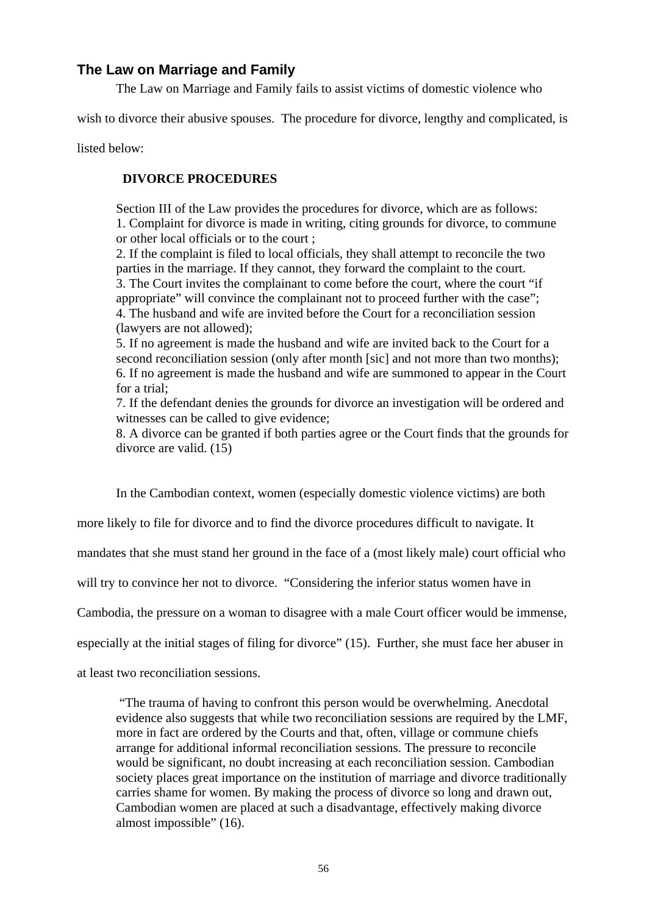# **The Law on Marriage and Family**

The Law on Marriage and Family fails to assist victims of domestic violence who

wish to divorce their abusive spouses. The procedure for divorce, lengthy and complicated, is

listed below:

# **DIVORCE PROCEDURES**

Section III of the Law provides the procedures for divorce, which are as follows: 1. Complaint for divorce is made in writing, citing grounds for divorce, to commune or other local officials or to the court ;

2. If the complaint is filed to local officials, they shall attempt to reconcile the two parties in the marriage. If they cannot, they forward the complaint to the court. 3. The Court invites the complainant to come before the court, where the court "if appropriate" will convince the complainant not to proceed further with the case"; 4. The husband and wife are invited before the Court for a reconciliation session (lawyers are not allowed);

5. If no agreement is made the husband and wife are invited back to the Court for a second reconciliation session (only after month [sic] and not more than two months); 6. If no agreement is made the husband and wife are summoned to appear in the Court for a trial:

7. If the defendant denies the grounds for divorce an investigation will be ordered and witnesses can be called to give evidence;

8. A divorce can be granted if both parties agree or the Court finds that the grounds for divorce are valid. (15)

In the Cambodian context, women (especially domestic violence victims) are both

more likely to file for divorce and to find the divorce procedures difficult to navigate. It

mandates that she must stand her ground in the face of a (most likely male) court official who

will try to convince her not to divorce. "Considering the inferior status women have in

Cambodia, the pressure on a woman to disagree with a male Court officer would be immense,

especially at the initial stages of filing for divorce" (15). Further, she must face her abuser in

at least two reconciliation sessions.

 "The trauma of having to confront this person would be overwhelming. Anecdotal evidence also suggests that while two reconciliation sessions are required by the LMF, more in fact are ordered by the Courts and that, often, village or commune chiefs arrange for additional informal reconciliation sessions. The pressure to reconcile would be significant, no doubt increasing at each reconciliation session. Cambodian society places great importance on the institution of marriage and divorce traditionally carries shame for women. By making the process of divorce so long and drawn out, Cambodian women are placed at such a disadvantage, effectively making divorce almost impossible" (16).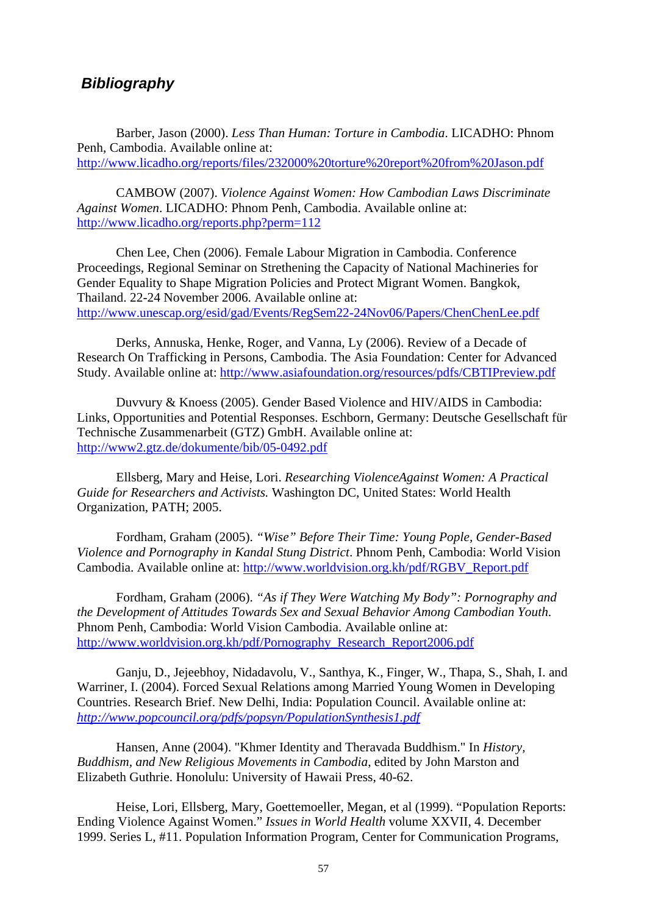# *Bibliography*

 Barber, Jason (2000). *Less Than Human: Torture in Cambodia*. LICADHO: Phnom Penh, Cambodia. Available online at: http://www.licadho.org/reports/files/232000%20torture%20report%20from%20Jason.pdf

 CAMBOW (2007). *Violence Against Women: How Cambodian Laws Discriminate Against Women*. LICADHO: Phnom Penh, Cambodia. Available online at: http://www.licadho.org/reports.php?perm=112

 Chen Lee, Chen (2006). Female Labour Migration in Cambodia. Conference Proceedings, Regional Seminar on Strethening the Capacity of National Machineries for Gender Equality to Shape Migration Policies and Protect Migrant Women. Bangkok, Thailand. 22-24 November 2006. Available online at: http://www.unescap.org/esid/gad/Events/RegSem22-24Nov06/Papers/ChenChenLee.pdf

 Derks, Annuska, Henke, Roger, and Vanna, Ly (2006). Review of a Decade of Research On Trafficking in Persons, Cambodia. The Asia Foundation: Center for Advanced Study. Available online at: http://www.asiafoundation.org/resources/pdfs/CBTIPreview.pdf

Duvvury & Knoess (2005). Gender Based Violence and HIV/AIDS in Cambodia: Links, Opportunities and Potential Responses. Eschborn, Germany: Deutsche Gesellschaft für Technische Zusammenarbeit (GTZ) GmbH. Available online at: http://www2.gtz.de/dokumente/bib/05-0492.pdf

 Ellsberg, Mary and Heise, Lori. *Researching ViolenceAgainst Women: A Practical Guide for Researchers and Activists.* Washington DC, United States: World Health Organization, PATH; 2005.

Fordham, Graham (2005). *"Wise" Before Their Time: Young Pople, Gender-Based Violence and Pornography in Kandal Stung District*. Phnom Penh, Cambodia: World Vision Cambodia. Available online at: http://www.worldvision.org.kh/pdf/RGBV\_Report.pdf

Fordham, Graham (2006). *"As if They Were Watching My Body": Pornography and the Development of Attitudes Towards Sex and Sexual Behavior Among Cambodian Youth*. Phnom Penh, Cambodia: World Vision Cambodia. Available online at: http://www.worldvision.org.kh/pdf/Pornography\_Research\_Report2006.pdf

 Ganju, D., Jejeebhoy, Nidadavolu, V., Santhya, K., Finger, W., Thapa, S., Shah, I. and Warriner, I. (2004). Forced Sexual Relations among Married Young Women in Developing Countries. Research Brief. New Delhi, India: Population Council. Available online at: *http://www.popcouncil.org/pdfs/popsyn/PopulationSynthesis1.pdf*

 Hansen, Anne (2004). "Khmer Identity and Theravada Buddhism." In *History, Buddhism, and New Religious Movements in Cambodia*, edited by John Marston and Elizabeth Guthrie. Honolulu: University of Hawaii Press, 40-62.

Heise, Lori, Ellsberg, Mary, Goettemoeller, Megan, et al (1999). "Population Reports: Ending Violence Against Women." *Issues in World Health* volume XXVII, 4. December 1999. Series L, #11. Population Information Program, Center for Communication Programs,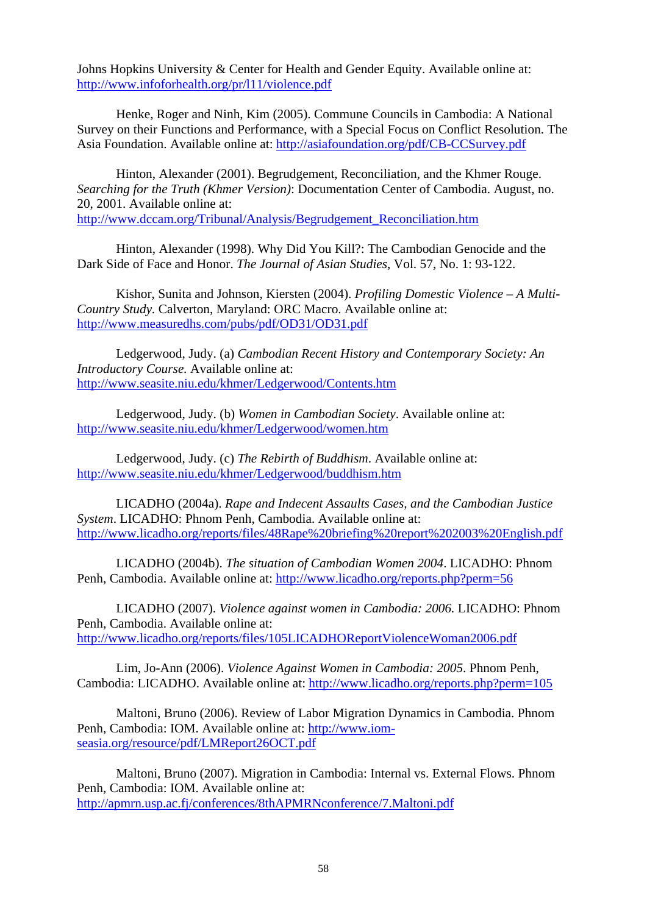Johns Hopkins University & Center for Health and Gender Equity. Available online at: http://www.infoforhealth.org/pr/l11/violence.pdf

Henke, Roger and Ninh, Kim (2005). Commune Councils in Cambodia: A National Survey on their Functions and Performance, with a Special Focus on Conflict Resolution. The Asia Foundation. Available online at: http://asiafoundation.org/pdf/CB-CCSurvey.pdf

Hinton, Alexander (2001). Begrudgement, Reconciliation, and the Khmer Rouge. *Searching for the Truth (Khmer Version)*: Documentation Center of Cambodia. August, no. 20, 2001. Available online at: http://www.dccam.org/Tribunal/Analysis/Begrudgement\_Reconciliation.htm

Hinton, Alexander (1998). Why Did You Kill?: The Cambodian Genocide and the Dark Side of Face and Honor. *The Journal of Asian Studies*, Vol. 57, No. 1: 93-122.

Kishor, Sunita and Johnson, Kiersten (2004). *Profiling Domestic Violence – A Multi-Country Study.* Calverton, Maryland: ORC Macro. Available online at: http://www.measuredhs.com/pubs/pdf/OD31/OD31.pdf

 Ledgerwood, Judy. (a) *Cambodian Recent History and Contemporary Society: An Introductory Course.* Available online at: http://www.seasite.niu.edu/khmer/Ledgerwood/Contents.htm

Ledgerwood, Judy. (b) *Women in Cambodian Society*. Available online at: http://www.seasite.niu.edu/khmer/Ledgerwood/women.htm

Ledgerwood, Judy. (c) *The Rebirth of Buddhism*. Available online at: http://www.seasite.niu.edu/khmer/Ledgerwood/buddhism.htm

LICADHO (2004a). *Rape and Indecent Assaults Cases, and the Cambodian Justice System*. LICADHO: Phnom Penh, Cambodia. Available online at: http://www.licadho.org/reports/files/48Rape%20briefing%20report%202003%20English.pdf

LICADHO (2004b). *The situation of Cambodian Women 2004*. LICADHO: Phnom Penh, Cambodia. Available online at: http://www.licadho.org/reports.php?perm=56

LICADHO (2007). *Violence against women in Cambodia: 2006.* LICADHO: Phnom Penh, Cambodia. Available online at: http://www.licadho.org/reports/files/105LICADHOReportViolenceWoman2006.pdf

Lim, Jo-Ann (2006). *Violence Against Women in Cambodia: 2005*. Phnom Penh, Cambodia: LICADHO. Available online at: http://www.licadho.org/reports.php?perm=105

 Maltoni, Bruno (2006). Review of Labor Migration Dynamics in Cambodia. Phnom Penh, Cambodia: IOM. Available online at: http://www.iomseasia.org/resource/pdf/LMReport26OCT.pdf

 Maltoni, Bruno (2007). Migration in Cambodia: Internal vs. External Flows. Phnom Penh, Cambodia: IOM. Available online at: http://apmrn.usp.ac.fj/conferences/8thAPMRNconference/7.Maltoni.pdf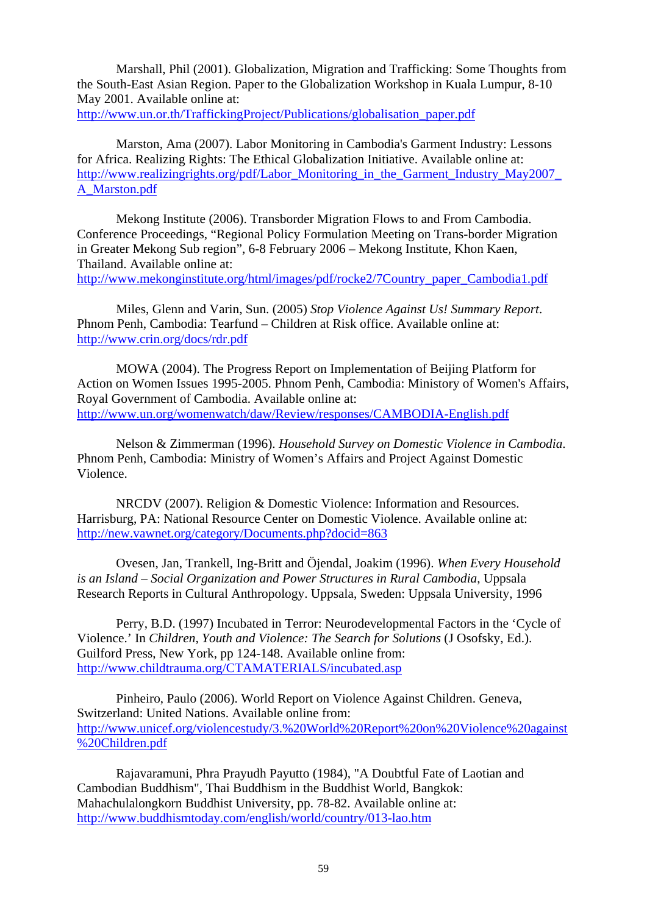Marshall, Phil (2001). Globalization, Migration and Trafficking: Some Thoughts from the South-East Asian Region. Paper to the Globalization Workshop in Kuala Lumpur, 8-10 May 2001. Available online at:

http://www.un.or.th/TraffickingProject/Publications/globalisation\_paper.pdf

 Marston, Ama (2007). Labor Monitoring in Cambodia's Garment Industry: Lessons for Africa. Realizing Rights: The Ethical Globalization Initiative. Available online at: http://www.realizingrights.org/pdf/Labor\_Monitoring\_in\_the\_Garment\_Industry\_May2007 A\_Marston.pdf

 Mekong Institute (2006). Transborder Migration Flows to and From Cambodia. Conference Proceedings, "Regional Policy Formulation Meeting on Trans-border Migration in Greater Mekong Sub region", 6-8 February 2006 – Mekong Institute, Khon Kaen, Thailand. Available online at: http://www.mekonginstitute.org/html/images/pdf/rocke2/7Country\_paper\_Cambodia1.pdf

Miles, Glenn and Varin, Sun. (2005) *Stop Violence Against Us! Summary Report*. Phnom Penh, Cambodia: Tearfund – Children at Risk office. Available online at: http://www.crin.org/docs/rdr.pdf

 MOWA (2004). The Progress Report on Implementation of Beijing Platform for Action on Women Issues 1995-2005. Phnom Penh, Cambodia: Ministory of Women's Affairs, Royal Government of Cambodia. Available online at: http://www.un.org/womenwatch/daw/Review/responses/CAMBODIA-English.pdf

Nelson & Zimmerman (1996). *Household Survey on Domestic Violence in Cambodia*. Phnom Penh, Cambodia: Ministry of Women's Affairs and Project Against Domestic Violence.

NRCDV (2007). Religion & Domestic Violence: Information and Resources. Harrisburg, PA: National Resource Center on Domestic Violence. Available online at: http://new.vawnet.org/category/Documents.php?docid=863

Ovesen, Jan, Trankell, Ing-Britt and Öjendal, Joakim (1996). *When Every Household is an Island – Social Organization and Power Structures in Rural Cambodia*, Uppsala Research Reports in Cultural Anthropology. Uppsala, Sweden: Uppsala University, 1996

Perry, B.D. (1997) Incubated in Terror: Neurodevelopmental Factors in the 'Cycle of Violence.' In *Children, Youth and Violence: The Search for Solutions* (J Osofsky, Ed.). Guilford Press, New York, pp 124-148. Available online from: http://www.childtrauma.org/CTAMATERIALS/incubated.asp

Pinheiro, Paulo (2006). World Report on Violence Against Children. Geneva, Switzerland: United Nations. Available online from: http://www.unicef.org/violencestudy/3.%20World%20Report%20on%20Violence%20against %20Children.pdf

 Rajavaramuni, Phra Prayudh Payutto (1984), "A Doubtful Fate of Laotian and Cambodian Buddhism", Thai Buddhism in the Buddhist World, Bangkok: Mahachulalongkorn Buddhist University, pp. 78-82. Available online at: http://www.buddhismtoday.com/english/world/country/013-lao.htm